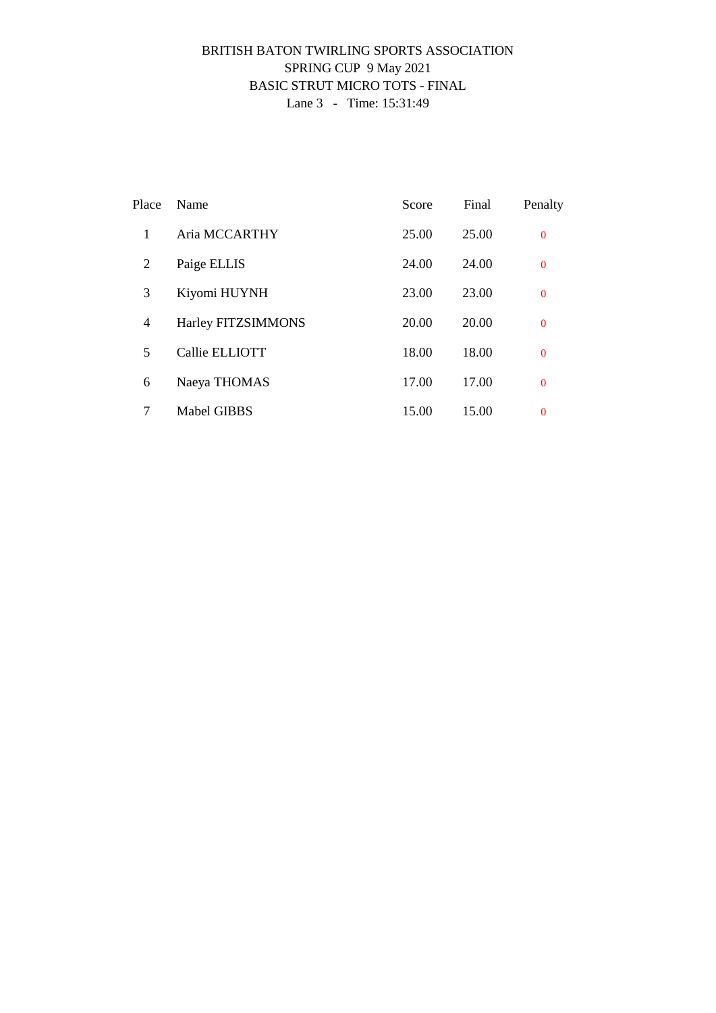### BRITISH BATON TWIRLING SPORTS ASSOCIATION SPRING CUP 9 May 2021 BASIC STRUT MICRO TOTS - FINAL Lane 3 - Time: 15:31:49

| Place | Name               | Score | Final | Penalty        |
|-------|--------------------|-------|-------|----------------|
| 1     | Aria MCCARTHY      | 25.00 | 25.00 | $\mathbf{0}$   |
| 2     | Paige ELLIS        | 24.00 | 24.00 | $\overline{0}$ |
| 3     | Kiyomi HUYNH       | 23.00 | 23.00 | $\mathbf{0}$   |
| 4     | Harley FITZSIMMONS | 20.00 | 20.00 | $\overline{0}$ |
| 5     | Callie ELLIOTT     | 18.00 | 18.00 | $\overline{0}$ |
| 6     | Naeya THOMAS       | 17.00 | 17.00 | $\overline{0}$ |
| 7     | <b>Mabel GIBBS</b> | 15.00 | 15.00 | $\overline{0}$ |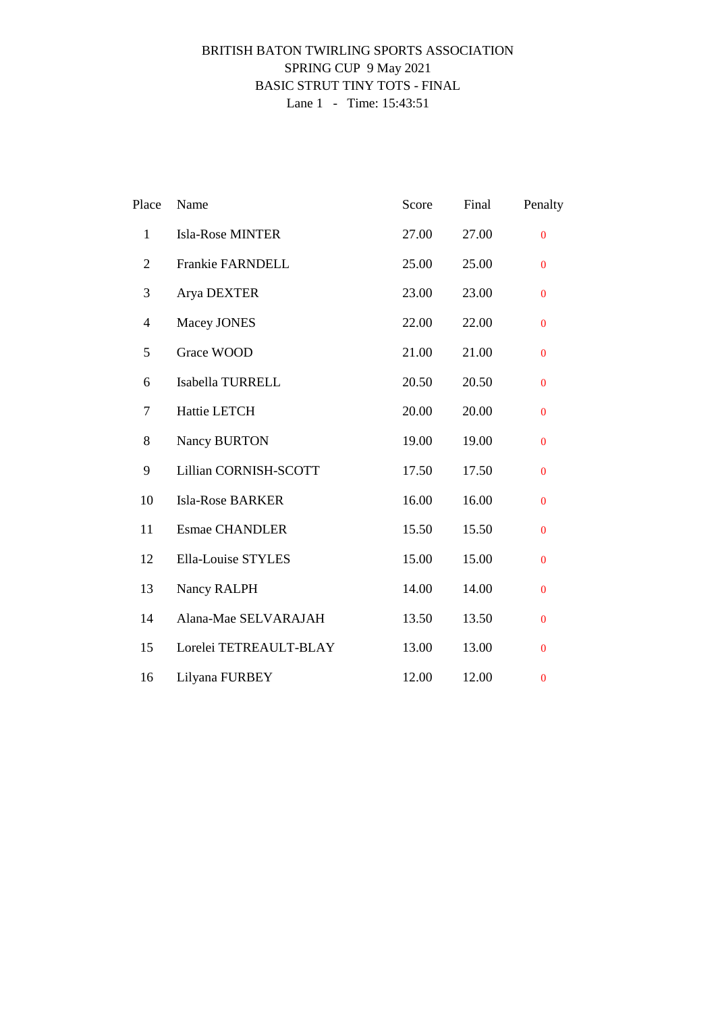### BRITISH BATON TWIRLING SPORTS ASSOCIATION SPRING CUP 9 May 2021 BASIC STRUT TINY TOTS - FINAL Lane 1 - Time: 15:43:51

| Place          | Name                      | Score | Final | Penalty        |
|----------------|---------------------------|-------|-------|----------------|
| $\mathbf{1}$   | <b>Isla-Rose MINTER</b>   | 27.00 | 27.00 | $\overline{0}$ |
| $\overline{2}$ | Frankie FARNDELL          | 25.00 | 25.00 | $\bf{0}$       |
| 3              | Arya DEXTER               | 23.00 | 23.00 | $\Omega$       |
| 4              | Macey JONES               | 22.00 | 22.00 | $\mathbf{0}$   |
| 5              | Grace WOOD                | 21.00 | 21.00 | $\mathbf{0}$   |
| 6              | Isabella TURRELL          | 20.50 | 20.50 | $\mathbf{0}$   |
| 7              | Hattie LETCH              | 20.00 | 20.00 | $\mathbf{0}$   |
| 8              | Nancy BURTON              | 19.00 | 19.00 | $\mathbf{0}$   |
| 9              | Lillian CORNISH-SCOTT     | 17.50 | 17.50 | $\mathbf{0}$   |
| 10             | <b>Isla-Rose BARKER</b>   | 16.00 | 16.00 | $\mathbf{0}$   |
| 11             | <b>Esmae CHANDLER</b>     | 15.50 | 15.50 | $\Omega$       |
| 12             | <b>Ella-Louise STYLES</b> | 15.00 | 15.00 | $\bf{0}$       |
| 13             | Nancy RALPH               | 14.00 | 14.00 | $\mathbf{0}$   |
| 14             | Alana-Mae SELVARAJAH      | 13.50 | 13.50 | $\mathbf{0}$   |
| 15             | Lorelei TETREAULT-BLAY    | 13.00 | 13.00 | $\mathbf{0}$   |
| 16             | Lilyana FURBEY            | 12.00 | 12.00 | $\bf{0}$       |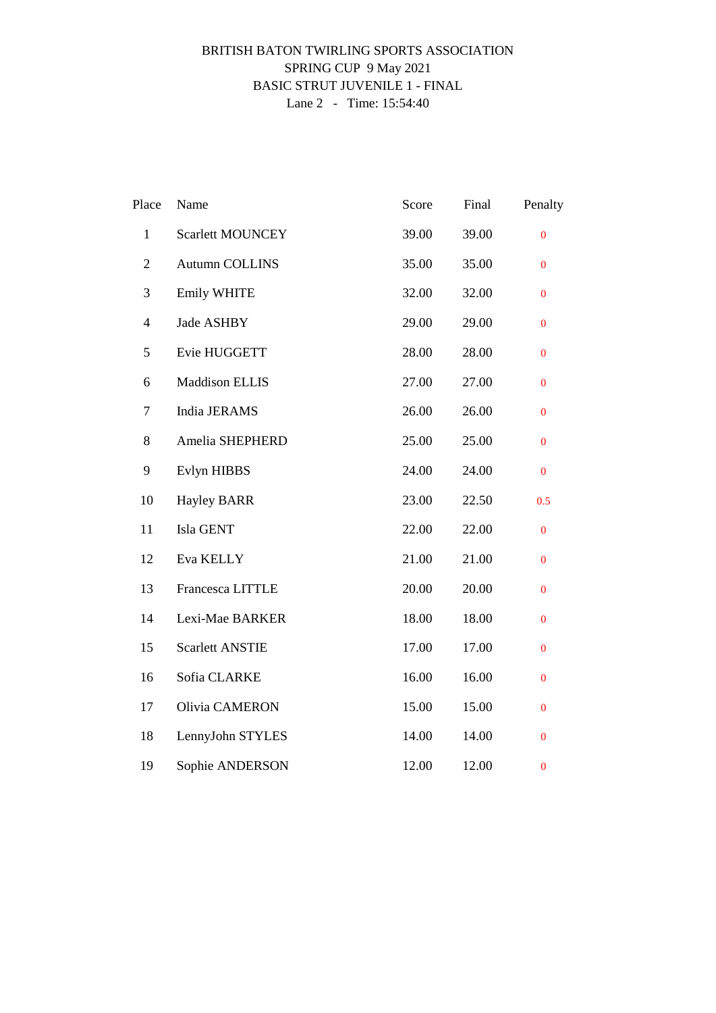### BRITISH BATON TWIRLING SPORTS ASSOCIATION SPRING CUP 9 May 2021 BASIC STRUT JUVENILE 1 - FINAL Lane 2 - Time: 15:54:40

| Place          | Name                    | Score | Final | Penalty          |
|----------------|-------------------------|-------|-------|------------------|
| $\mathbf{1}$   | <b>Scarlett MOUNCEY</b> | 39.00 | 39.00 | $\mathbf{0}$     |
| $\mathbf{2}$   | Autumn COLLINS          | 35.00 | 35.00 | $\bf{0}$         |
| $\mathfrak{Z}$ | <b>Emily WHITE</b>      | 32.00 | 32.00 | $\bf{0}$         |
| $\overline{4}$ | Jade ASHBY              | 29.00 | 29.00 | $\mathbf{0}$     |
| $\mathfrak s$  | Evie HUGGETT            | 28.00 | 28.00 | $\bf{0}$         |
| 6              | <b>Maddison ELLIS</b>   | 27.00 | 27.00 | $\mathbf{0}$     |
| 7              | India JERAMS            | 26.00 | 26.00 | $\mathbf{0}$     |
| 8              | Amelia SHEPHERD         | 25.00 | 25.00 | $\mathbf{0}$     |
| 9              | Evlyn HIBBS             | 24.00 | 24.00 | $\boldsymbol{0}$ |
| 10             | <b>Hayley BARR</b>      | 23.00 | 22.50 | 0.5              |
| 11             | Isla GENT               | 22.00 | 22.00 | $\mathbf{0}$     |
| 12             | Eva KELLY               | 21.00 | 21.00 | $\mathbf{0}$     |
| 13             | Francesca LITTLE        | 20.00 | 20.00 | $\mathbf{0}$     |
| 14             | Lexi-Mae BARKER         | 18.00 | 18.00 | $\mathbf{0}$     |
| 15             | <b>Scarlett ANSTIE</b>  | 17.00 | 17.00 | $\boldsymbol{0}$ |
| 16             | Sofia CLARKE            | 16.00 | 16.00 | $\mathbf{0}$     |
| 17             | Olivia CAMERON          | 15.00 | 15.00 | $\mathbf{0}$     |
| 18             | LennyJohn STYLES        | 14.00 | 14.00 | $\bf{0}$         |
| 19             | Sophie ANDERSON         | 12.00 | 12.00 | $\bf{0}$         |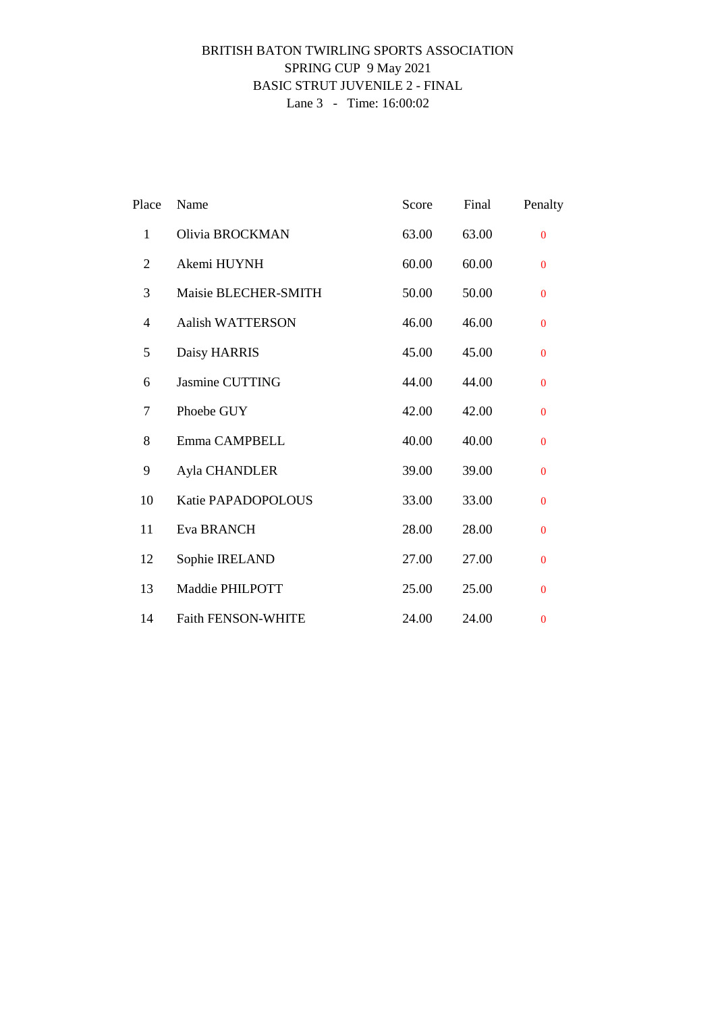### BRITISH BATON TWIRLING SPORTS ASSOCIATION SPRING CUP 9 May 2021 BASIC STRUT JUVENILE 2 - FINAL Lane 3 - Time: 16:00:02

| Place          | Name                      | Score | Final | Penalty      |
|----------------|---------------------------|-------|-------|--------------|
| $\mathbf{1}$   | Olivia BROCKMAN           | 63.00 | 63.00 | $\Omega$     |
| $\overline{2}$ | Akemi HUYNH               | 60.00 | 60.00 | $\mathbf{0}$ |
| 3              | Maisie BLECHER-SMITH      | 50.00 | 50.00 | $\Omega$     |
| 4              | <b>Aalish WATTERSON</b>   | 46.00 | 46.00 | $\mathbf{0}$ |
| 5              | Daisy HARRIS              | 45.00 | 45.00 | $\mathbf{0}$ |
| 6              | Jasmine CUTTING           | 44.00 | 44.00 | $\mathbf{0}$ |
| 7              | Phoebe GUY                | 42.00 | 42.00 | $\mathbf{0}$ |
| 8              | Emma CAMPBELL             | 40.00 | 40.00 | $\mathbf{0}$ |
| 9              | Ayla CHANDLER             | 39.00 | 39.00 | $\mathbf{0}$ |
| 10             | Katie PAPADOPOLOUS        | 33.00 | 33.00 | $\Omega$     |
| 11             | Eva BRANCH                | 28.00 | 28.00 | $\mathbf{0}$ |
| 12             | Sophie IRELAND            | 27.00 | 27.00 | $\mathbf{0}$ |
| 13             | Maddie PHILPOTT           | 25.00 | 25.00 | $\mathbf{0}$ |
| 14             | <b>Faith FENSON-WHITE</b> | 24.00 | 24.00 | $\bf{0}$     |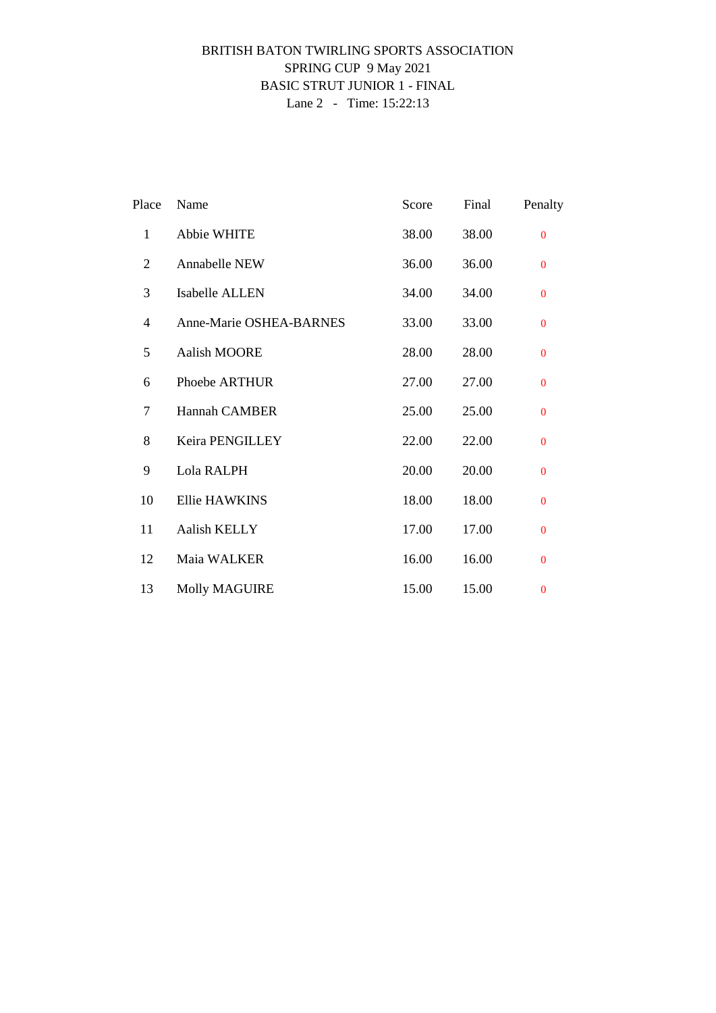### BRITISH BATON TWIRLING SPORTS ASSOCIATION SPRING CUP 9 May 2021 BASIC STRUT JUNIOR 1 - FINAL Lane 2 - Time: 15:22:13

| Place        | Name                    | Score | Final | Penalty      |
|--------------|-------------------------|-------|-------|--------------|
| $\mathbf{1}$ | Abbie WHITE             | 38.00 | 38.00 | $\Omega$     |
| 2            | Annabelle NEW           | 36.00 | 36.00 | $\mathbf{0}$ |
| 3            | Isabelle ALLEN          | 34.00 | 34.00 | $\mathbf{0}$ |
| 4            | Anne-Marie OSHEA-BARNES | 33.00 | 33.00 | $\mathbf{0}$ |
| 5            | Aalish MOORE            | 28.00 | 28.00 | $\Omega$     |
| 6            | Phoebe ARTHUR           | 27.00 | 27.00 | $\mathbf{0}$ |
| 7            | <b>Hannah CAMBER</b>    | 25.00 | 25.00 | $\mathbf{0}$ |
| 8            | Keira PENGILLEY         | 22.00 | 22.00 | $\mathbf{0}$ |
| 9            | Lola RALPH              | 20.00 | 20.00 | $\mathbf{0}$ |
| 10           | <b>Ellie HAWKINS</b>    | 18.00 | 18.00 | $\Omega$     |
| 11           | <b>Aalish KELLY</b>     | 17.00 | 17.00 | $\mathbf{0}$ |
| 12           | Maia WALKER             | 16.00 | 16.00 | $\mathbf{0}$ |
| 13           | <b>Molly MAGUIRE</b>    | 15.00 | 15.00 | $\bf{0}$     |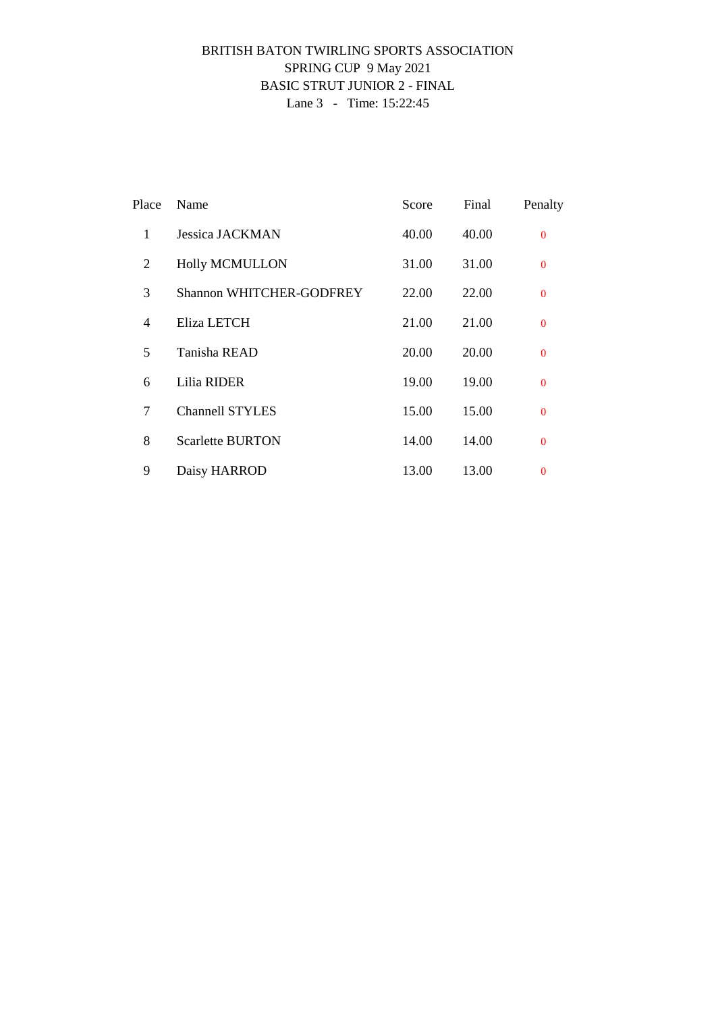### BRITISH BATON TWIRLING SPORTS ASSOCIATION SPRING CUP 9 May 2021 BASIC STRUT JUNIOR 2 - FINAL Lane 3 - Time: 15:22:45

| Place          | Name                            | Score | Final | Penalty        |
|----------------|---------------------------------|-------|-------|----------------|
| 1              | Jessica JACKMAN                 | 40.00 | 40.00 | $\Omega$       |
| 2              | <b>Holly MCMULLON</b>           | 31.00 | 31.00 | $\Omega$       |
| 3              | <b>Shannon WHITCHER-GODFREY</b> | 22.00 | 22.00 | $\Omega$       |
| $\overline{4}$ | Eliza LETCH                     | 21.00 | 21.00 | $\Omega$       |
| 5              | Tanisha READ                    | 20.00 | 20.00 | $\mathbf{0}$   |
| 6              | Lilia RIDER                     | 19.00 | 19.00 | $\Omega$       |
| 7              | <b>Channell STYLES</b>          | 15.00 | 15.00 | $\Omega$       |
| 8              | <b>Scarlette BURTON</b>         | 14.00 | 14.00 | $\Omega$       |
| 9              | Daisy HARROD                    | 13.00 | 13.00 | $\overline{0}$ |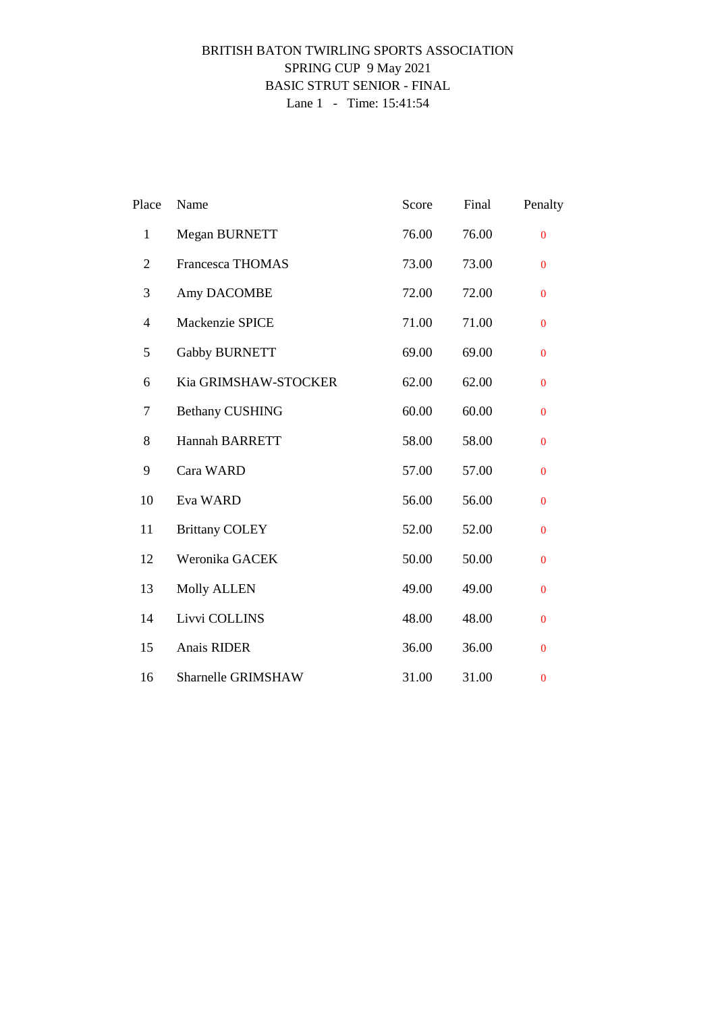### BRITISH BATON TWIRLING SPORTS ASSOCIATION SPRING CUP 9 May 2021 BASIC STRUT SENIOR - FINAL Lane 1 - Time: 15:41:54

| Place            | Name                    | Score | Final | Penalty        |
|------------------|-------------------------|-------|-------|----------------|
| $\mathbf{1}$     | Megan BURNETT           | 76.00 | 76.00 | $\overline{0}$ |
| $\overline{2}$   | <b>Francesca THOMAS</b> | 73.00 | 73.00 | $\mathbf{0}$   |
| 3                | Amy DACOMBE             | 72.00 | 72.00 | $\mathbf{0}$   |
| $\overline{4}$   | Mackenzie SPICE         | 71.00 | 71.00 | $\bf{0}$       |
| 5                | <b>Gabby BURNETT</b>    | 69.00 | 69.00 | $\mathbf{0}$   |
| 6                | Kia GRIMSHAW-STOCKER    | 62.00 | 62.00 | $\bf{0}$       |
| $\boldsymbol{7}$ | <b>Bethany CUSHING</b>  | 60.00 | 60.00 | $\mathbf{0}$   |
| 8                | Hannah BARRETT          | 58.00 | 58.00 | $\mathbf{0}$   |
| 9                | Cara WARD               | 57.00 | 57.00 | $\mathbf{0}$   |
| 10               | Eva WARD                | 56.00 | 56.00 | $\bf{0}$       |
| 11               | <b>Brittany COLEY</b>   | 52.00 | 52.00 | $\mathbf{0}$   |
| 12               | Weronika GACEK          | 50.00 | 50.00 | $\mathbf{0}$   |
| 13               | <b>Molly ALLEN</b>      | 49.00 | 49.00 | $\mathbf{0}$   |
| 14               | Livvi COLLINS           | 48.00 | 48.00 | $\bf{0}$       |
| 15               | Anais RIDER             | 36.00 | 36.00 | $\mathbf{0}$   |
| 16               | Sharnelle GRIMSHAW      | 31.00 | 31.00 | $\bf{0}$       |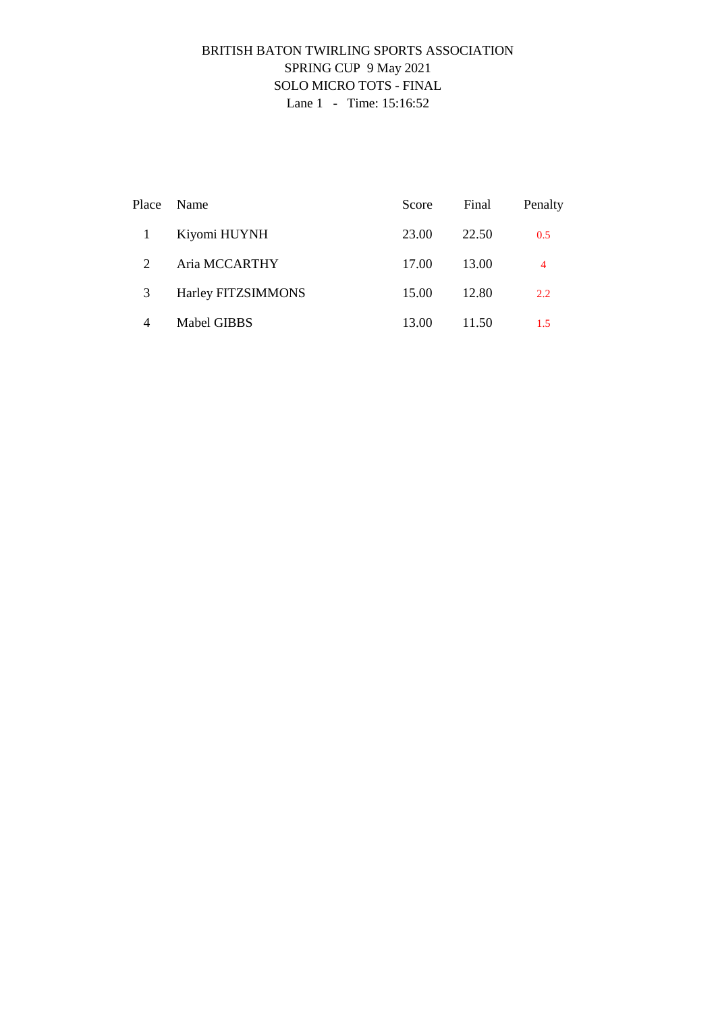## BRITISH BATON TWIRLING SPORTS ASSOCIATION SPRING CUP 9 May 2021 SOLO MICRO TOTS - FINAL Lane 1 - Time: 15:16:52

| Place | Name               | Score | Final | Penalty |
|-------|--------------------|-------|-------|---------|
|       | Kiyomi HUYNH       | 23.00 | 22.50 | 0.5     |
| 2     | Aria MCCARTHY      | 17.00 | 13.00 | 4       |
| 3     | Harley FITZSIMMONS | 15.00 | 12.80 | 2.2     |
| 4     | Mabel GIBBS        | 13.00 | 11.50 | 1.5     |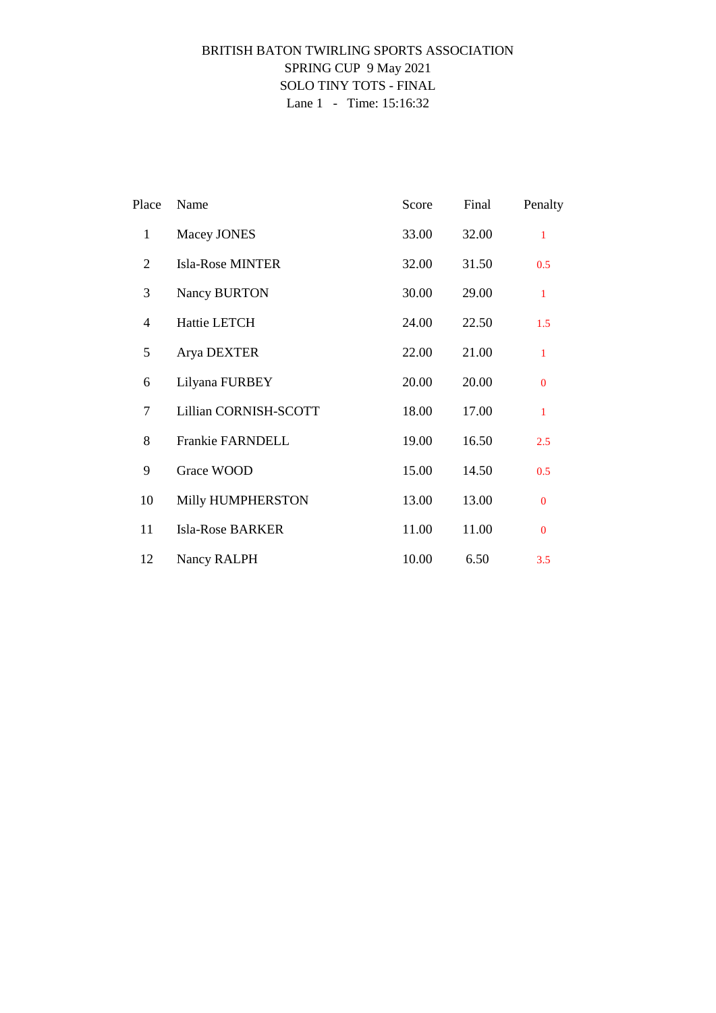## BRITISH BATON TWIRLING SPORTS ASSOCIATION SPRING CUP 9 May 2021 SOLO TINY TOTS - FINAL Lane 1 - Time: 15:16:32

| Place          | Name                    | Score | Final | Penalty      |
|----------------|-------------------------|-------|-------|--------------|
| $\mathbf{1}$   | Macey JONES             | 33.00 | 32.00 | $\mathbf{1}$ |
| 2              | <b>Isla-Rose MINTER</b> | 32.00 | 31.50 | 0.5          |
| 3              | Nancy BURTON            | 30.00 | 29.00 | $\mathbf{1}$ |
| $\overline{4}$ | Hattie LETCH            | 24.00 | 22.50 | 1.5          |
| 5              | Arya DEXTER             | 22.00 | 21.00 | $\mathbf{1}$ |
| 6              | Lilyana FURBEY          | 20.00 | 20.00 | $\mathbf{0}$ |
| 7              | Lillian CORNISH-SCOTT   | 18.00 | 17.00 | $\mathbf{1}$ |
| 8              | Frankie FARNDELL        | 19.00 | 16.50 | 2.5          |
| 9              | Grace WOOD              | 15.00 | 14.50 | 0.5          |
| 10             | Milly HUMPHERSTON       | 13.00 | 13.00 | $\Omega$     |
| 11             | <b>Isla-Rose BARKER</b> | 11.00 | 11.00 | $\Omega$     |
| 12             | Nancy RALPH             | 10.00 | 6.50  | 3.5          |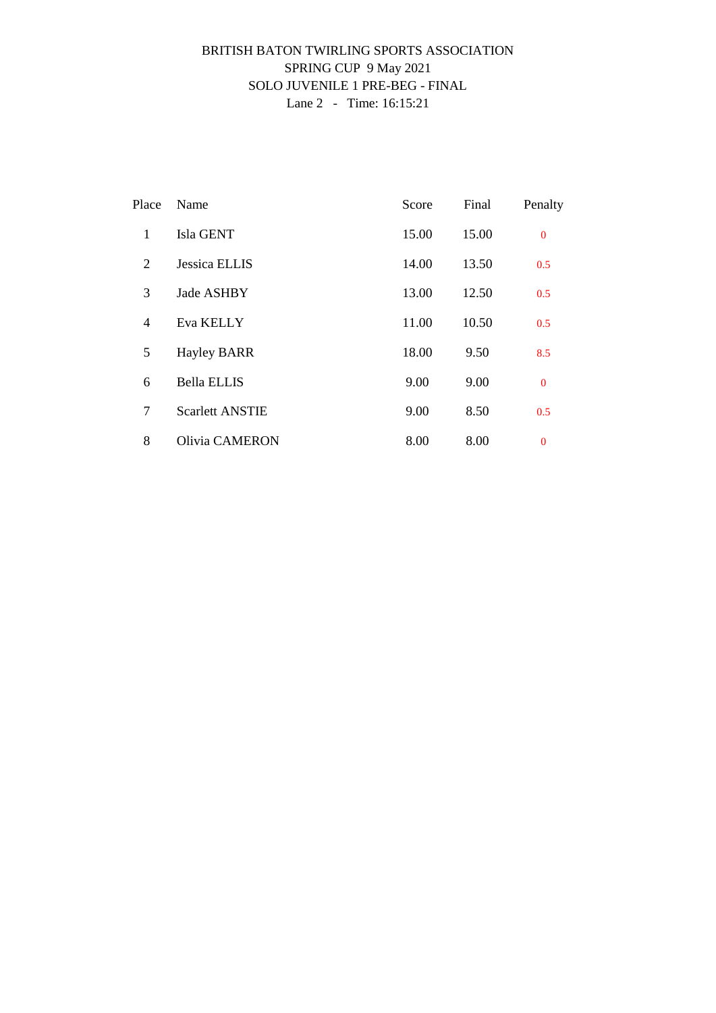### BRITISH BATON TWIRLING SPORTS ASSOCIATION SPRING CUP 9 May 2021 SOLO JUVENILE 1 PRE-BEG - FINAL Lane 2 - Time: 16:15:21

| Place          | Name                   | Score | Final | Penalty          |
|----------------|------------------------|-------|-------|------------------|
| $\mathbf{1}$   | Isla GENT              | 15.00 | 15.00 | $\mathbf{0}$     |
| 2              | <b>Jessica ELLIS</b>   | 14.00 | 13.50 | 0.5              |
| 3              | Jade ASHBY             | 13.00 | 12.50 | 0.5              |
| $\overline{4}$ | Eva KELLY              | 11.00 | 10.50 | 0.5              |
| 5              | <b>Hayley BARR</b>     | 18.00 | 9.50  | 8.5              |
| 6              | <b>Bella ELLIS</b>     | 9.00  | 9.00  | $\overline{0}$   |
| 7              | <b>Scarlett ANSTIE</b> | 9.00  | 8.50  | 0.5              |
| 8              | <b>Olivia CAMERON</b>  | 8.00  | 8.00  | $\boldsymbol{0}$ |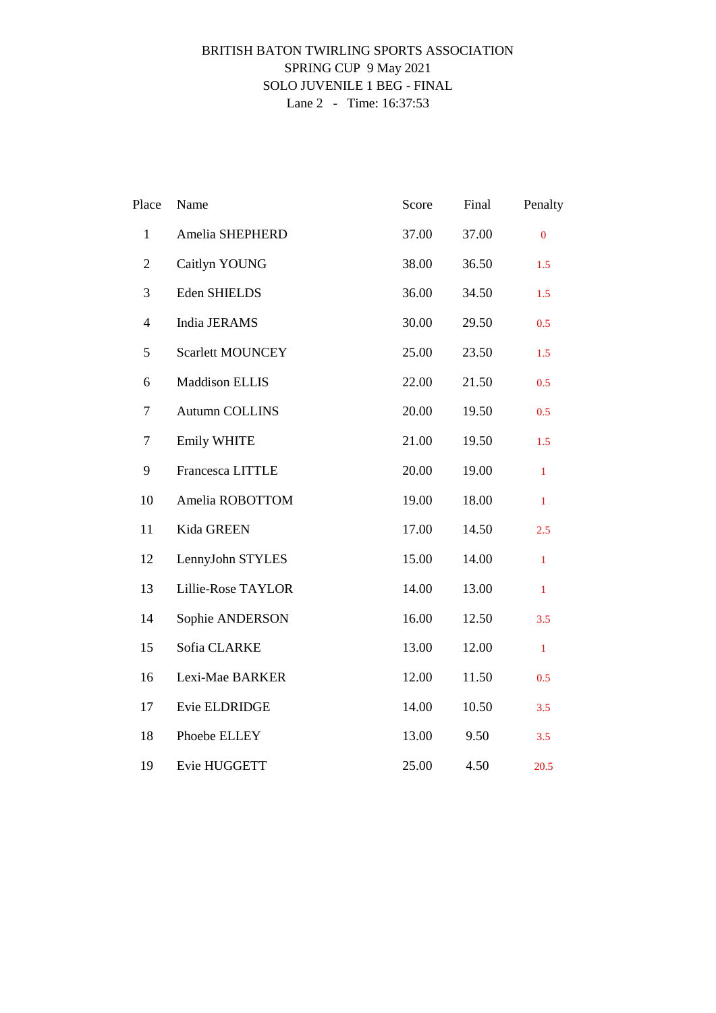### BRITISH BATON TWIRLING SPORTS ASSOCIATION SPRING CUP 9 May 2021 SOLO JUVENILE 1 BEG - FINAL Lane 2 - Time: 16:37:53

| Place          | Name                    | Score | Final | Penalty      |
|----------------|-------------------------|-------|-------|--------------|
| $\mathbf{1}$   | Amelia SHEPHERD         | 37.00 | 37.00 | $\mathbf{0}$ |
| $\overline{2}$ | Caitlyn YOUNG           | 38.00 | 36.50 | 1.5          |
| $\mathfrak{Z}$ | Eden SHIELDS            | 36.00 | 34.50 | 1.5          |
| $\overline{4}$ | India JERAMS            | 30.00 | 29.50 | 0.5          |
| $\mathfrak s$  | <b>Scarlett MOUNCEY</b> | 25.00 | 23.50 | 1.5          |
| 6              | <b>Maddison ELLIS</b>   | 22.00 | 21.50 | 0.5          |
| $\tau$         | Autumn COLLINS          | 20.00 | 19.50 | 0.5          |
| 7              | Emily WHITE             | 21.00 | 19.50 | 1.5          |
| 9              | Francesca LITTLE        | 20.00 | 19.00 | $\mathbf{1}$ |
| 10             | Amelia ROBOTTOM         | 19.00 | 18.00 | $\mathbf{1}$ |
| 11             | Kida GREEN              | 17.00 | 14.50 | 2.5          |
| 12             | LennyJohn STYLES        | 15.00 | 14.00 | $\mathbf{1}$ |
| 13             | Lillie-Rose TAYLOR      | 14.00 | 13.00 | $\mathbf{1}$ |
| 14             | Sophie ANDERSON         | 16.00 | 12.50 | 3.5          |
| 15             | Sofia CLARKE            | 13.00 | 12.00 | $\mathbf{1}$ |
| 16             | Lexi-Mae BARKER         | 12.00 | 11.50 | 0.5          |
| 17             | Evie ELDRIDGE           | 14.00 | 10.50 | 3.5          |
| 18             | Phoebe ELLEY            | 13.00 | 9.50  | 3.5          |
| 19             | Evie HUGGETT            | 25.00 | 4.50  | 20.5         |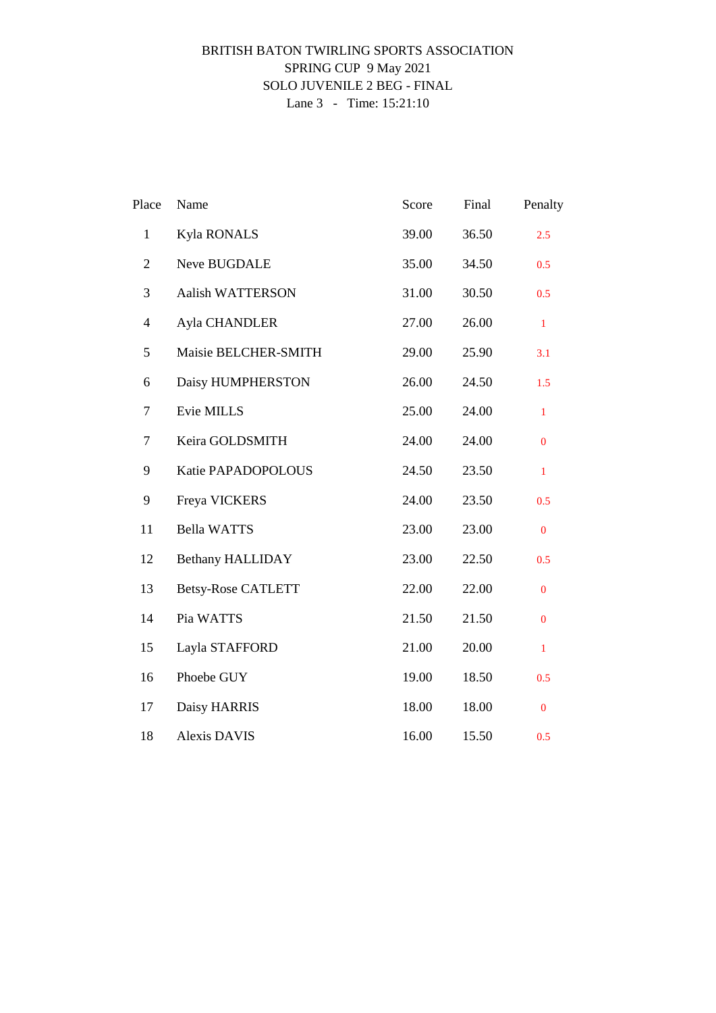### BRITISH BATON TWIRLING SPORTS ASSOCIATION SPRING CUP 9 May 2021 SOLO JUVENILE 2 BEG - FINAL Lane 3 - Time: 15:21:10

| Place          | Name                      | Score | Final | Penalty          |
|----------------|---------------------------|-------|-------|------------------|
| $\mathbf{1}$   | <b>Kyla RONALS</b>        | 39.00 | 36.50 | 2.5              |
| $\overline{2}$ | Neve BUGDALE              | 35.00 | 34.50 | 0.5              |
| 3              | Aalish WATTERSON          | 31.00 | 30.50 | 0.5              |
| $\overline{4}$ | Ayla CHANDLER             | 27.00 | 26.00 | $\mathbf{1}$     |
| 5              | Maisie BELCHER-SMITH      | 29.00 | 25.90 | 3.1              |
| 6              | Daisy HUMPHERSTON         | 26.00 | 24.50 | 1.5              |
| $\tau$         | Evie MILLS                | 25.00 | 24.00 | $\mathbf{1}$     |
| $\tau$         | Keira GOLDSMITH           | 24.00 | 24.00 | $\boldsymbol{0}$ |
| 9              | Katie PAPADOPOLOUS        | 24.50 | 23.50 | $\mathbf{1}$     |
| 9              | Freya VICKERS             | 24.00 | 23.50 | 0.5              |
| 11             | <b>Bella WATTS</b>        | 23.00 | 23.00 | $\boldsymbol{0}$ |
| 12             | <b>Bethany HALLIDAY</b>   | 23.00 | 22.50 | 0.5              |
| 13             | <b>Betsy-Rose CATLETT</b> | 22.00 | 22.00 | $\overline{0}$   |
| 14             | Pia WATTS                 | 21.50 | 21.50 | $\overline{0}$   |
| 15             | Layla STAFFORD            | 21.00 | 20.00 | $\mathbf{1}$     |
| 16             | Phoebe GUY                | 19.00 | 18.50 | 0.5              |
| 17             | Daisy HARRIS              | 18.00 | 18.00 | $\boldsymbol{0}$ |
| 18             | <b>Alexis DAVIS</b>       | 16.00 | 15.50 | 0.5              |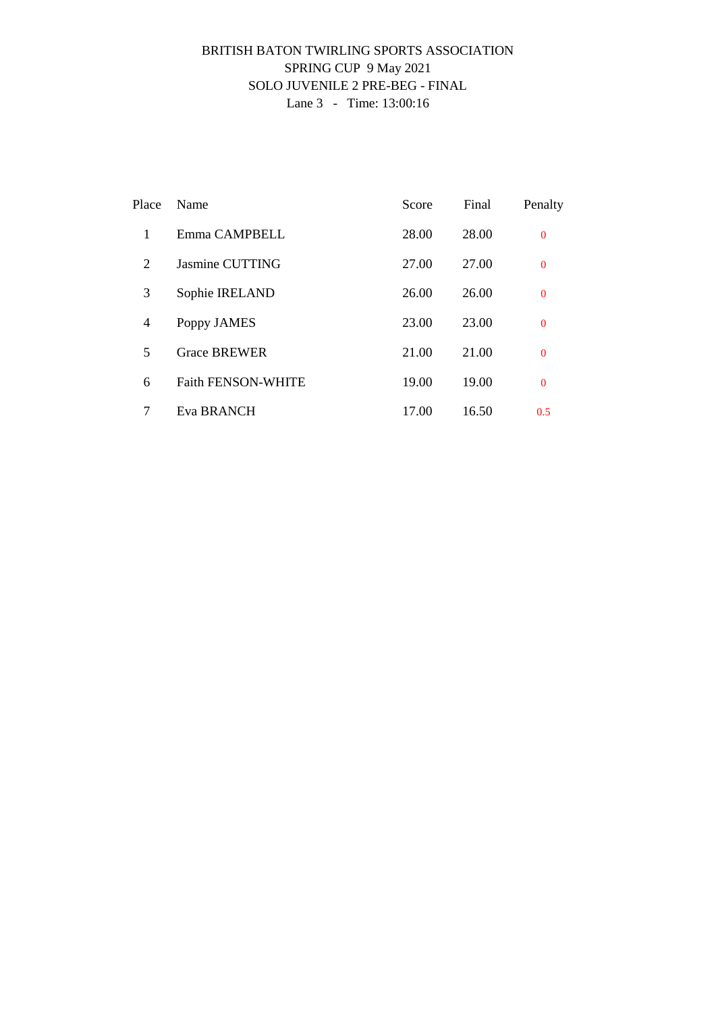### BRITISH BATON TWIRLING SPORTS ASSOCIATION SPRING CUP 9 May 2021 SOLO JUVENILE 2 PRE-BEG - FINAL Lane 3 - Time: 13:00:16

| Place          | Name                      | Score | Final | Penalty        |
|----------------|---------------------------|-------|-------|----------------|
| 1              | Emma CAMPBELL             | 28.00 | 28.00 | $\mathbf{0}$   |
| 2              | Jasmine CUTTING           | 27.00 | 27.00 | $\mathbf{0}$   |
| 3              | Sophie IRELAND            | 26.00 | 26.00 | $\mathbf{0}$   |
| $\overline{4}$ | Poppy JAMES               | 23.00 | 23.00 | $\mathbf{0}$   |
| 5              | <b>Grace BREWER</b>       | 21.00 | 21.00 | $\overline{0}$ |
| 6              | <b>Faith FENSON-WHITE</b> | 19.00 | 19.00 | $\Omega$       |
| 7              | Eva BRANCH                | 17.00 | 16.50 | 0.5            |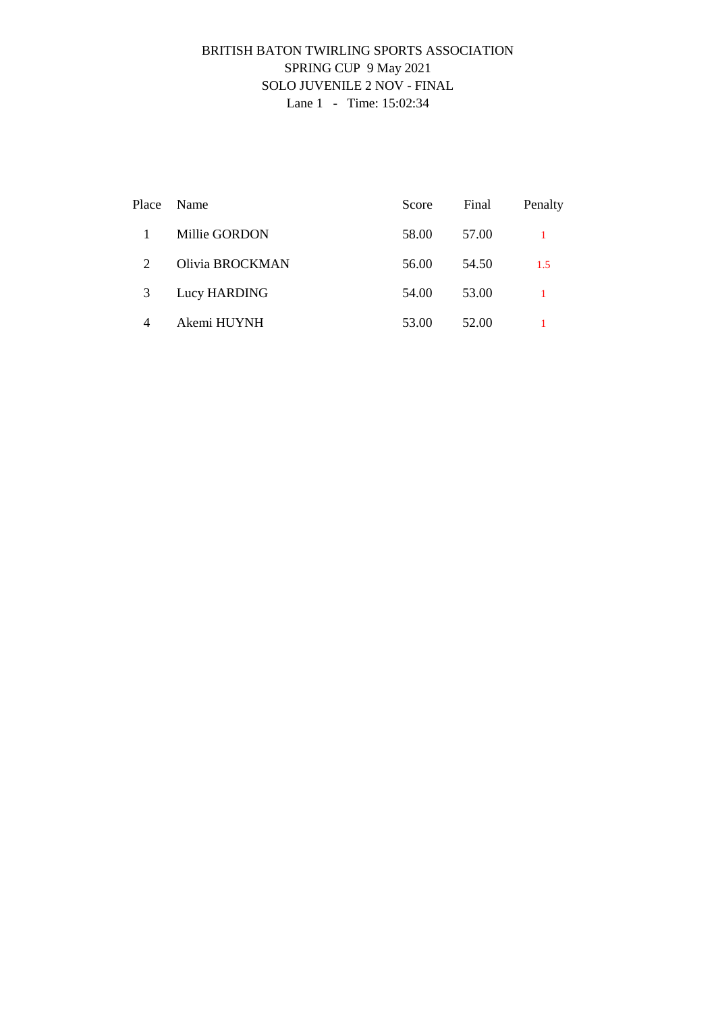### BRITISH BATON TWIRLING SPORTS ASSOCIATION SPRING CUP 9 May 2021 SOLO JUVENILE 2 NOV - FINAL Lane 1 - Time: 15:02:34

| Place | Name            | Score | Final | Penalty |
|-------|-----------------|-------|-------|---------|
|       | Millie GORDON   | 58.00 | 57.00 |         |
| 2     | Olivia BROCKMAN | 56.00 | 54.50 | 1.5     |
| 3     | Lucy HARDING    | 54.00 | 53.00 |         |
| 4     | Akemi HUYNH     | 53.00 | 52.00 |         |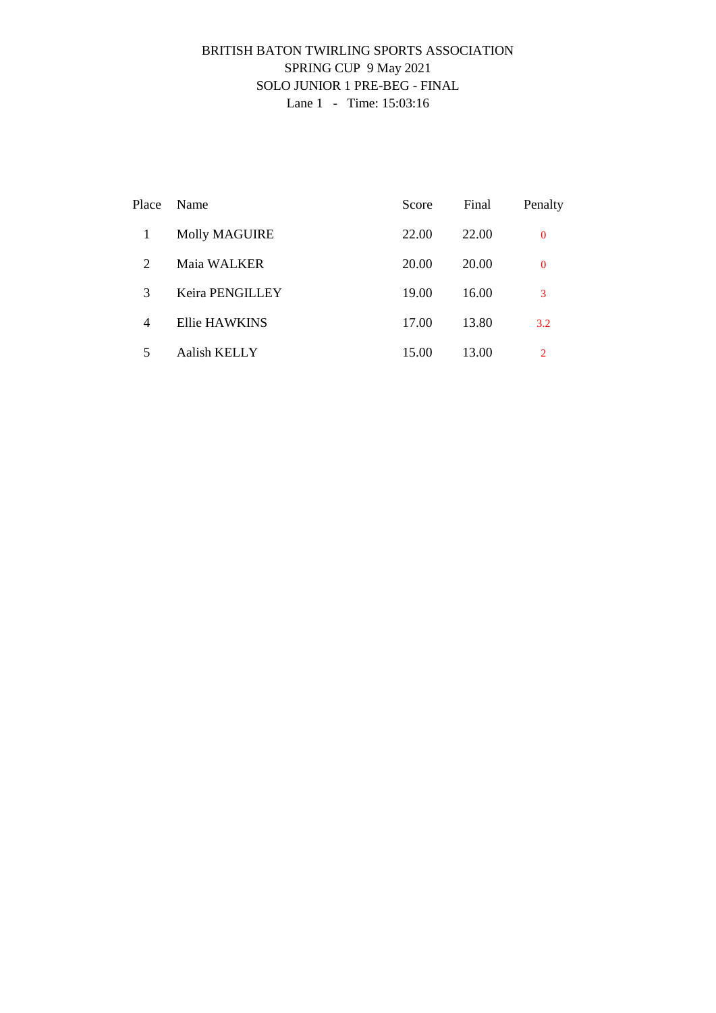### BRITISH BATON TWIRLING SPORTS ASSOCIATION SPRING CUP 9 May 2021 SOLO JUNIOR 1 PRE-BEG - FINAL Lane 1 - Time: 15:03:16

| Place | Name                 | Score | Final | Penalty      |
|-------|----------------------|-------|-------|--------------|
|       | <b>Molly MAGUIRE</b> | 22.00 | 22.00 | $\mathbf{0}$ |
| 2     | Maia WALKER          | 20.00 | 20.00 | $\bf{0}$     |
| 3     | Keira PENGILLEY      | 19.00 | 16.00 | 3            |
| 4     | Ellie HAWKINS        | 17.00 | 13.80 | 3.2          |
| 5     | Aalish KELLY         | 15.00 | 13.00 | 2            |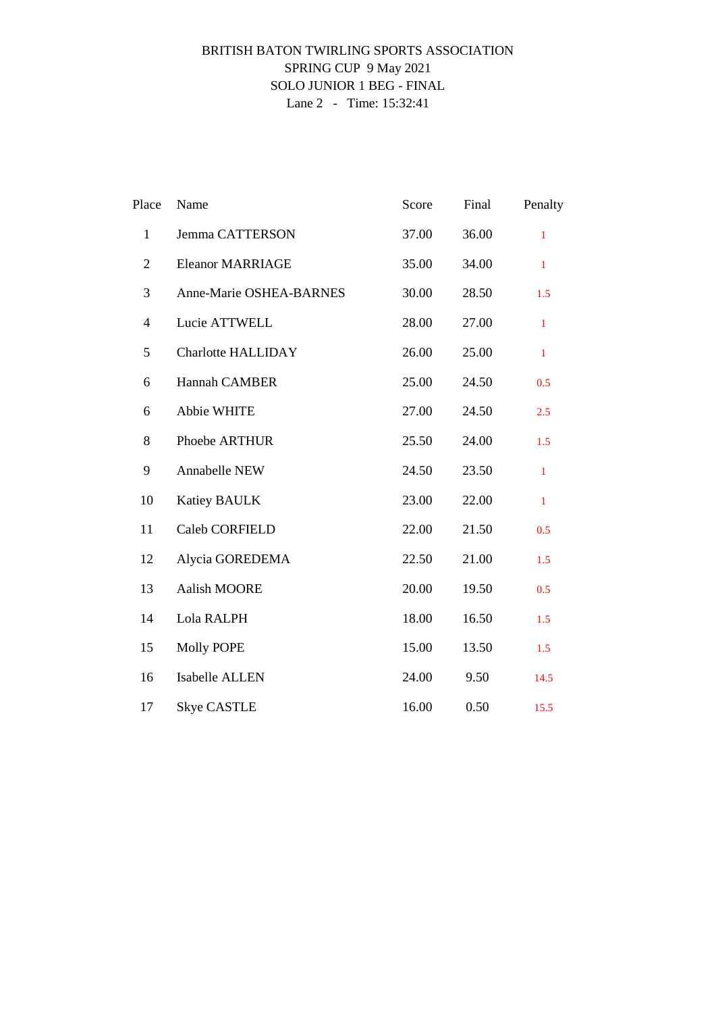### BRITISH BATON TWIRLING SPORTS ASSOCIATION SPRING CUP 9 May 2021 SOLO JUNIOR 1 BEG - FINAL Lane 2 - Time: 15:32:41

| Place          | Name                      | Score | Final | Penalty      |
|----------------|---------------------------|-------|-------|--------------|
| $\mathbf{1}$   | Jemma CATTERSON           | 37.00 | 36.00 | $\mathbf{1}$ |
| $\overline{2}$ | <b>Eleanor MARRIAGE</b>   | 35.00 | 34.00 | $\mathbf{1}$ |
| 3              | Anne-Marie OSHEA-BARNES   | 30.00 | 28.50 | 1.5          |
| $\overline{4}$ | Lucie ATTWELL             | 28.00 | 27.00 | $\mathbf{1}$ |
| 5              | <b>Charlotte HALLIDAY</b> | 26.00 | 25.00 | $\mathbf{1}$ |
| 6              | Hannah CAMBER             | 25.00 | 24.50 | 0.5          |
| 6              | Abbie WHITE               | 27.00 | 24.50 | 2.5          |
| 8              | Phoebe ARTHUR             | 25.50 | 24.00 | 1.5          |
| 9              | Annabelle NEW             | 24.50 | 23.50 | $\mathbf{1}$ |
| 10             | <b>Katiey BAULK</b>       | 23.00 | 22.00 | $\mathbf{1}$ |
| 11             | Caleb CORFIELD            | 22.00 | 21.50 | 0.5          |
| 12             | Alycia GOREDEMA           | 22.50 | 21.00 | 1.5          |
| 13             | Aalish MOORE              | 20.00 | 19.50 | 0.5          |
| 14             | Lola RALPH                | 18.00 | 16.50 | 1.5          |
| 15             | <b>Molly POPE</b>         | 15.00 | 13.50 | 1.5          |
| 16             | Isabelle ALLEN            | 24.00 | 9.50  | 14.5         |
| 17             | <b>Skye CASTLE</b>        | 16.00 | 0.50  | 15.5         |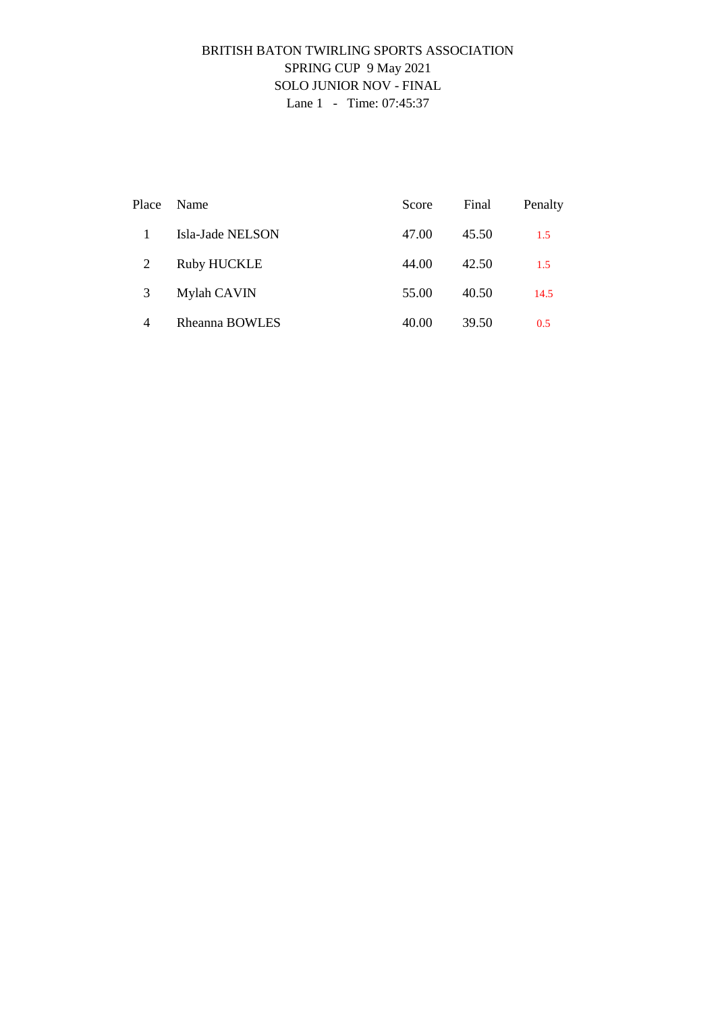## BRITISH BATON TWIRLING SPORTS ASSOCIATION SPRING CUP 9 May 2021 SOLO JUNIOR NOV - FINAL Lane 1 - Time: 07:45:37

| Place          | <b>Name</b>        | Score | Final | Penalty |
|----------------|--------------------|-------|-------|---------|
|                | Isla-Jade NELSON   | 47.00 | 45.50 | 1.5     |
| 2              | <b>Ruby HUCKLE</b> | 44.00 | 42.50 | 1.5     |
| 3              | Mylah CAVIN        | 55.00 | 40.50 | 14.5    |
| $\overline{4}$ | Rheanna BOWLES     | 40.00 | 39.50 | 0.5     |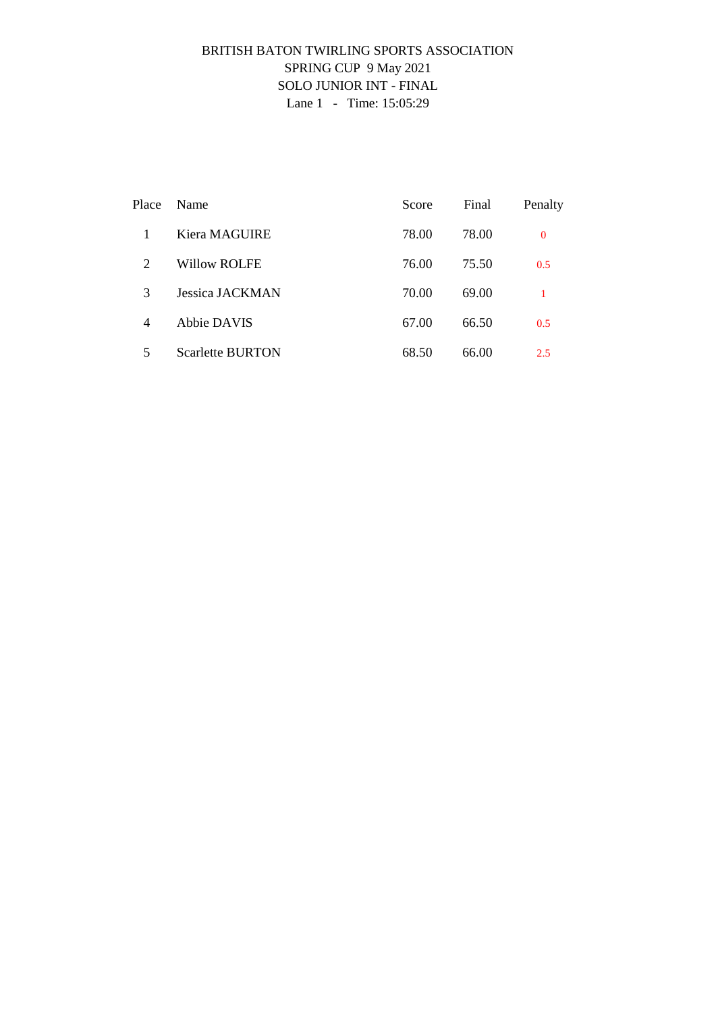## BRITISH BATON TWIRLING SPORTS ASSOCIATION SPRING CUP 9 May 2021 SOLO JUNIOR INT - FINAL Lane 1 - Time: 15:05:29

| Place          | Name                    | Score | Final | Penalty  |
|----------------|-------------------------|-------|-------|----------|
|                | Kiera MAGUIRE           | 78.00 | 78.00 | $\Omega$ |
| 2              | Willow ROLFE            | 76.00 | 75.50 | 0.5      |
| 3              | Jessica JACKMAN         | 70.00 | 69.00 |          |
| $\overline{4}$ | Abbie DAVIS             | 67.00 | 66.50 | 0.5      |
| 5              | <b>Scarlette BURTON</b> | 68.50 | 66.00 | 2.5      |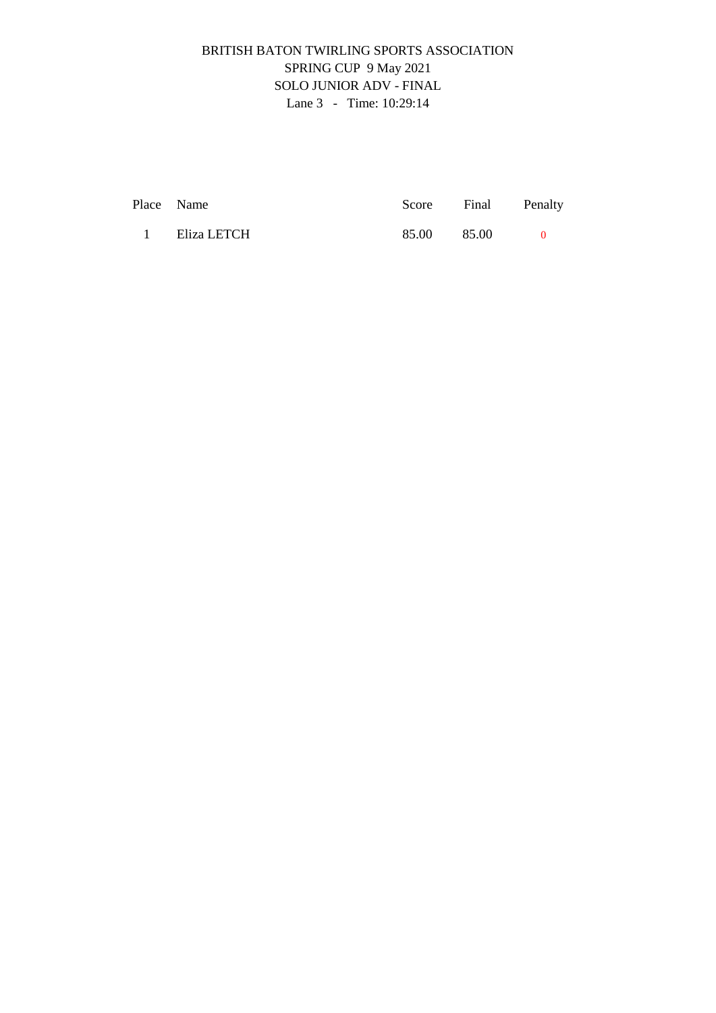# BRITISH BATON TWIRLING SPORTS ASSOCIATION SPRING CUP 9 May 2021 SOLO JUNIOR ADV - FINAL Lane 3 - Time: 10:29:14

|          | Place Name  |             | Score Final Penalty |  |
|----------|-------------|-------------|---------------------|--|
| $\sim$ 1 | Eliza LETCH | 85.00 85.00 |                     |  |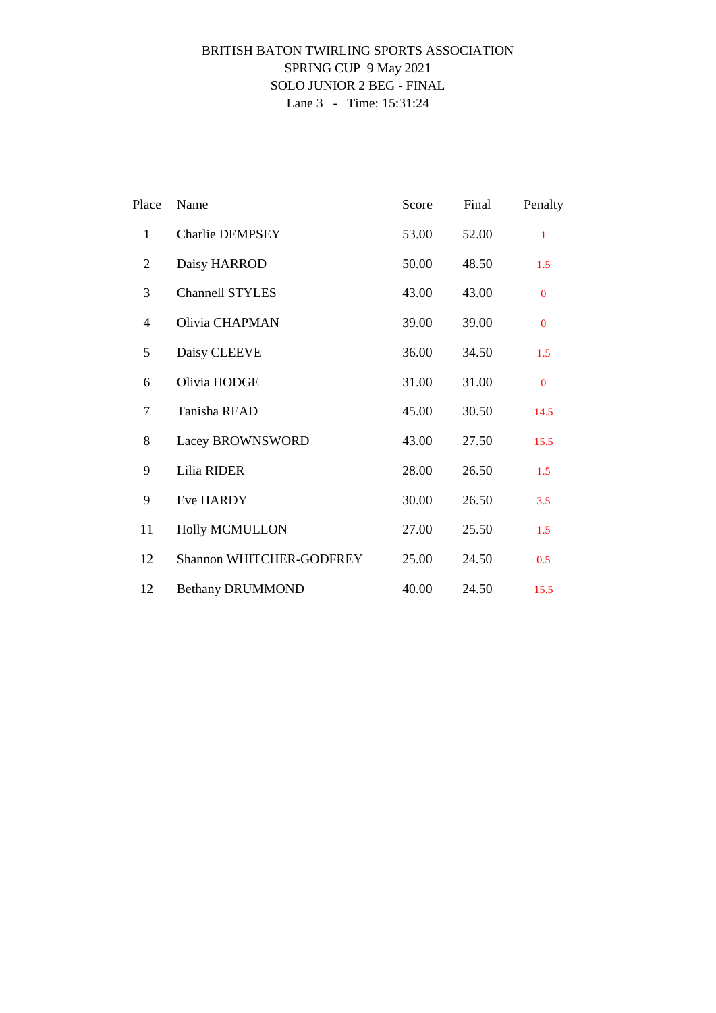### BRITISH BATON TWIRLING SPORTS ASSOCIATION SPRING CUP 9 May 2021 SOLO JUNIOR 2 BEG - FINAL Lane 3 - Time: 15:31:24

| Place          | Name                     | Score | Final | Penalty      |
|----------------|--------------------------|-------|-------|--------------|
| $\mathbf{1}$   | <b>Charlie DEMPSEY</b>   | 53.00 | 52.00 | 1            |
| $\overline{2}$ | Daisy HARROD             | 50.00 | 48.50 | 1.5          |
| 3              | <b>Channell STYLES</b>   | 43.00 | 43.00 | $\mathbf{0}$ |
| 4              | Olivia CHAPMAN           | 39.00 | 39.00 | $\mathbf{0}$ |
| 5              | Daisy CLEEVE             | 36.00 | 34.50 | 1.5          |
| 6              | Olivia HODGE             | 31.00 | 31.00 | $\Omega$     |
| $\tau$         | Tanisha READ             | 45.00 | 30.50 | 14.5         |
| 8              | Lacey BROWNSWORD         | 43.00 | 27.50 | 15.5         |
| 9              | Lilia RIDER              | 28.00 | 26.50 | 1.5          |
| 9              | Eve HARDY                | 30.00 | 26.50 | 3.5          |
| 11             | <b>Holly MCMULLON</b>    | 27.00 | 25.50 | 1.5          |
| 12             | Shannon WHITCHER-GODFREY | 25.00 | 24.50 | 0.5          |
| 12             | <b>Bethany DRUMMOND</b>  | 40.00 | 24.50 | 15.5         |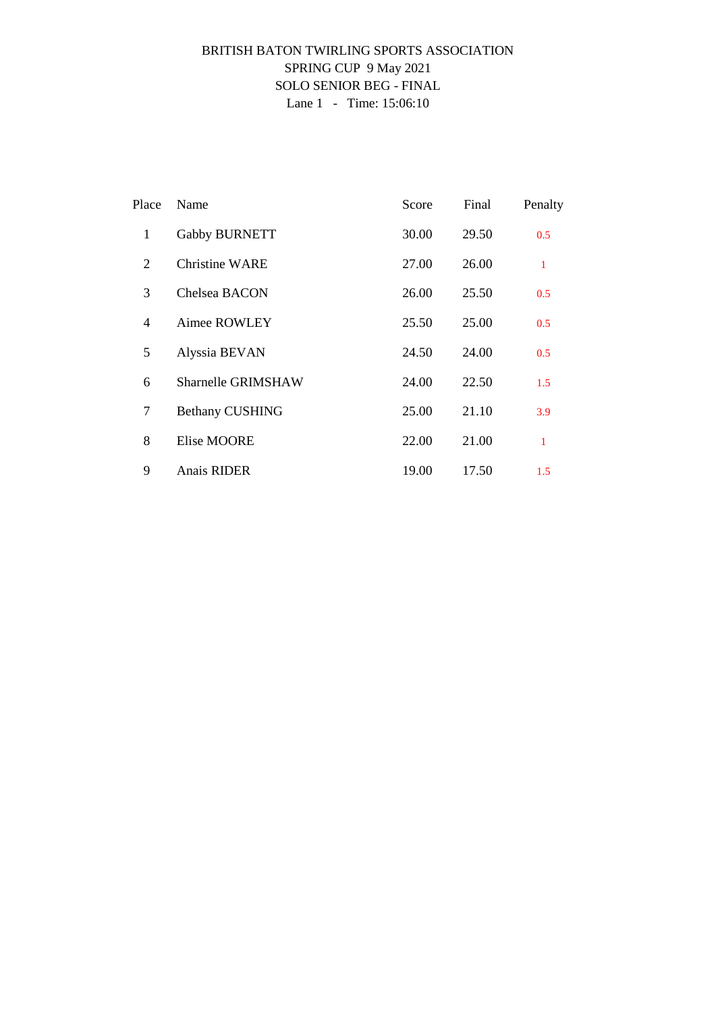## BRITISH BATON TWIRLING SPORTS ASSOCIATION SPRING CUP 9 May 2021 SOLO SENIOR BEG - FINAL Lane 1 - Time: 15:06:10

| Place          | Name                   | Score | Final | Penalty      |
|----------------|------------------------|-------|-------|--------------|
| 1              | Gabby BURNETT          | 30.00 | 29.50 | 0.5          |
| 2              | Christine WARE         | 27.00 | 26.00 | $\mathbf{1}$ |
| 3              | Chelsea BACON          | 26.00 | 25.50 | 0.5          |
| $\overline{4}$ | Aimee ROWLEY           | 25.50 | 25.00 | 0.5          |
| 5              | Alyssia BEVAN          | 24.50 | 24.00 | 0.5          |
| 6              | Sharnelle GRIMSHAW     | 24.00 | 22.50 | 1.5          |
| 7              | <b>Bethany CUSHING</b> | 25.00 | 21.10 | 3.9          |
| 8              | <b>Elise MOORE</b>     | 22.00 | 21.00 | 1            |
| 9              | Anais RIDER            | 19.00 | 17.50 | 1.5          |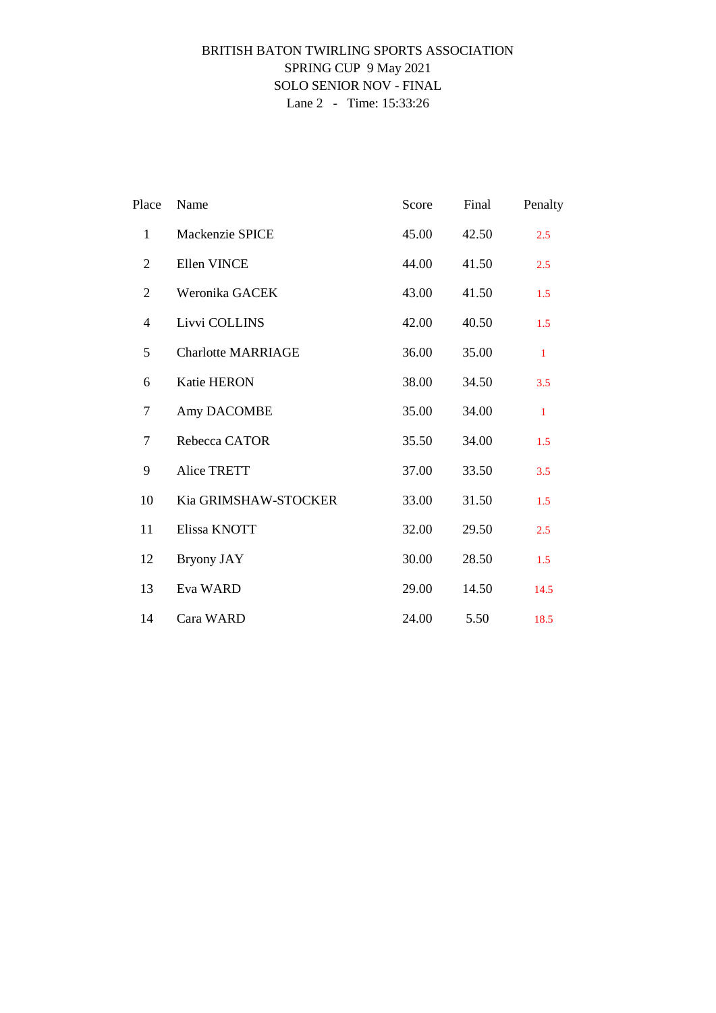### BRITISH BATON TWIRLING SPORTS ASSOCIATION SPRING CUP 9 May 2021 SOLO SENIOR NOV - FINAL Lane 2 - Time: 15:33:26

| Place          | Name                      | Score | Final | Penalty      |
|----------------|---------------------------|-------|-------|--------------|
| $\mathbf{1}$   | Mackenzie SPICE           | 45.00 | 42.50 | 2.5          |
| $\overline{2}$ | Ellen VINCE               | 44.00 | 41.50 | 2.5          |
| $\overline{2}$ | Weronika GACEK            | 43.00 | 41.50 | 1.5          |
| 4              | Livvi COLLINS             | 42.00 | 40.50 | 1.5          |
| 5              | <b>Charlotte MARRIAGE</b> | 36.00 | 35.00 | $\mathbf{1}$ |
| 6              | <b>Katie HERON</b>        | 38.00 | 34.50 | 3.5          |
| 7              | Amy DACOMBE               | 35.00 | 34.00 | $\mathbf{1}$ |
| $\tau$         | Rebecca CATOR             | 35.50 | 34.00 | 1.5          |
| 9              | <b>Alice TRETT</b>        | 37.00 | 33.50 | 3.5          |
| 10             | Kia GRIMSHAW-STOCKER      | 33.00 | 31.50 | 1.5          |
| 11             | Elissa KNOTT              | 32.00 | 29.50 | 2.5          |
| 12             | Bryony JAY                | 30.00 | 28.50 | 1.5          |
| 13             | Eva WARD                  | 29.00 | 14.50 | 14.5         |
| 14             | Cara WARD                 | 24.00 | 5.50  | 18.5         |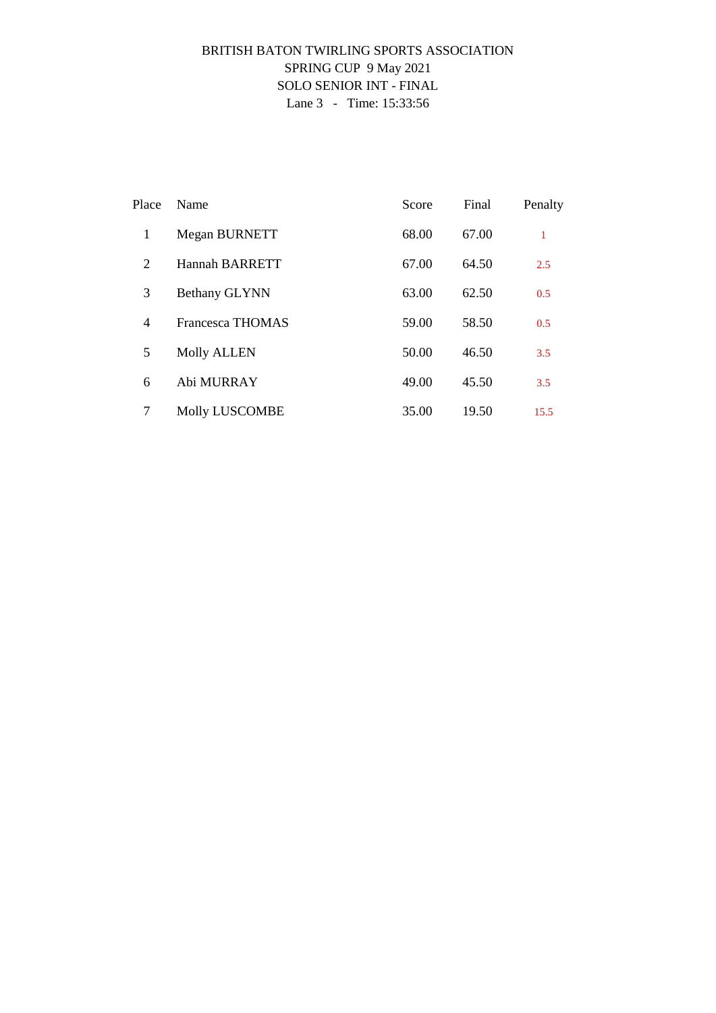## BRITISH BATON TWIRLING SPORTS ASSOCIATION SPRING CUP 9 May 2021 SOLO SENIOR INT - FINAL Lane 3 - Time: 15:33:56

| Place          | Name                    | Score | Final | Penalty |
|----------------|-------------------------|-------|-------|---------|
| 1              | Megan BURNETT           | 68.00 | 67.00 | 1       |
| 2              | Hannah BARRETT          | 67.00 | 64.50 | 2.5     |
| 3              | <b>Bethany GLYNN</b>    | 63.00 | 62.50 | 0.5     |
| $\overline{4}$ | <b>Francesca THOMAS</b> | 59.00 | 58.50 | 0.5     |
| 5              | <b>Molly ALLEN</b>      | 50.00 | 46.50 | 3.5     |
| 6              | Abi MURRAY              | 49.00 | 45.50 | 3.5     |
| 7              | <b>Molly LUSCOMBE</b>   | 35.00 | 19.50 | 15.5    |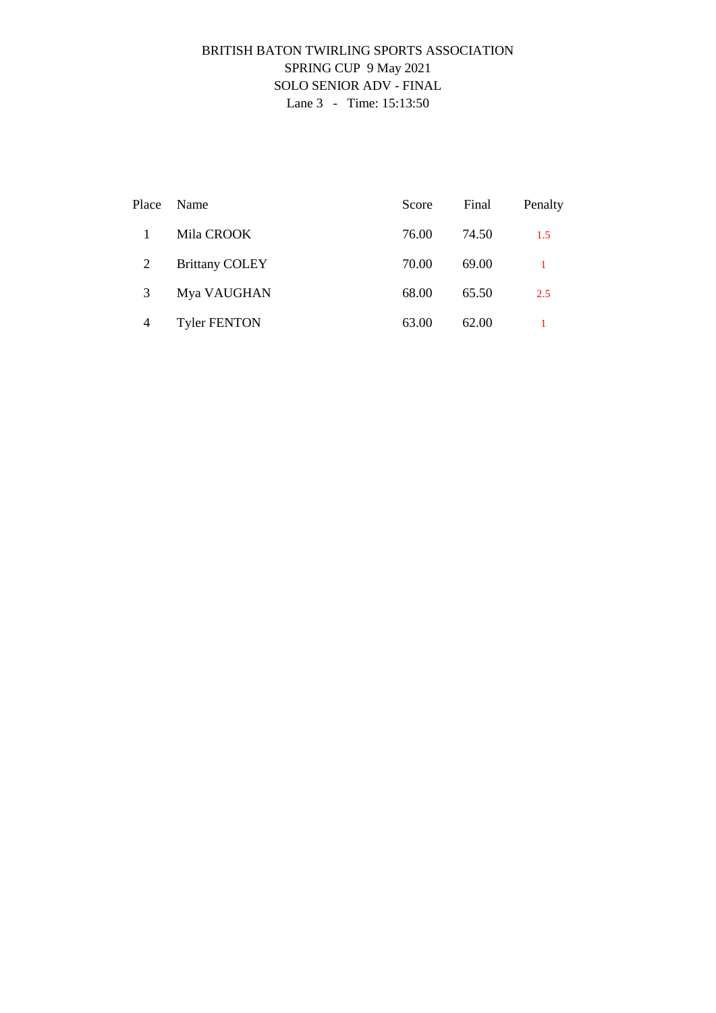## BRITISH BATON TWIRLING SPORTS ASSOCIATION SPRING CUP 9 May 2021 SOLO SENIOR ADV - FINAL Lane 3 - Time: 15:13:50

| Place          | Name                  | Score | Final | Penalty |
|----------------|-----------------------|-------|-------|---------|
|                | Mila CROOK            | 76.00 | 74.50 | 1.5     |
| 2              | <b>Brittany COLEY</b> | 70.00 | 69.00 |         |
| 3              | Mya VAUGHAN           | 68.00 | 65.50 | 2.5     |
| $\overline{4}$ | <b>Tyler FENTON</b>   | 63.00 | 62.00 |         |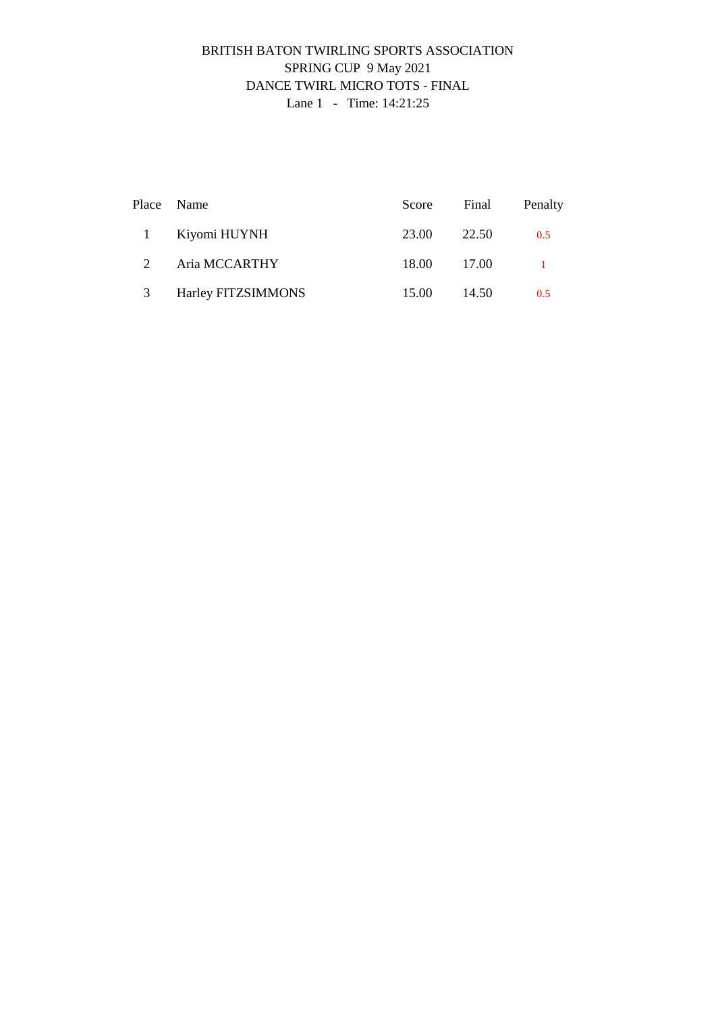## BRITISH BATON TWIRLING SPORTS ASSOCIATION SPRING CUP 9 May 2021 DANCE TWIRL MICRO TOTS - FINAL Lane 1 - Time: 14:21:25

|              | Place Name         | Score Final |         | Penalty |
|--------------|--------------------|-------------|---------|---------|
| $\mathbf{1}$ | Kiyomi HUYNH       | 23.00       | 22.50   | 0.5     |
| 2            | Aria MCCARTHY      | 18.00       | 17.00   |         |
| 3            | Harley FITZSIMMONS | 15.00       | - 14.50 | 0.5     |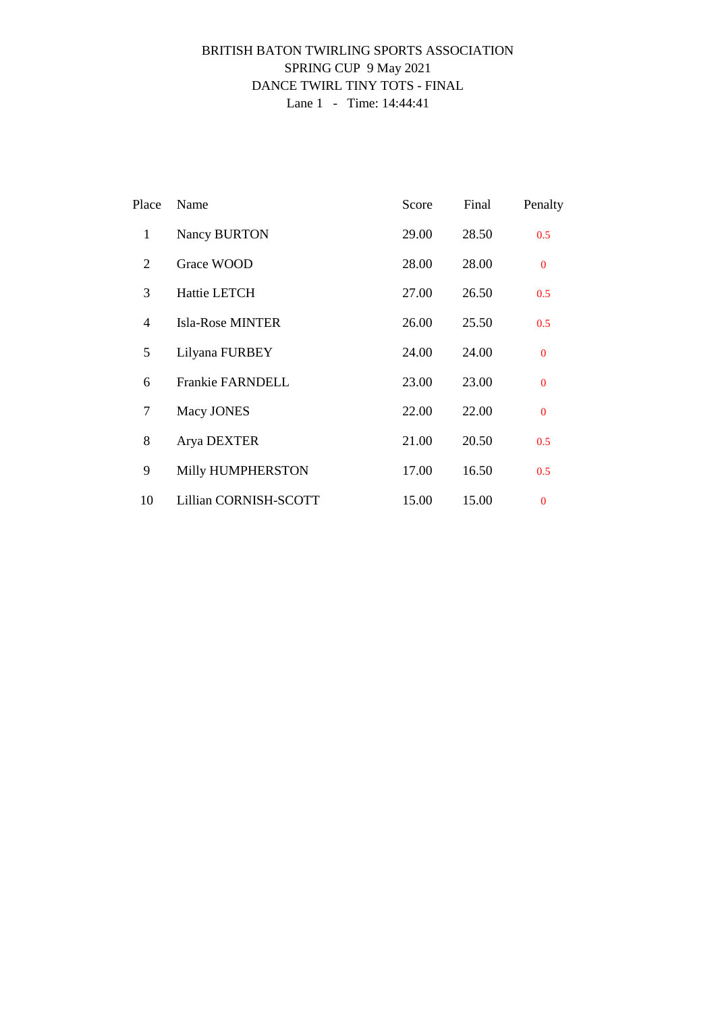## BRITISH BATON TWIRLING SPORTS ASSOCIATION SPRING CUP 9 May 2021 DANCE TWIRL TINY TOTS - FINAL Lane 1 - Time: 14:44:41

| Place          | Name                    | Score | Final | Penalty      |
|----------------|-------------------------|-------|-------|--------------|
| $\mathbf{1}$   | Nancy BURTON            | 29.00 | 28.50 | 0.5          |
| 2              | Grace WOOD              | 28.00 | 28.00 | $\Omega$     |
| 3              | Hattie LETCH            | 27.00 | 26.50 | 0.5          |
| $\overline{4}$ | <b>Isla-Rose MINTER</b> | 26.00 | 25.50 | 0.5          |
| 5              | Lilyana FURBEY          | 24.00 | 24.00 | $\Omega$     |
| 6              | <b>Frankie FARNDELL</b> | 23.00 | 23.00 | $\Omega$     |
| 7              | Macy JONES              | 22.00 | 22.00 | $\mathbf{0}$ |
| 8              | Arya DEXTER             | 21.00 | 20.50 | 0.5          |
| 9              | Milly HUMPHERSTON       | 17.00 | 16.50 | 0.5          |
| 10             | Lillian CORNISH-SCOTT   | 15.00 | 15.00 | $\Omega$     |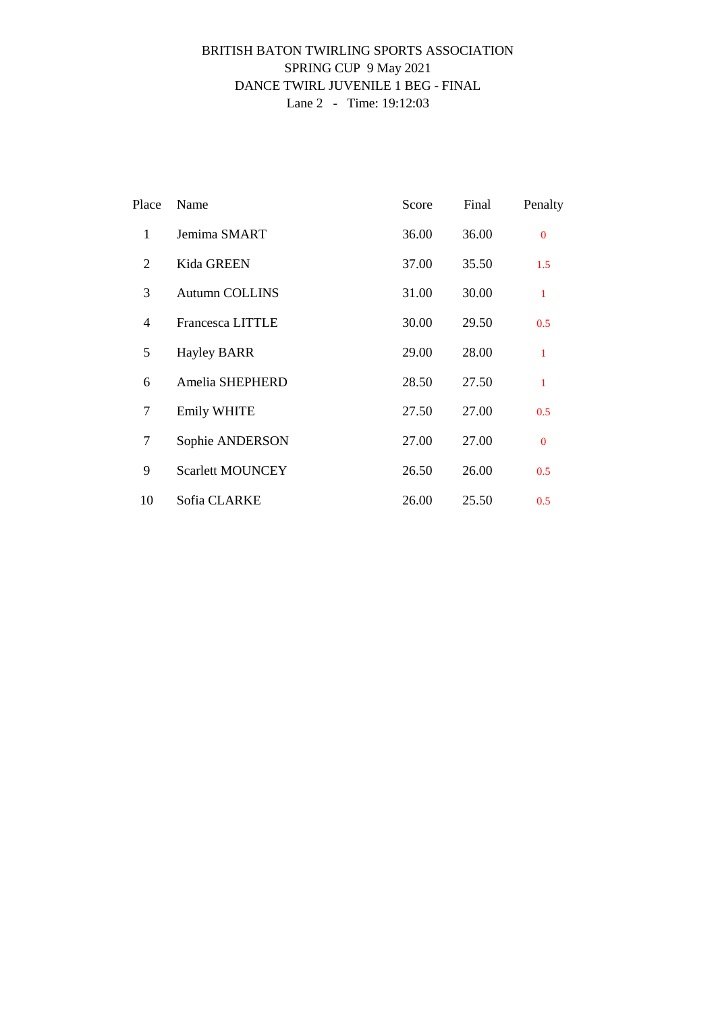### BRITISH BATON TWIRLING SPORTS ASSOCIATION SPRING CUP 9 May 2021 DANCE TWIRL JUVENILE 1 BEG - FINAL Lane 2 - Time: 19:12:03

| Place          | Name                    | Score | Final | Penalty      |
|----------------|-------------------------|-------|-------|--------------|
| $\mathbf{1}$   | Jemima SMART            | 36.00 | 36.00 | $\Omega$     |
| 2              | <b>Kida GREEN</b>       | 37.00 | 35.50 | 1.5          |
| 3              | <b>Autumn COLLINS</b>   | 31.00 | 30.00 | $\mathbf{1}$ |
| $\overline{4}$ | <b>Francesca LITTLE</b> | 30.00 | 29.50 | 0.5          |
| 5              | <b>Hayley BARR</b>      | 29.00 | 28.00 | $\mathbf{1}$ |
| 6              | Amelia SHEPHERD         | 28.50 | 27.50 | $\mathbf{1}$ |
| 7              | <b>Emily WHITE</b>      | 27.50 | 27.00 | 0.5          |
| 7              | Sophie ANDERSON         | 27.00 | 27.00 | $\Omega$     |
| 9              | <b>Scarlett MOUNCEY</b> | 26.50 | 26.00 | 0.5          |
| 10             | Sofia CLARKE            | 26.00 | 25.50 | 0.5          |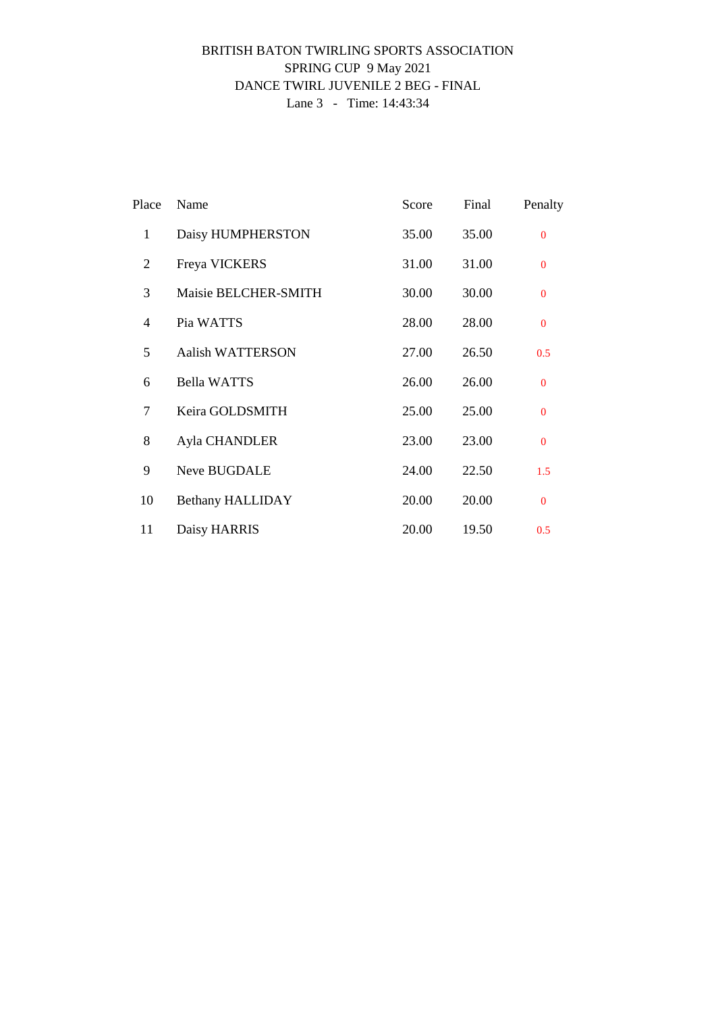### BRITISH BATON TWIRLING SPORTS ASSOCIATION SPRING CUP 9 May 2021 DANCE TWIRL JUVENILE 2 BEG - FINAL Lane 3 - Time: 14:43:34

| Place          | Name                    | Score | Final | Penalty        |
|----------------|-------------------------|-------|-------|----------------|
| $\mathbf{1}$   | Daisy HUMPHERSTON       | 35.00 | 35.00 | $\overline{0}$ |
| 2              | Freya VICKERS           | 31.00 | 31.00 | $\Omega$       |
| 3              | Maisie BELCHER-SMITH    | 30.00 | 30.00 | $\Omega$       |
| $\overline{4}$ | Pia WATTS               | 28.00 | 28.00 | $\Omega$       |
| 5              | <b>Aalish WATTERSON</b> | 27.00 | 26.50 | 0.5            |
| 6              | <b>Bella WATTS</b>      | 26.00 | 26.00 | $\Omega$       |
| 7              | Keira GOLDSMITH         | 25.00 | 25.00 | $\Omega$       |
| 8              | Ayla CHANDLER           | 23.00 | 23.00 | $\mathbf{0}$   |
| 9              | Neve BUGDALE            | 24.00 | 22.50 | 1.5            |
| 10             | <b>Bethany HALLIDAY</b> | 20.00 | 20.00 | $\Omega$       |
| 11             | Daisy HARRIS            | 20.00 | 19.50 | 0.5            |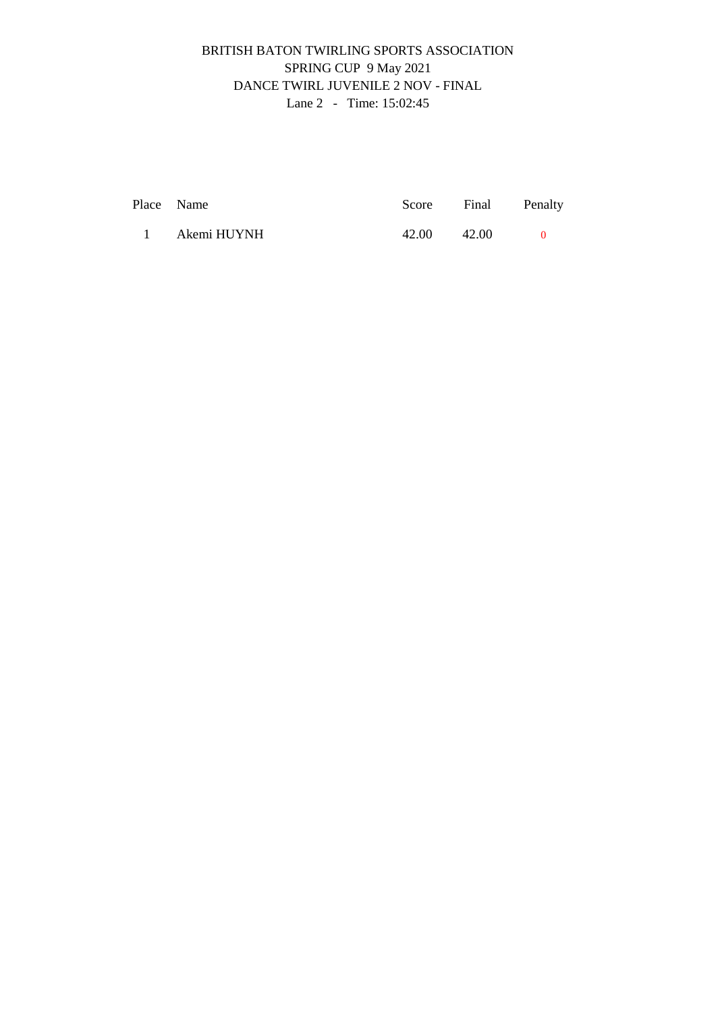## BRITISH BATON TWIRLING SPORTS ASSOCIATION SPRING CUP 9 May 2021 DANCE TWIRL JUVENILE 2 NOV - FINAL Lane 2 - Time: 15:02:45

| Place Name    |       | Score Final Penalty |  |
|---------------|-------|---------------------|--|
| 1 Akemi HUYNH | 42.00 | 42.00               |  |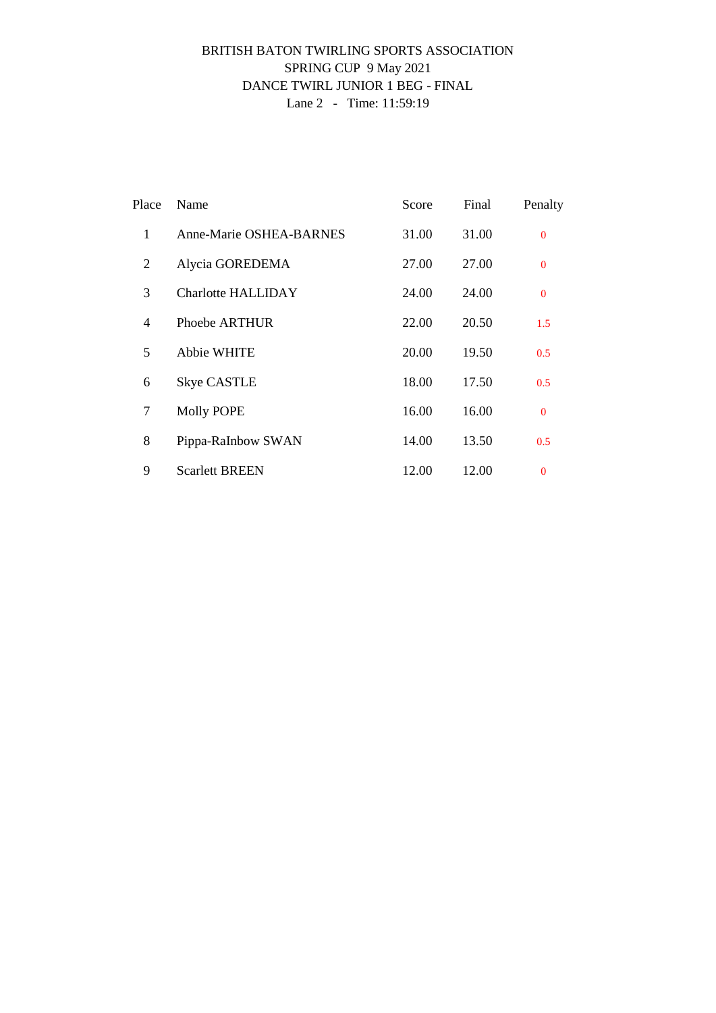### BRITISH BATON TWIRLING SPORTS ASSOCIATION SPRING CUP 9 May 2021 DANCE TWIRL JUNIOR 1 BEG - FINAL Lane 2 - Time: 11:59:19

| Place          | Name                      | Score | Final | Penalty        |
|----------------|---------------------------|-------|-------|----------------|
| 1              | Anne-Marie OSHEA-BARNES   | 31.00 | 31.00 | $\overline{0}$ |
| 2              | Alycia GOREDEMA           | 27.00 | 27.00 | $\overline{0}$ |
| 3              | <b>Charlotte HALLIDAY</b> | 24.00 | 24.00 | $\overline{0}$ |
| $\overline{4}$ | Phoebe ARTHUR             | 22.00 | 20.50 | 1.5            |
| 5              | <b>Abbie WHITE</b>        | 20.00 | 19.50 | 0.5            |
| 6              | <b>Skye CASTLE</b>        | 18.00 | 17.50 | 0.5            |
| 7              | Molly POPE                | 16.00 | 16.00 | $\mathbf{0}$   |
| 8              | Pippa-RaInbow SWAN        | 14.00 | 13.50 | 0.5            |
| 9              | <b>Scarlett BREEN</b>     | 12.00 | 12.00 | $\overline{0}$ |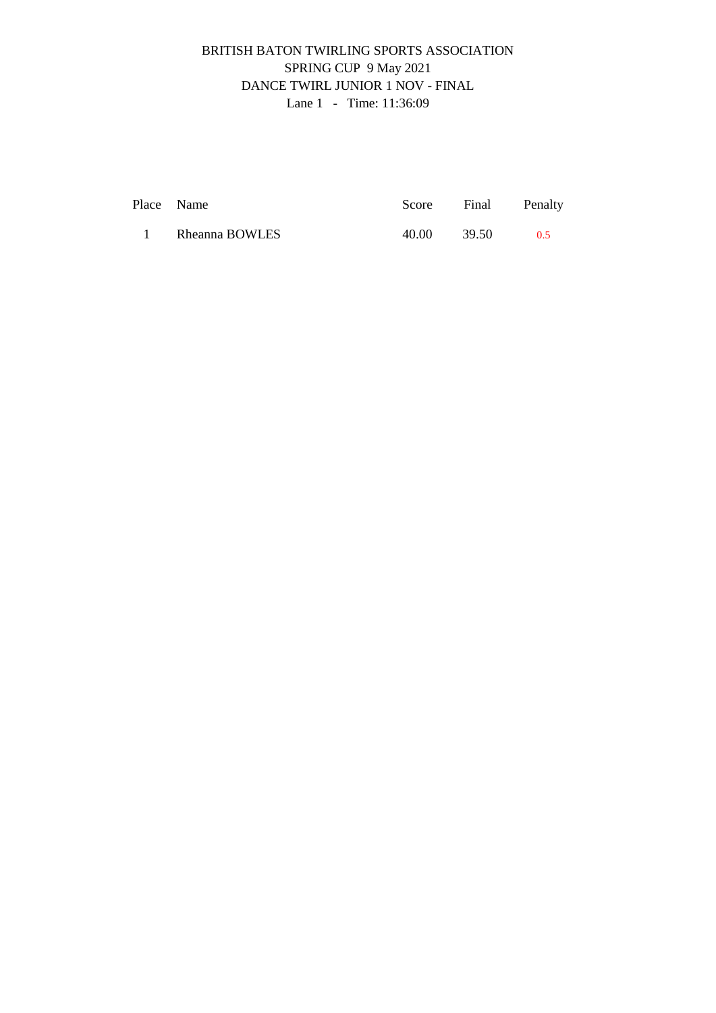## BRITISH BATON TWIRLING SPORTS ASSOCIATION SPRING CUP 9 May 2021 DANCE TWIRL JUNIOR 1 NOV - FINAL Lane 1 - Time: 11:36:09

| Place Name |                |       | Score Final Penalty |     |
|------------|----------------|-------|---------------------|-----|
|            | Rheanna BOWLES | 40.00 | 39.50               | 0.5 |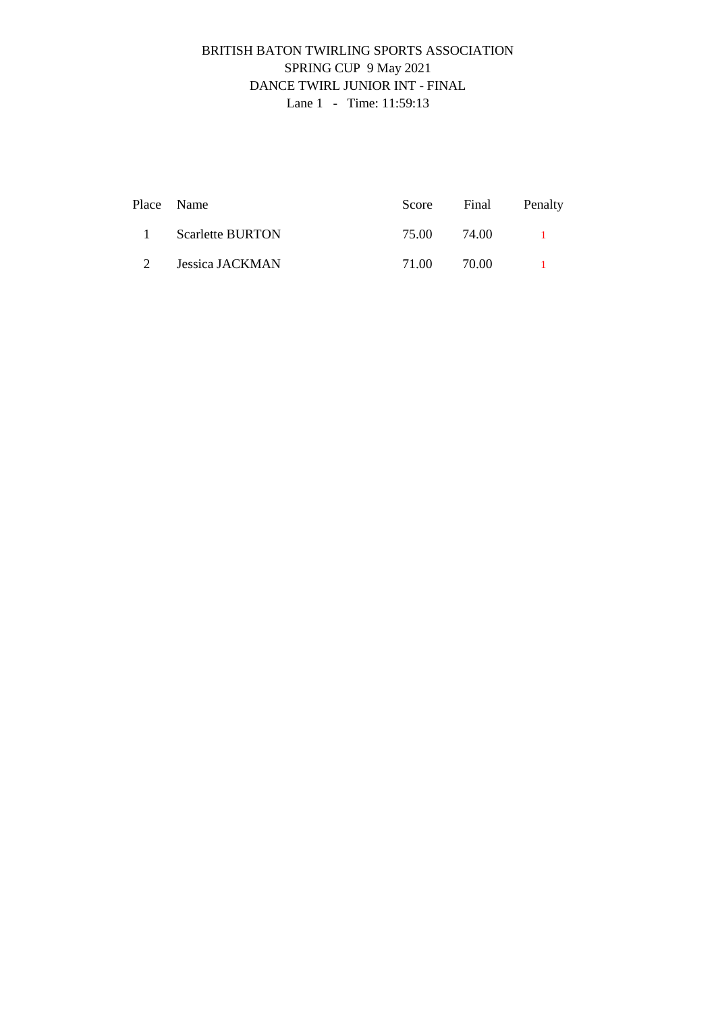## BRITISH BATON TWIRLING SPORTS ASSOCIATION SPRING CUP 9 May 2021 DANCE TWIRL JUNIOR INT - FINAL Lane 1 - Time: 11:59:13

|                | Place Name              |       |       | Score Final Penalty |
|----------------|-------------------------|-------|-------|---------------------|
| $\mathbf{1}$   | <b>Scarlette BURTON</b> | 75.00 | 74.00 |                     |
| 2 <sup>1</sup> | Jessica JACKMAN         | 71.00 | 70.00 |                     |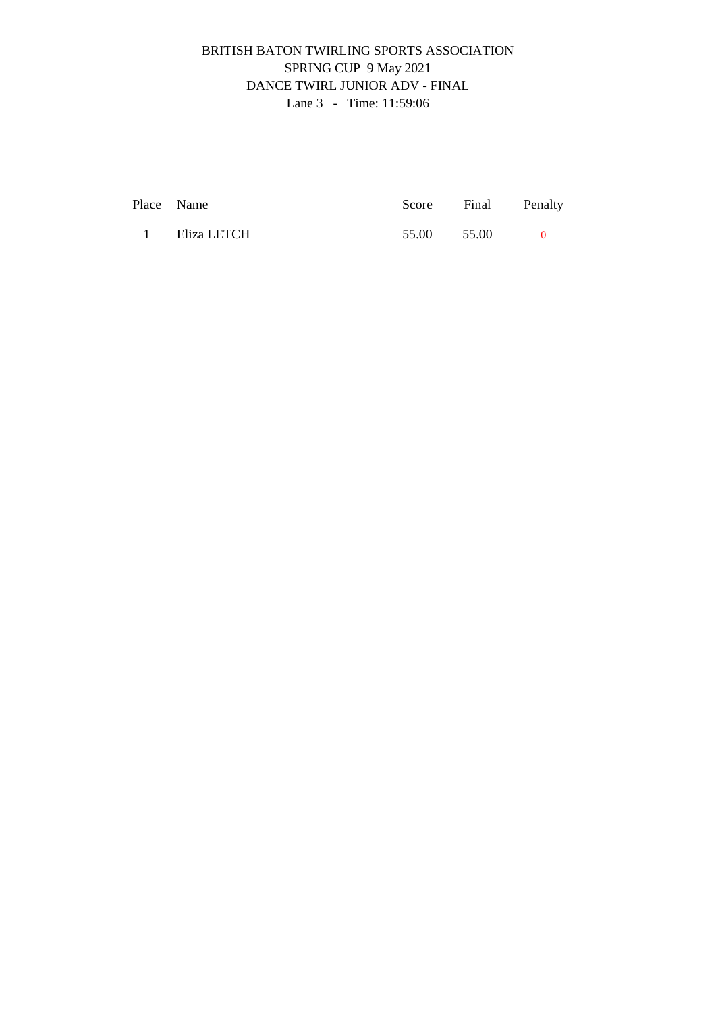## BRITISH BATON TWIRLING SPORTS ASSOCIATION SPRING CUP 9 May 2021 DANCE TWIRL JUNIOR ADV - FINAL Lane 3 - Time: 11:59:06

| Place Name    |             | Score Final Penalty |  |
|---------------|-------------|---------------------|--|
| 1 Eliza LETCH | 55.00 55.00 |                     |  |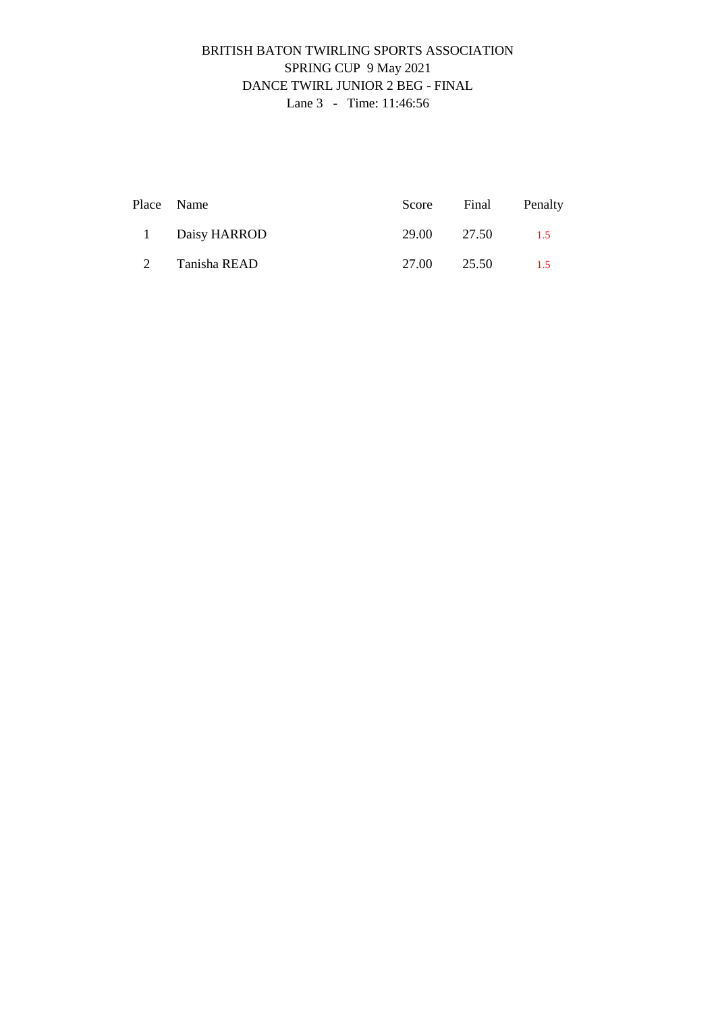## BRITISH BATON TWIRLING SPORTS ASSOCIATION SPRING CUP 9 May 2021 DANCE TWIRL JUNIOR 2 BEG - FINAL Lane 3 - Time: 11:46:56

|   | Place Name     |             | Score Final | Penalty |
|---|----------------|-------------|-------------|---------|
|   | 1 Daisy HARROD | 29.00 27.50 |             | 1.5     |
| 2 | Tanisha READ   | 27.00 25.50 |             | 1.5     |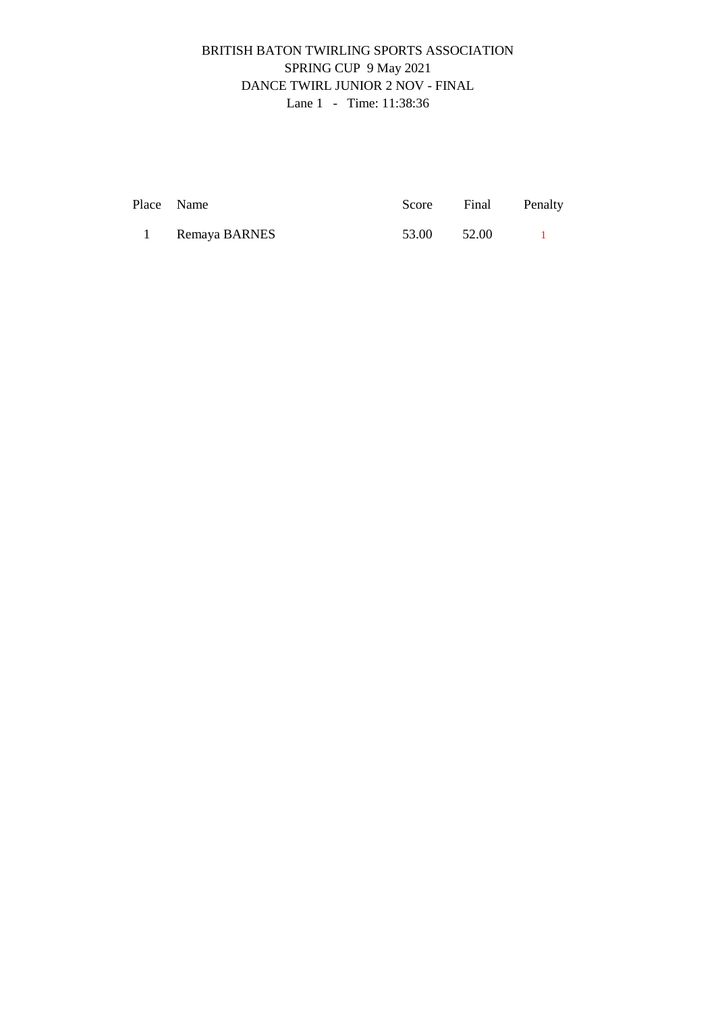## BRITISH BATON TWIRLING SPORTS ASSOCIATION SPRING CUP 9 May 2021 DANCE TWIRL JUNIOR 2 NOV - FINAL Lane 1 - Time: 11:38:36

| Place Name |                 | Score Final Penalty |  |
|------------|-----------------|---------------------|--|
|            | 1 Remaya BARNES | 53.00 52.00         |  |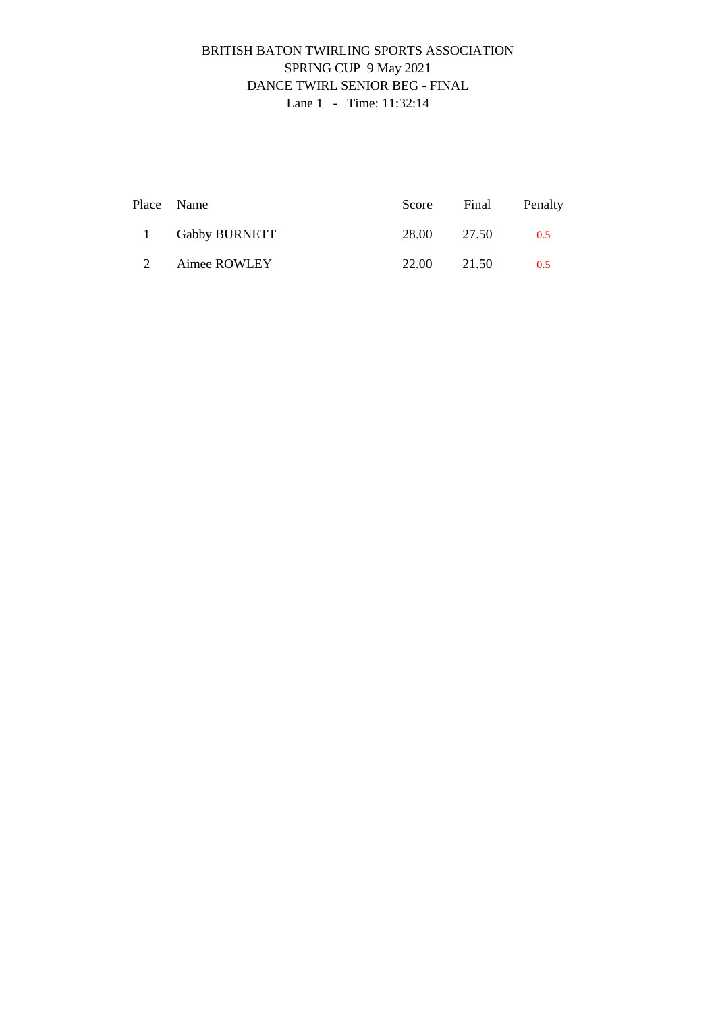## BRITISH BATON TWIRLING SPORTS ASSOCIATION SPRING CUP 9 May 2021 DANCE TWIRL SENIOR BEG - FINAL Lane 1 - Time: 11:32:14

|             | Place Name      |             | Score Final | Penalty |
|-------------|-----------------|-------------|-------------|---------|
|             | 1 Gabby BURNETT | 28.00 27.50 |             | 0.5     |
| $2^{\circ}$ | Aimee ROWLEY    | 22.00       | 21.50       | 0.5     |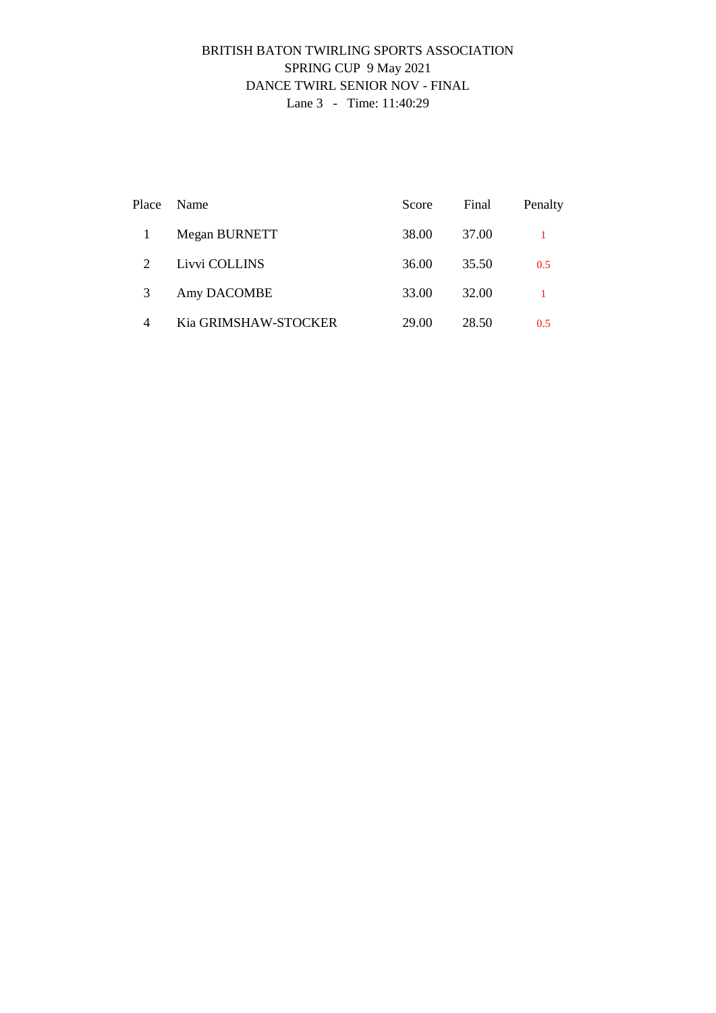### BRITISH BATON TWIRLING SPORTS ASSOCIATION SPRING CUP 9 May 2021 DANCE TWIRL SENIOR NOV - FINAL Lane 3 - Time: 11:40:29

| Place | Name                 | Score | Final | Penalty |
|-------|----------------------|-------|-------|---------|
|       | Megan BURNETT        | 38.00 | 37.00 |         |
| 2     | Livvi COLLINS        | 36.00 | 35.50 | 0.5     |
| 3     | Amy DACOMBE          | 33.00 | 32.00 |         |
| 4     | Kia GRIMSHAW-STOCKER | 29.00 | 28.50 | 0.5     |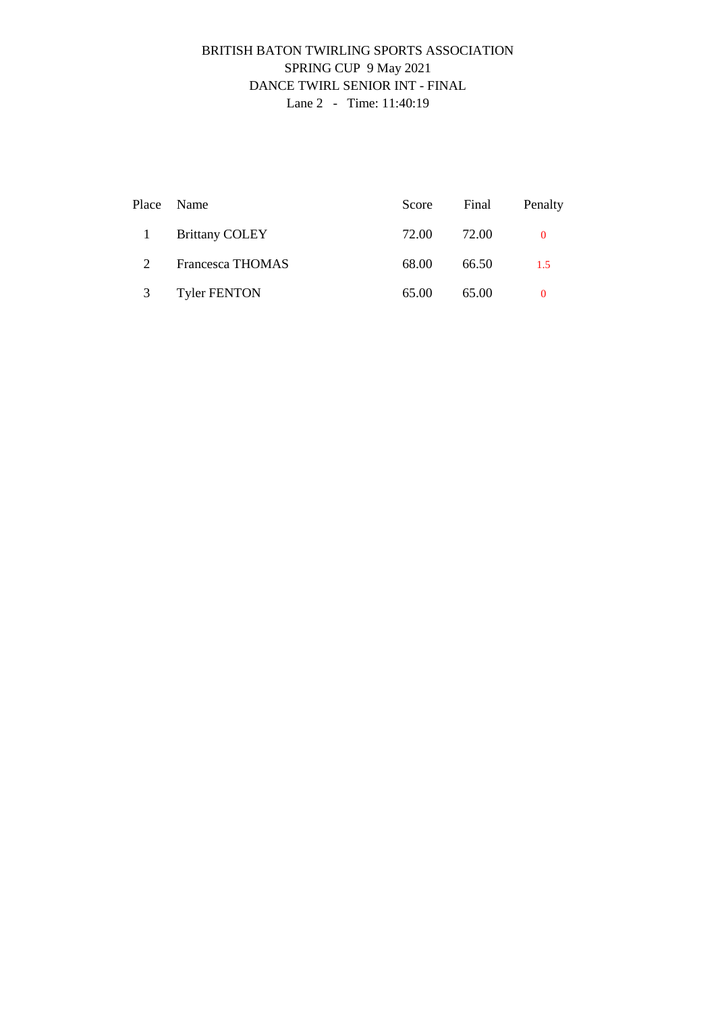### BRITISH BATON TWIRLING SPORTS ASSOCIATION SPRING CUP 9 May 2021 DANCE TWIRL SENIOR INT - FINAL Lane 2 - Time: 11:40:19

|              | Place Name              | Score | Final | Penalty  |
|--------------|-------------------------|-------|-------|----------|
| $\mathbf{1}$ | <b>Brittany COLEY</b>   | 72.00 | 72.00 | $\Omega$ |
| 2            | <b>Francesca THOMAS</b> | 68.00 | 66.50 | 1.5      |
| 3            | <b>Tyler FENTON</b>     | 65.00 | 65.00 | $\Omega$ |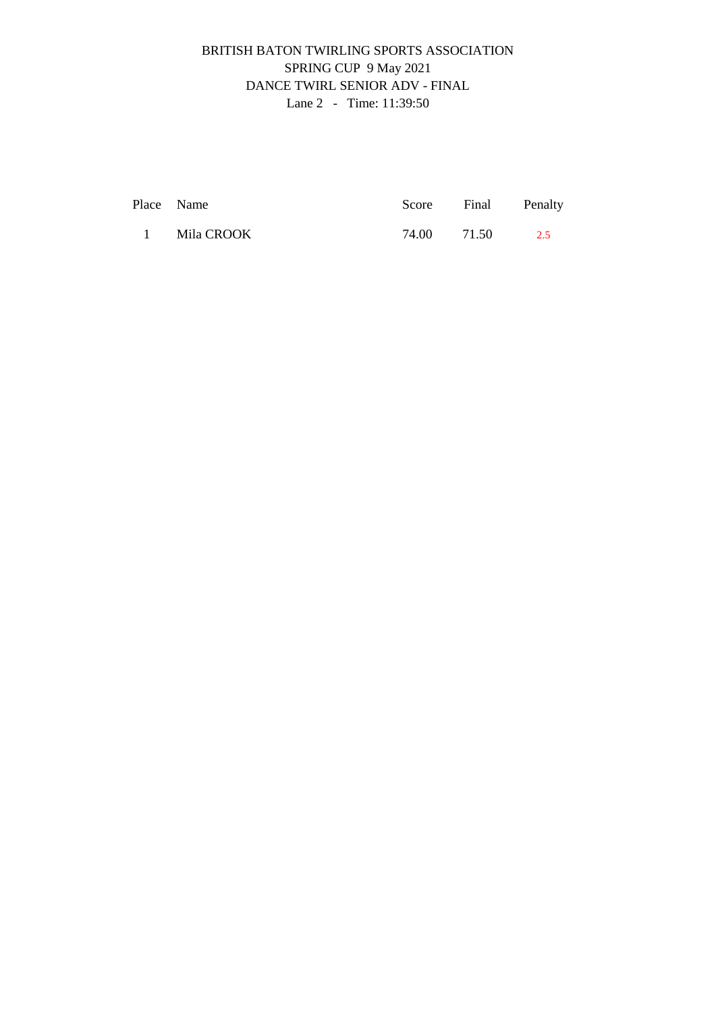# BRITISH BATON TWIRLING SPORTS ASSOCIATION SPRING CUP 9 May 2021 DANCE TWIRL SENIOR ADV - FINAL Lane 2 - Time: 11:39:50

| Place Name   | Score Final Penalty |     |
|--------------|---------------------|-----|
| 1 Mila CROOK | 74.00 71.50         | 2.5 |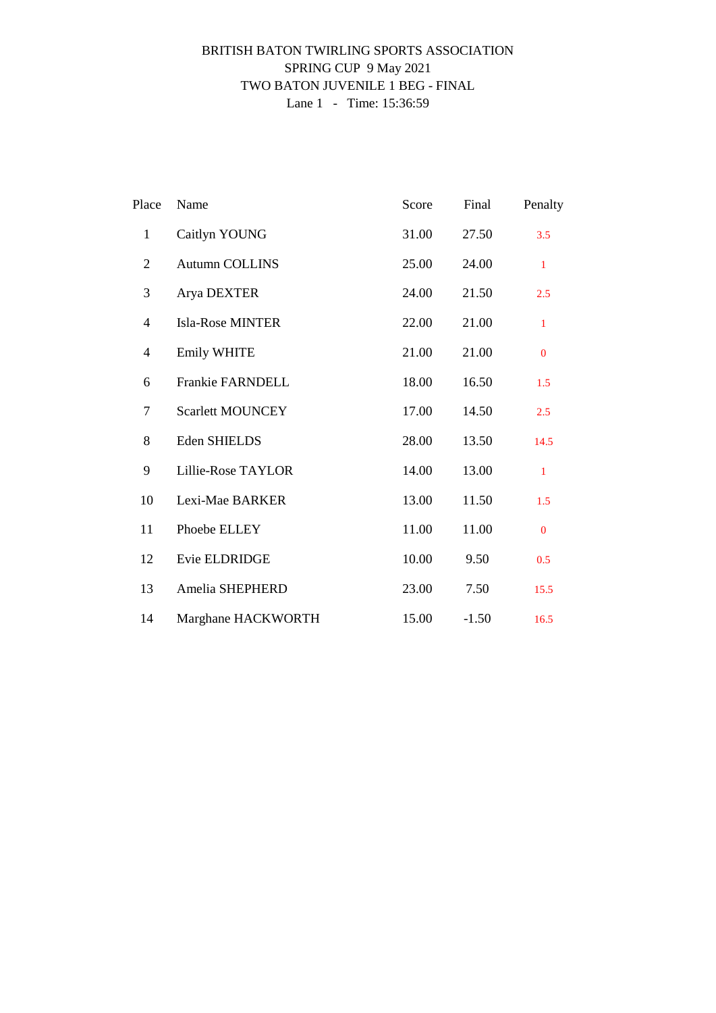# BRITISH BATON TWIRLING SPORTS ASSOCIATION SPRING CUP 9 May 2021 TWO BATON JUVENILE 1 BEG - FINAL Lane 1 - Time: 15:36:59

| Place            | Name                    | Score | Final   | Penalty      |
|------------------|-------------------------|-------|---------|--------------|
| $\mathbf{1}$     | Caitlyn YOUNG           | 31.00 | 27.50   | 3.5          |
| $\overline{2}$   | <b>Autumn COLLINS</b>   | 25.00 | 24.00   | $\mathbf{1}$ |
| 3                | Arya DEXTER             | 24.00 | 21.50   | 2.5          |
| 4                | Isla-Rose MINTER        | 22.00 | 21.00   | $\mathbf{1}$ |
| $\overline{4}$   | Emily WHITE             | 21.00 | 21.00   | $\mathbf{0}$ |
| 6                | Frankie FARNDELL        | 18.00 | 16.50   | 1.5          |
| $\boldsymbol{7}$ | <b>Scarlett MOUNCEY</b> | 17.00 | 14.50   | 2.5          |
| 8                | Eden SHIELDS            | 28.00 | 13.50   | 14.5         |
| 9                | Lillie-Rose TAYLOR      | 14.00 | 13.00   | $\mathbf{1}$ |
| 10               | Lexi-Mae BARKER         | 13.00 | 11.50   | 1.5          |
| 11               | Phoebe ELLEY            | 11.00 | 11.00   | $\mathbf{0}$ |
| 12               | Evie ELDRIDGE           | 10.00 | 9.50    | 0.5          |
| 13               | Amelia SHEPHERD         | 23.00 | 7.50    | 15.5         |
| 14               | Marghane HACKWORTH      | 15.00 | $-1.50$ | 16.5         |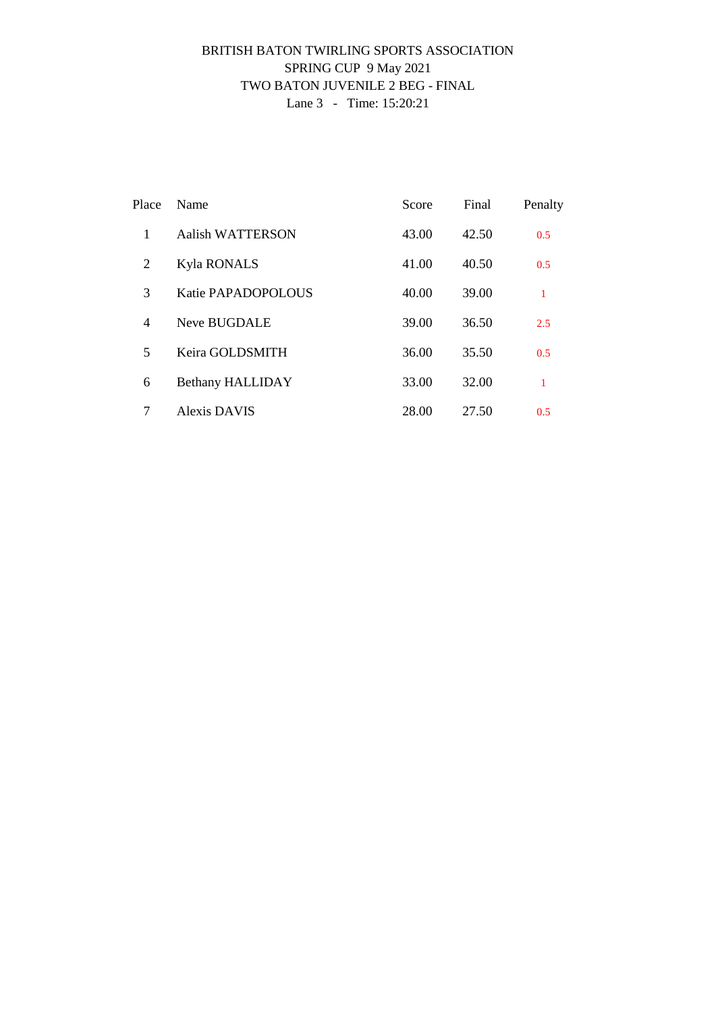# BRITISH BATON TWIRLING SPORTS ASSOCIATION SPRING CUP 9 May 2021 TWO BATON JUVENILE 2 BEG - FINAL Lane 3 - Time: 15:20:21

| Place          | Name                    | Score | Final | Penalty      |
|----------------|-------------------------|-------|-------|--------------|
| 1              | <b>Aalish WATTERSON</b> | 43.00 | 42.50 | 0.5          |
| 2              | <b>Kyla RONALS</b>      | 41.00 | 40.50 | 0.5          |
| 3              | Katie PAPADOPOLOUS      | 40.00 | 39.00 | $\mathbf{1}$ |
| $\overline{4}$ | Neve BUGDALE            | 39.00 | 36.50 | 2.5          |
| 5              | Keira GOLDSMITH         | 36.00 | 35.50 | 0.5          |
| 6              | <b>Bethany HALLIDAY</b> | 33.00 | 32.00 | 1            |
| 7              | <b>Alexis DAVIS</b>     | 28.00 | 27.50 | 0.5          |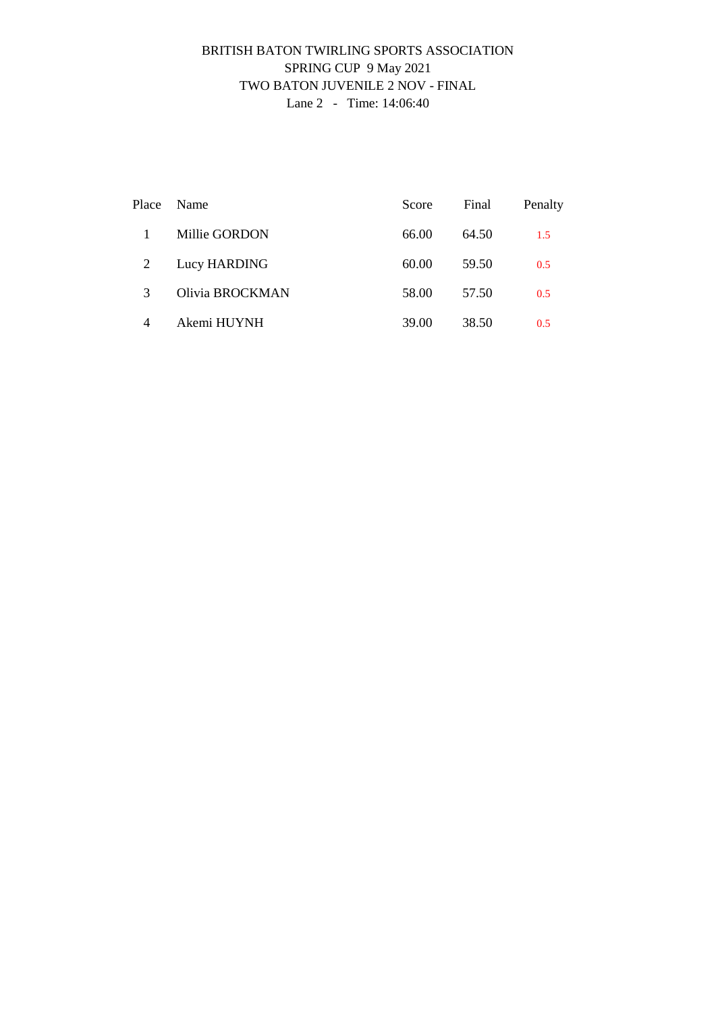### BRITISH BATON TWIRLING SPORTS ASSOCIATION SPRING CUP 9 May 2021 TWO BATON JUVENILE 2 NOV - FINAL Lane 2 - Time: 14:06:40

| Place | Name            | Score | Final | Penalty |
|-------|-----------------|-------|-------|---------|
|       | Millie GORDON   | 66.00 | 64.50 | 1.5     |
| 2     | Lucy HARDING    | 60.00 | 59.50 | 0.5     |
| 3     | Olivia BROCKMAN | 58.00 | 57.50 | 0.5     |
| 4     | Akemi HUYNH     | 39.00 | 38.50 | 0.5     |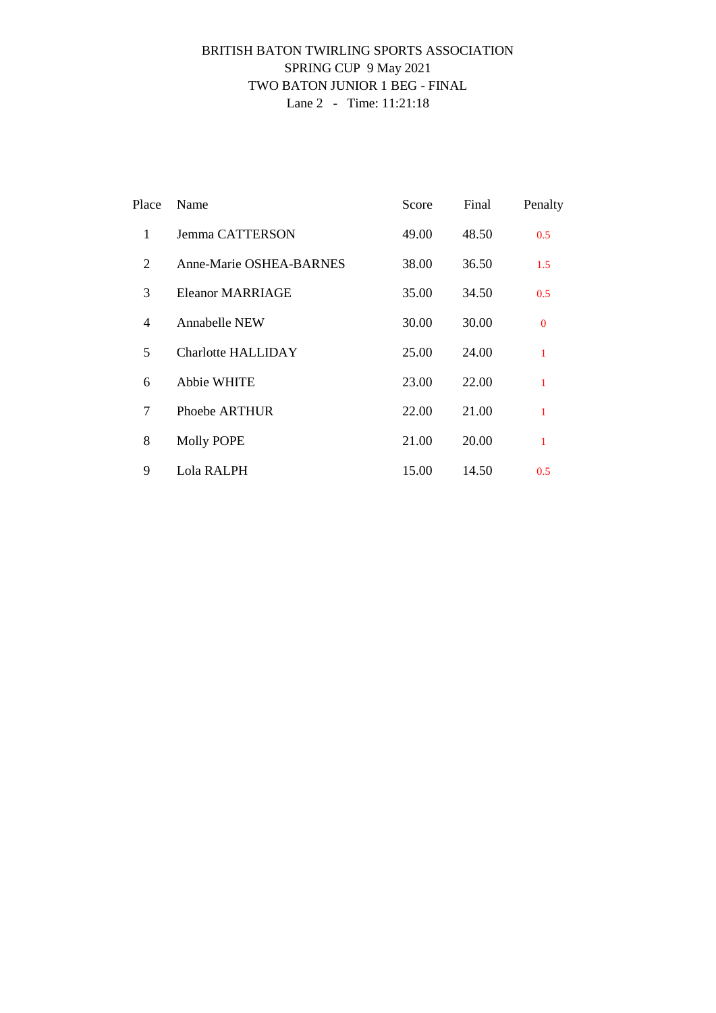### BRITISH BATON TWIRLING SPORTS ASSOCIATION SPRING CUP 9 May 2021 TWO BATON JUNIOR 1 BEG - FINAL Lane 2 - Time: 11:21:18

| Place          | Name                           | Score | Final | Penalty      |
|----------------|--------------------------------|-------|-------|--------------|
| 1              | Jemma CATTERSON                | 49.00 | 48.50 | 0.5          |
| 2              | <b>Anne-Marie OSHEA-BARNES</b> | 38.00 | 36.50 | 1.5          |
| 3              | Eleanor MARRIAGE               | 35.00 | 34.50 | 0.5          |
| $\overline{4}$ | <b>Annabelle NEW</b>           | 30.00 | 30.00 | $\Omega$     |
| 5              | <b>Charlotte HALLIDAY</b>      | 25.00 | 24.00 | $\mathbf{1}$ |
| 6              | Abbie WHITE                    | 23.00 | 22.00 | $\mathbf{1}$ |
| 7              | Phoebe ARTHUR                  | 22.00 | 21.00 | $\mathbf{1}$ |
| 8              | <b>Molly POPE</b>              | 21.00 | 20.00 | $\mathbf{1}$ |
| 9              | Lola RALPH                     | 15.00 | 14.50 | 0.5          |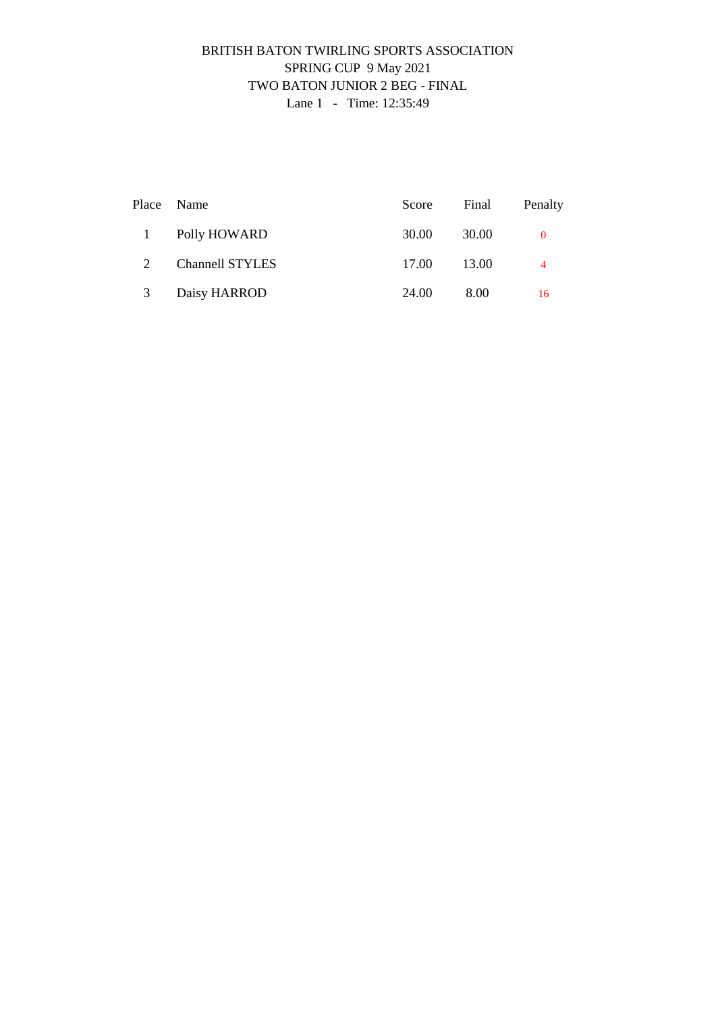### BRITISH BATON TWIRLING SPORTS ASSOCIATION SPRING CUP 9 May 2021 TWO BATON JUNIOR 2 BEG - FINAL Lane 1 - Time: 12:35:49

|    | Place Name             | Score | Final | Penalty  |
|----|------------------------|-------|-------|----------|
| -1 | Polly HOWARD           | 30.00 | 30.00 | $\Omega$ |
| 2  | <b>Channell STYLES</b> | 17.00 | 13.00 | 4        |
| 3  | Daisy HARROD           | 24.00 | 8.00  | 16       |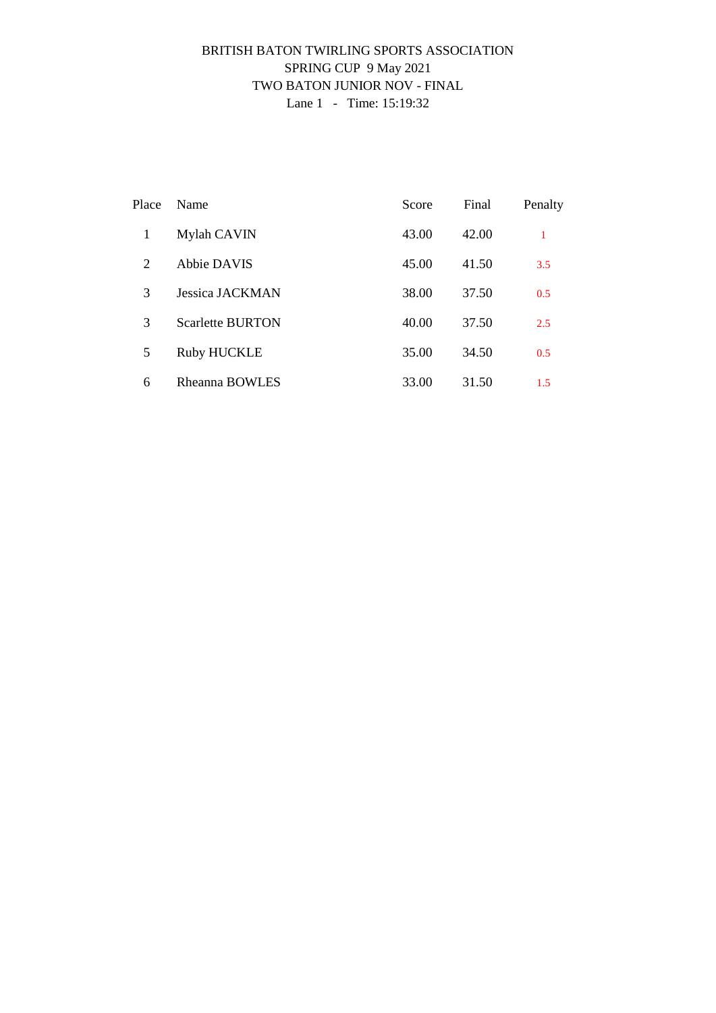### BRITISH BATON TWIRLING SPORTS ASSOCIATION SPRING CUP 9 May 2021 TWO BATON JUNIOR NOV - FINAL Lane 1 - Time: 15:19:32

| Place | Name                    | Score | Final | Penalty |
|-------|-------------------------|-------|-------|---------|
| 1     | Mylah CAVIN             | 43.00 | 42.00 | 1       |
| 2     | Abbie DAVIS             | 45.00 | 41.50 | 3.5     |
| 3     | Jessica JACKMAN         | 38.00 | 37.50 | 0.5     |
| 3     | <b>Scarlette BURTON</b> | 40.00 | 37.50 | 2.5     |
| 5     | <b>Ruby HUCKLE</b>      | 35.00 | 34.50 | 0.5     |
| 6     | Rheanna BOWLES          | 33.00 | 31.50 | 1.5     |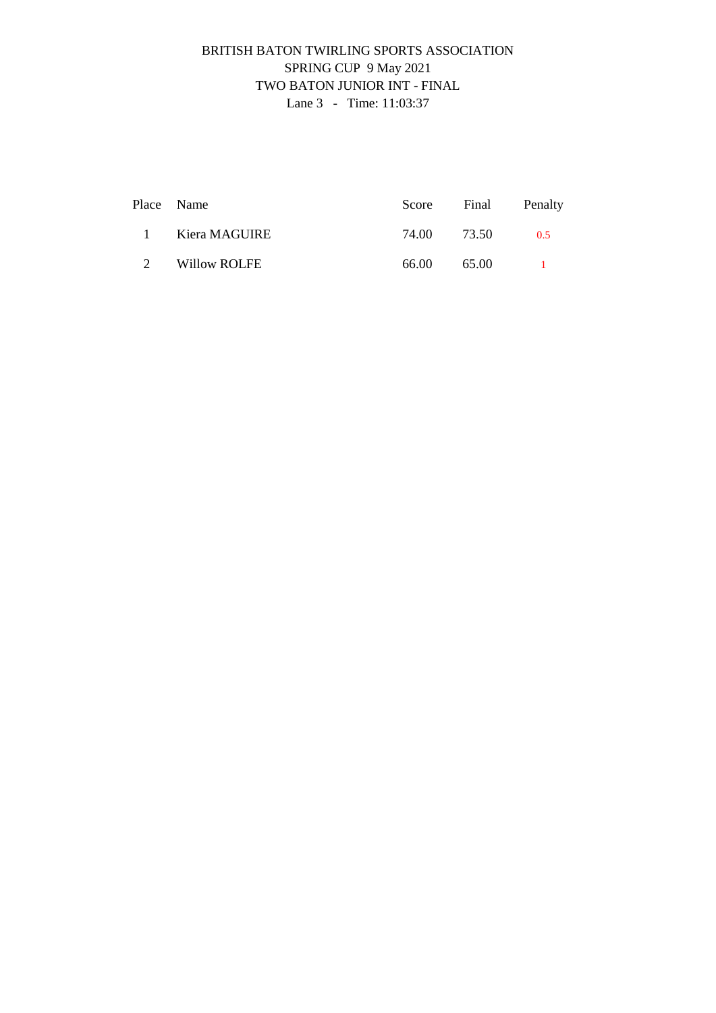# BRITISH BATON TWIRLING SPORTS ASSOCIATION SPRING CUP 9 May 2021 TWO BATON JUNIOR INT - FINAL Lane 3 - Time: 11:03:37

|                 | Place Name    |             |       | Score Final Penalty |
|-----------------|---------------|-------------|-------|---------------------|
| $\sim$ 1 $\sim$ | Kiera MAGUIRE | 74.00 73.50 |       | 0.5                 |
| $\mathcal{L}$   | Willow ROLFE  | 66.00       | 65.00 |                     |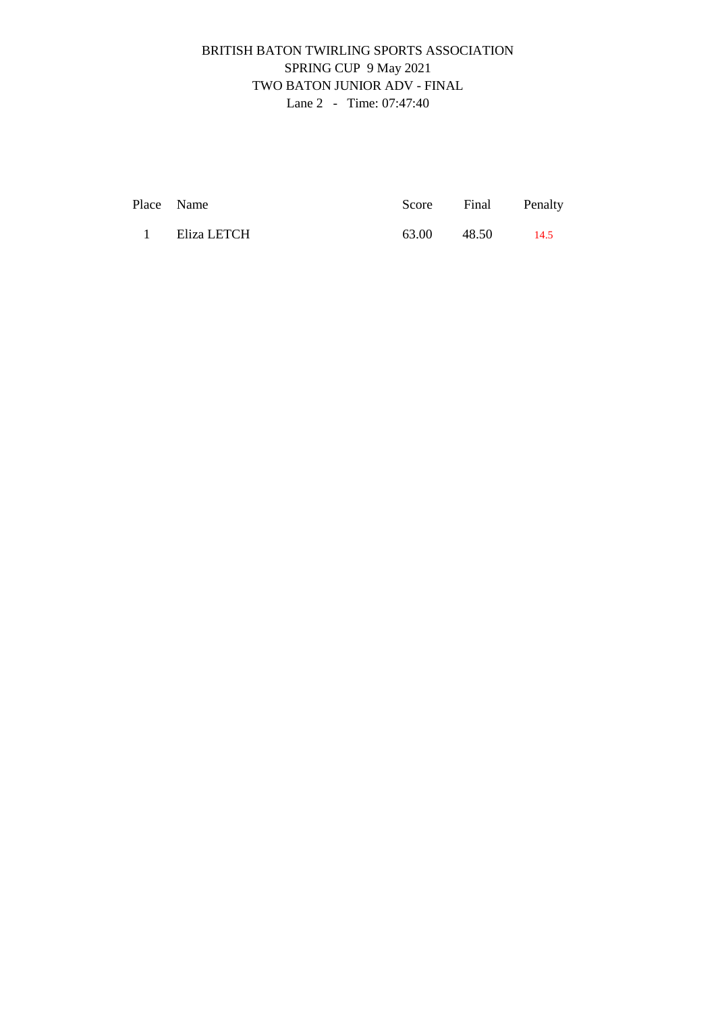# BRITISH BATON TWIRLING SPORTS ASSOCIATION SPRING CUP 9 May 2021 TWO BATON JUNIOR ADV - FINAL Lane 2 - Time: 07:47:40

| Place Name |               |       | Score Final Penalty |      |
|------------|---------------|-------|---------------------|------|
|            | 1 Eliza LETCH | 63.00 | 48.50               | 14.5 |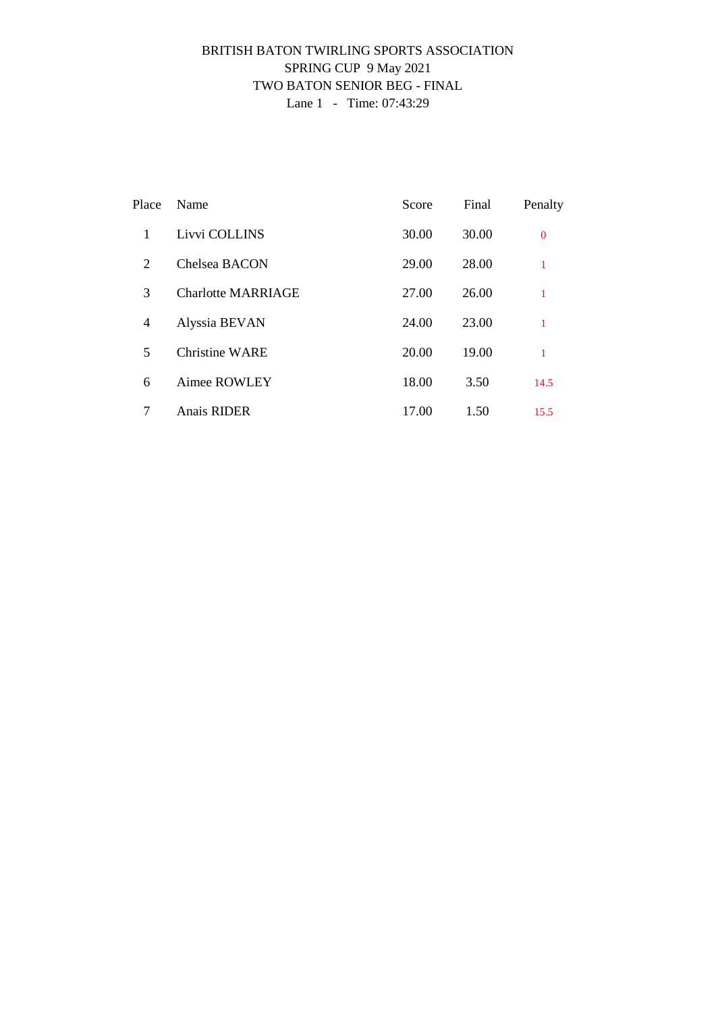### BRITISH BATON TWIRLING SPORTS ASSOCIATION SPRING CUP 9 May 2021 TWO BATON SENIOR BEG - FINAL Lane 1 - Time: 07:43:29

| Place          | Name                      | Score | Final | Penalty        |
|----------------|---------------------------|-------|-------|----------------|
| 1              | Livvi COLLINS             | 30.00 | 30.00 | $\overline{0}$ |
| 2              | Chelsea BACON             | 29.00 | 28.00 | 1              |
| 3              | <b>Charlotte MARRIAGE</b> | 27.00 | 26.00 | 1              |
| $\overline{4}$ | Alyssia BEVAN             | 24.00 | 23.00 | 1              |
| 5              | <b>Christine WARE</b>     | 20.00 | 19.00 | 1              |
| 6              | Aimee ROWLEY              | 18.00 | 3.50  | 14.5           |
| 7              | <b>Anais RIDER</b>        | 17.00 | 1.50  | 15.5           |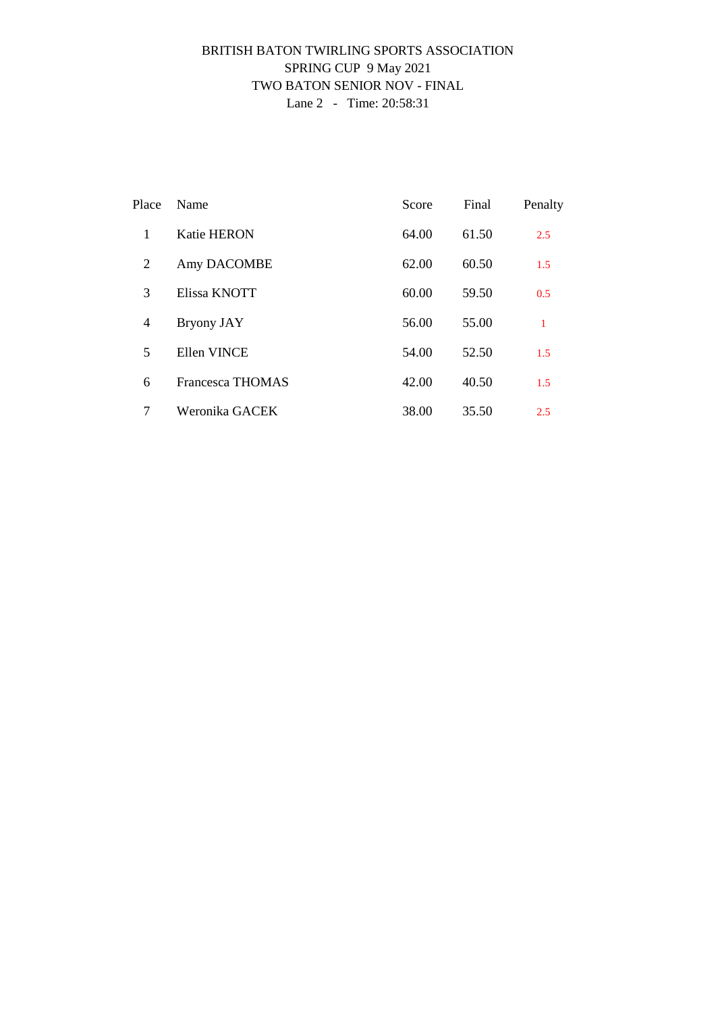### BRITISH BATON TWIRLING SPORTS ASSOCIATION SPRING CUP 9 May 2021 TWO BATON SENIOR NOV - FINAL Lane 2 - Time: 20:58:31

| Place          | Name               | Score | Final | Penalty |
|----------------|--------------------|-------|-------|---------|
| 1              | <b>Katie HERON</b> | 64.00 | 61.50 | 2.5     |
| 2              | Amy DACOMBE        | 62.00 | 60.50 | 1.5     |
| 3              | Elissa KNOTT       | 60.00 | 59.50 | 0.5     |
| $\overline{4}$ | <b>Bryony JAY</b>  | 56.00 | 55.00 | 1       |
| 5              | Ellen VINCE        | 54.00 | 52.50 | 1.5     |
| 6              | Francesca THOMAS   | 42.00 | 40.50 | 1.5     |
| 7              | Weronika GACEK     | 38.00 | 35.50 | 2.5     |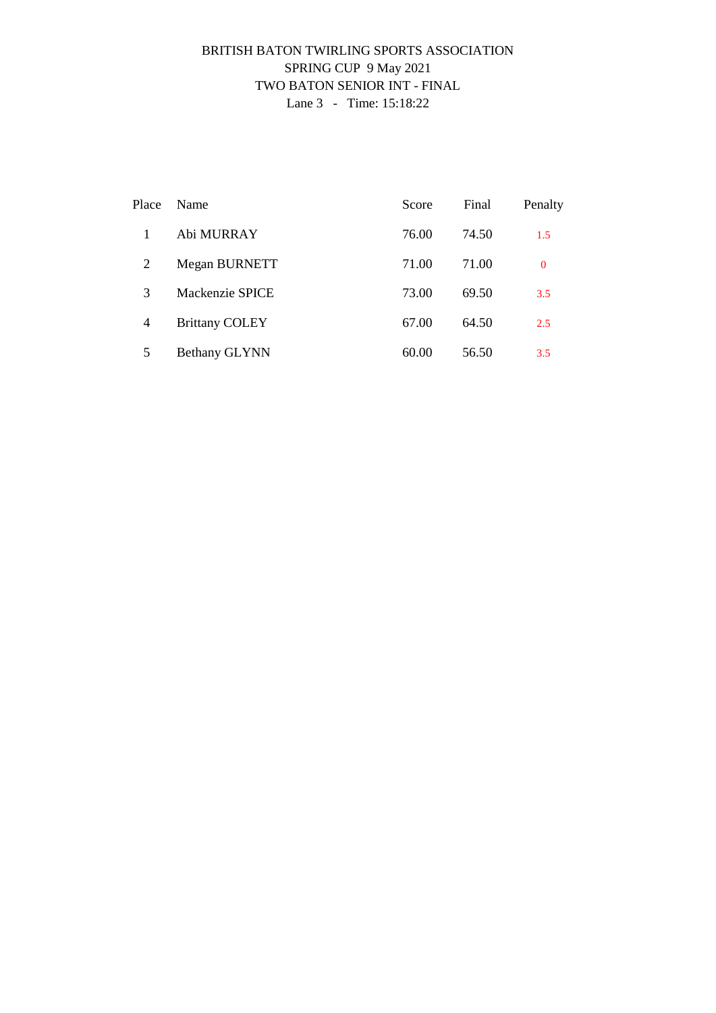### BRITISH BATON TWIRLING SPORTS ASSOCIATION SPRING CUP 9 May 2021 TWO BATON SENIOR INT - FINAL Lane 3 - Time: 15:18:22

| Place          | Name                  | Score | Final | Penalty  |
|----------------|-----------------------|-------|-------|----------|
|                | Abi MURRAY            | 76.00 | 74.50 | 1.5      |
| 2              | Megan BURNETT         | 71.00 | 71.00 | $\bf{0}$ |
| 3              | Mackenzie SPICE       | 73.00 | 69.50 | 3.5      |
| $\overline{4}$ | <b>Brittany COLEY</b> | 67.00 | 64.50 | 2.5      |
| 5              | Bethany GLYNN         | 60.00 | 56.50 | 3.5      |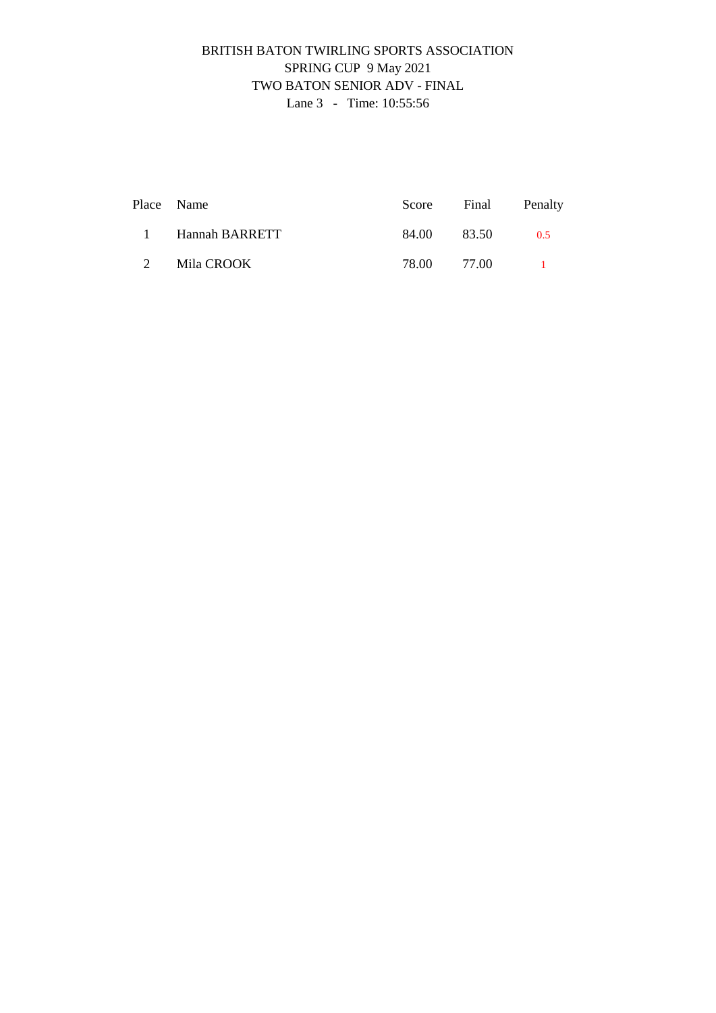# BRITISH BATON TWIRLING SPORTS ASSOCIATION SPRING CUP 9 May 2021 TWO BATON SENIOR ADV - FINAL Lane 3 - Time: 10:55:56

|   | Place Name       |             | Score Final Penalty |
|---|------------------|-------------|---------------------|
|   | 1 Hannah BARRETT | 84.00 83.50 | 0.5                 |
| 2 | Mila CROOK       | 78.00 77.00 |                     |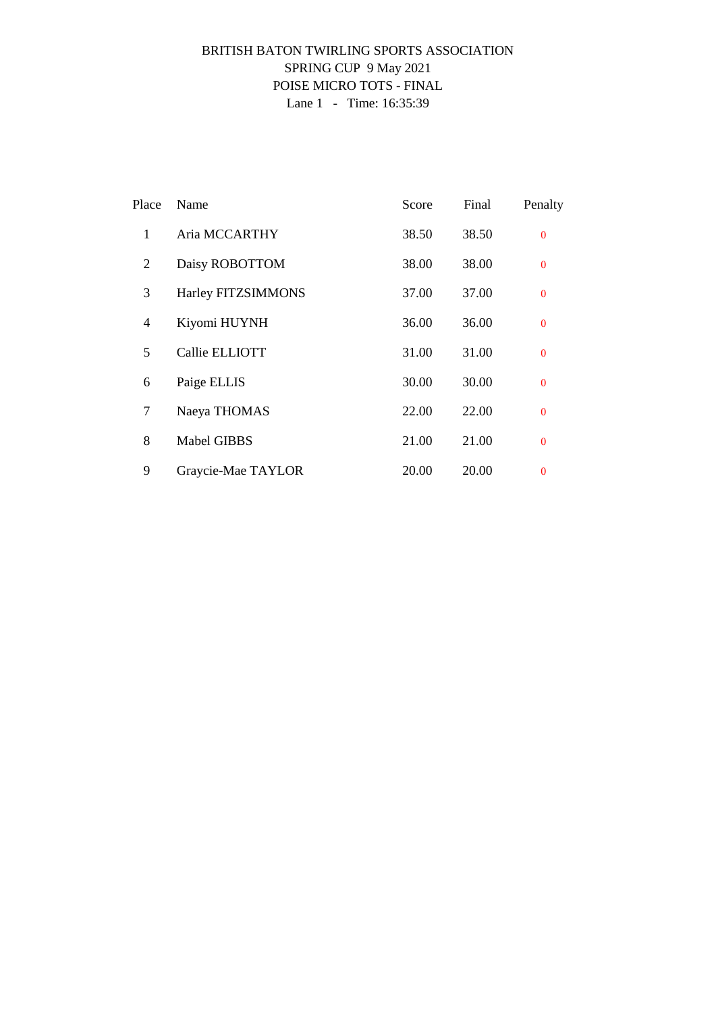### BRITISH BATON TWIRLING SPORTS ASSOCIATION SPRING CUP 9 May 2021 POISE MICRO TOTS - FINAL Lane 1 - Time: 16:35:39

| Place        | Name               | Score | Final | Penalty        |
|--------------|--------------------|-------|-------|----------------|
| $\mathbf{1}$ | Aria MCCARTHY      | 38.50 | 38.50 | $\theta$       |
| 2            | Daisy ROBOTTOM     | 38.00 | 38.00 | $\theta$       |
| 3            | Harley FITZSIMMONS | 37.00 | 37.00 | $\Omega$       |
| 4            | Kiyomi HUYNH       | 36.00 | 36.00 | $\overline{0}$ |
| 5            | Callie ELLIOTT     | 31.00 | 31.00 | $\Omega$       |
| 6            | Paige ELLIS        | 30.00 | 30.00 | $\overline{0}$ |
| 7            | Naeya THOMAS       | 22.00 | 22.00 | $\overline{0}$ |
| 8            | <b>Mabel GIBBS</b> | 21.00 | 21.00 | $\Omega$       |
| 9            | Graycie-Mae TAYLOR | 20.00 | 20.00 | $\overline{0}$ |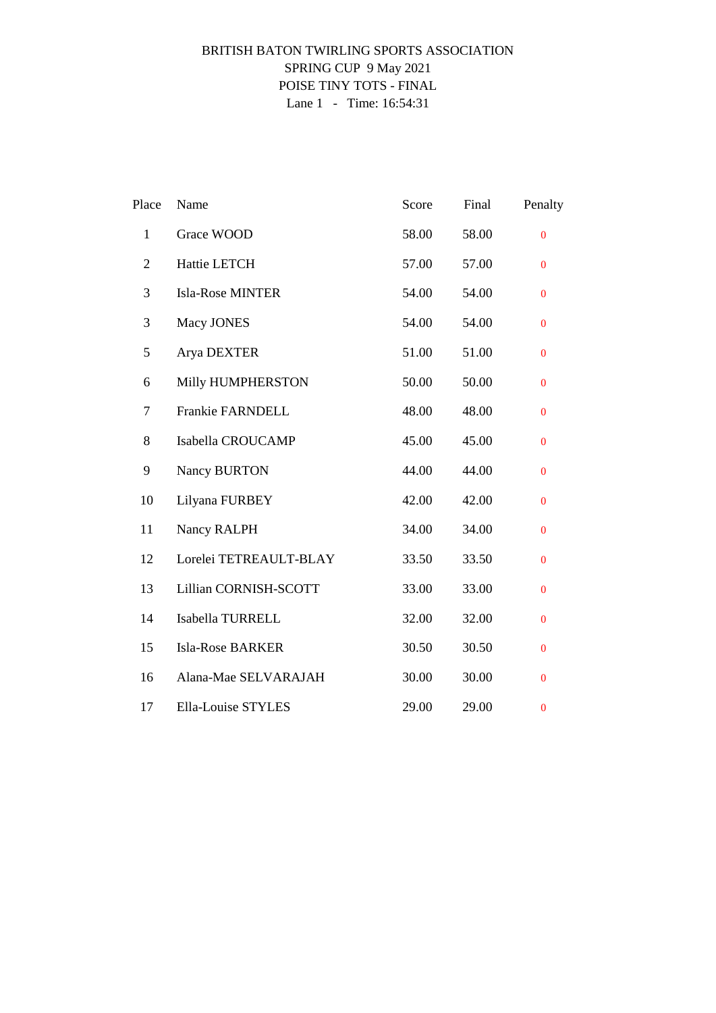### BRITISH BATON TWIRLING SPORTS ASSOCIATION SPRING CUP 9 May 2021 POISE TINY TOTS - FINAL Lane 1 - Time: 16:54:31

| Place          | Name                    | Score | Final | Penalty          |
|----------------|-------------------------|-------|-------|------------------|
| $\mathbf{1}$   | Grace WOOD              | 58.00 | 58.00 | $\overline{0}$   |
| $\overline{2}$ | Hattie LETCH            | 57.00 | 57.00 | $\mathbf{0}$     |
| 3              | <b>Isla-Rose MINTER</b> | 54.00 | 54.00 | $\mathbf{0}$     |
| 3              | Macy JONES              | 54.00 | 54.00 | $\mathbf{0}$     |
| 5              | Arya DEXTER             | 51.00 | 51.00 | $\bf{0}$         |
| 6              | Milly HUMPHERSTON       | 50.00 | 50.00 | $\boldsymbol{0}$ |
| $\tau$         | Frankie FARNDELL        | 48.00 | 48.00 | $\overline{0}$   |
| 8              | Isabella CROUCAMP       | 45.00 | 45.00 | $\overline{0}$   |
| 9              | Nancy BURTON            | 44.00 | 44.00 | $\boldsymbol{0}$ |
| 10             | Lilyana FURBEY          | 42.00 | 42.00 | $\bf{0}$         |
| 11             | Nancy RALPH             | 34.00 | 34.00 | $\overline{0}$   |
| 12             | Lorelei TETREAULT-BLAY  | 33.50 | 33.50 | $\Omega$         |
| 13             | Lillian CORNISH-SCOTT   | 33.00 | 33.00 | $\mathbf{0}$     |
| 14             | Isabella TURRELL        | 32.00 | 32.00 | $\mathbf{0}$     |
| 15             | Isla-Rose BARKER        | 30.50 | 30.50 | $\mathbf{0}$     |
| 16             | Alana-Mae SELVARAJAH    | 30.00 | 30.00 | $\mathbf{0}$     |
| 17             | Ella-Louise STYLES      | 29.00 | 29.00 | $\mathbf{0}$     |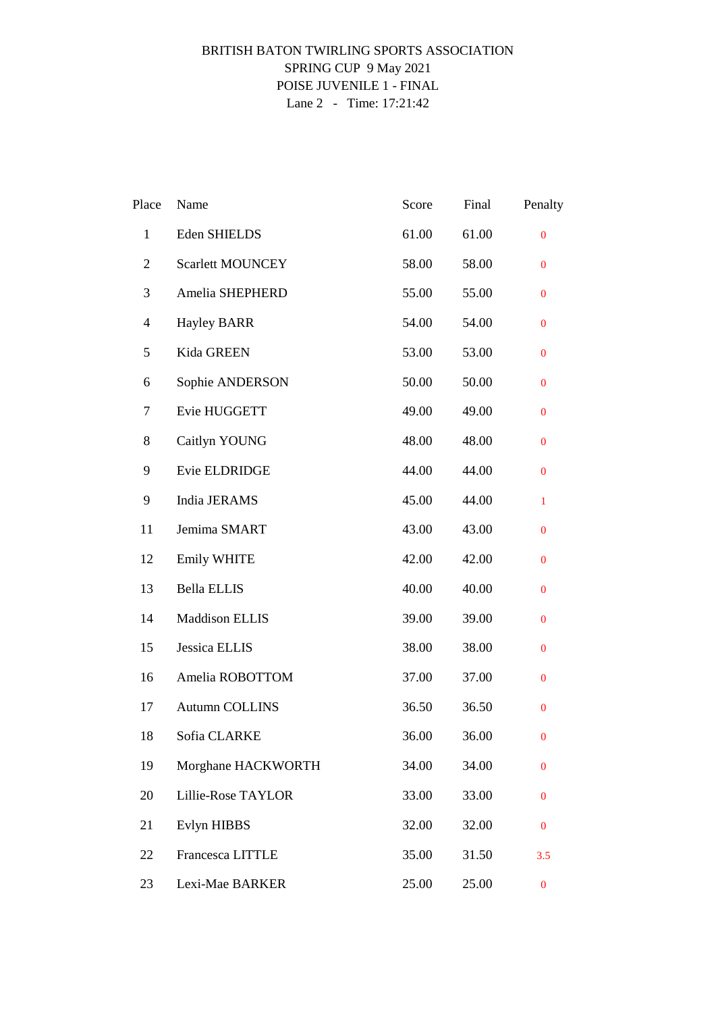### BRITISH BATON TWIRLING SPORTS ASSOCIATION SPRING CUP 9 May 2021 POISE JUVENILE 1 - FINAL Lane 2 - Time: 17:21:42

| Place          | Name                    | Score | Final | Penalty          |
|----------------|-------------------------|-------|-------|------------------|
| $\mathbf{1}$   | Eden SHIELDS            | 61.00 | 61.00 | $\bf{0}$         |
| $\overline{2}$ | <b>Scarlett MOUNCEY</b> | 58.00 | 58.00 | $\bf{0}$         |
| 3              | Amelia SHEPHERD         | 55.00 | 55.00 | $\bf{0}$         |
| 4              | <b>Hayley BARR</b>      | 54.00 | 54.00 | $\bf{0}$         |
| 5              | Kida GREEN              | 53.00 | 53.00 | $\bf{0}$         |
| 6              | Sophie ANDERSON         | 50.00 | 50.00 | $\bf{0}$         |
| 7              | Evie HUGGETT            | 49.00 | 49.00 | $\bf{0}$         |
| 8              | Caitlyn YOUNG           | 48.00 | 48.00 | $\mathbf{0}$     |
| 9              | Evie ELDRIDGE           | 44.00 | 44.00 | $\overline{0}$   |
| 9              | India JERAMS            | 45.00 | 44.00 | $\mathbf{1}$     |
| 11             | Jemima SMART            | 43.00 | 43.00 | $\bf{0}$         |
| 12             | Emily WHITE             | 42.00 | 42.00 | $\bf{0}$         |
| 13             | <b>Bella ELLIS</b>      | 40.00 | 40.00 | $\bf{0}$         |
| 14             | <b>Maddison ELLIS</b>   | 39.00 | 39.00 | $\bf{0}$         |
| 15             | Jessica ELLIS           | 38.00 | 38.00 | $\bf{0}$         |
| 16             | Amelia ROBOTTOM         | 37.00 | 37.00 | $\bf{0}$         |
| 17             | <b>Autumn COLLINS</b>   | 36.50 | 36.50 | $\mathbf{0}$     |
| 18             | Sofia CLARKE            | 36.00 | 36.00 | $\boldsymbol{0}$ |
| 19             | Morghane HACKWORTH      | 34.00 | 34.00 | $\bf{0}$         |
| 20             | Lillie-Rose TAYLOR      | 33.00 | 33.00 | $\bf{0}$         |
| 21             | Evlyn HIBBS             | 32.00 | 32.00 | $\bf{0}$         |
| 22             | Francesca LITTLE        | 35.00 | 31.50 | 3.5              |
| 23             | Lexi-Mae BARKER         | 25.00 | 25.00 | $\boldsymbol{0}$ |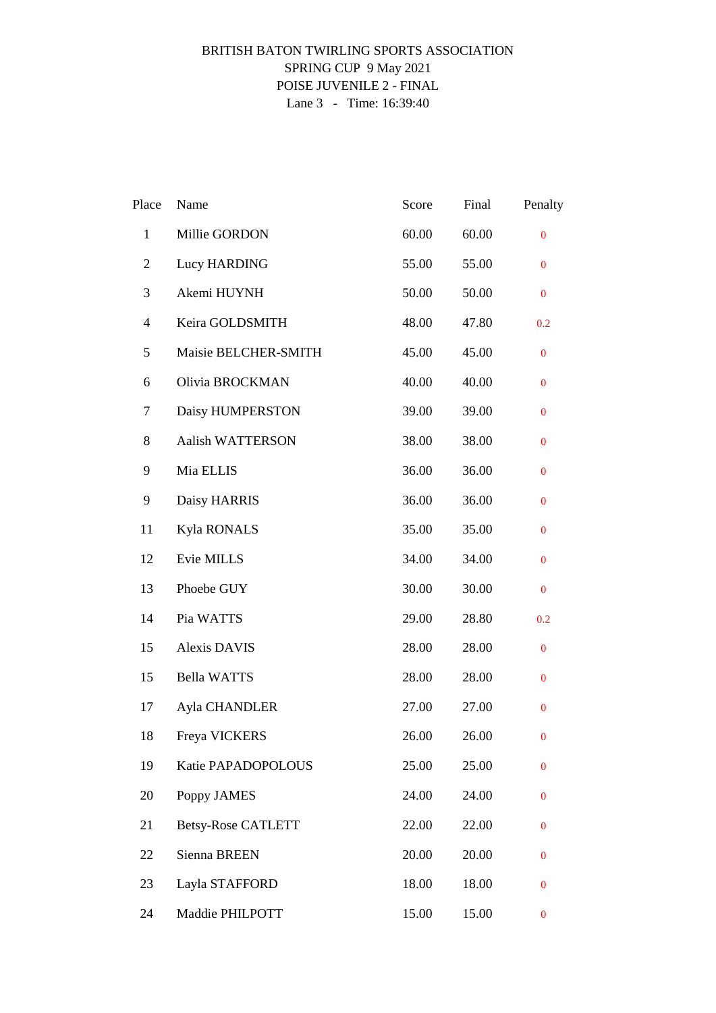### BRITISH BATON TWIRLING SPORTS ASSOCIATION SPRING CUP 9 May 2021 POISE JUVENILE 2 - FINAL Lane 3 - Time: 16:39:40

| Place          | Name                      | Score | Final | Penalty          |
|----------------|---------------------------|-------|-------|------------------|
| $\mathbf{1}$   | Millie GORDON             | 60.00 | 60.00 | $\boldsymbol{0}$ |
| $\overline{2}$ | Lucy HARDING              | 55.00 | 55.00 | $\bf{0}$         |
| 3              | Akemi HUYNH               | 50.00 | 50.00 | $\bf{0}$         |
| $\overline{4}$ | Keira GOLDSMITH           | 48.00 | 47.80 | 0.2              |
| 5              | Maisie BELCHER-SMITH      | 45.00 | 45.00 | $\bf{0}$         |
| 6              | Olivia BROCKMAN           | 40.00 | 40.00 | $\bf{0}$         |
| 7              | Daisy HUMPERSTON          | 39.00 | 39.00 | $\bf{0}$         |
| 8              | <b>Aalish WATTERSON</b>   | 38.00 | 38.00 | $\bf{0}$         |
| 9              | Mia ELLIS                 | 36.00 | 36.00 | $\mathbf{0}$     |
| 9              | Daisy HARRIS              | 36.00 | 36.00 | $\mathbf{0}$     |
| 11             | Kyla RONALS               | 35.00 | 35.00 | $\mathbf{0}$     |
| 12             | Evie MILLS                | 34.00 | 34.00 | $\mathbf{0}$     |
| 13             | Phoebe GUY                | 30.00 | 30.00 | $\bf{0}$         |
| 14             | Pia WATTS                 | 29.00 | 28.80 | 0.2              |
| 15             | Alexis DAVIS              | 28.00 | 28.00 | $\bf{0}$         |
| 15             | <b>Bella WATTS</b>        | 28.00 | 28.00 | $\bf{0}$         |
| 17             | Ayla CHANDLER             | 27.00 | 27.00 | $\mathbf{0}$     |
| 18             | Freya VICKERS             | 26.00 | 26.00 | $\bf{0}$         |
| 19             | Katie PAPADOPOLOUS        | 25.00 | 25.00 | $\boldsymbol{0}$ |
| 20             | Poppy JAMES               | 24.00 | 24.00 | $\boldsymbol{0}$ |
| 21             | <b>Betsy-Rose CATLETT</b> | 22.00 | 22.00 | 0                |
| 22             | Sienna BREEN              | 20.00 | 20.00 | $\mathbf{0}$     |
| 23             | Layla STAFFORD            | 18.00 | 18.00 | $\mathbf{0}$     |
| 24             | Maddie PHILPOTT           | 15.00 | 15.00 | $\bf{0}$         |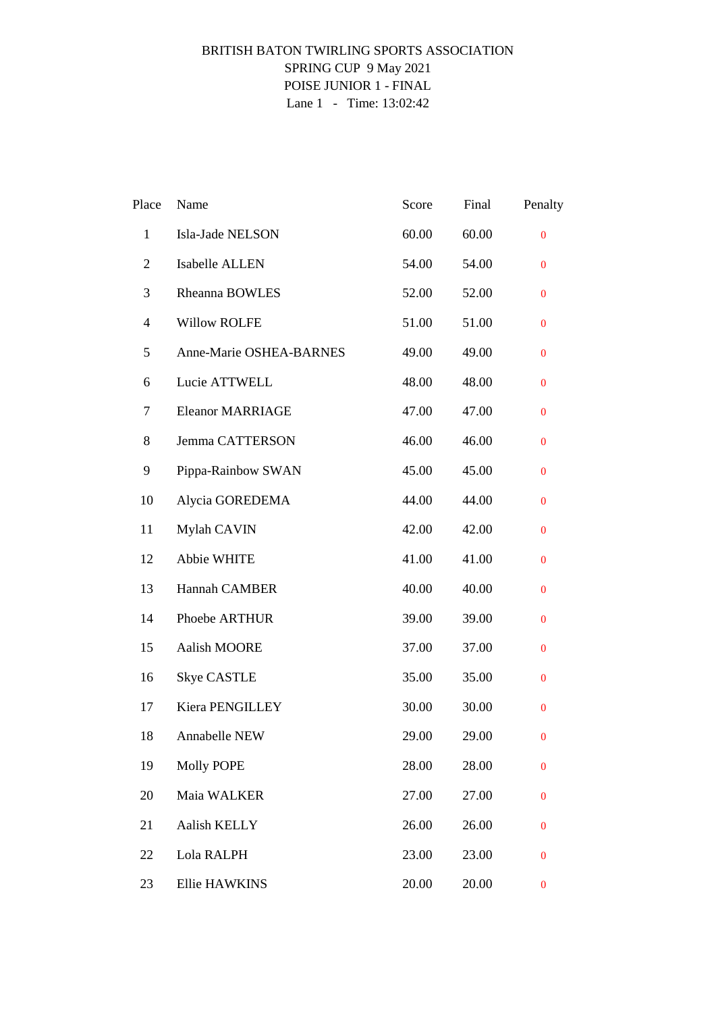# BRITISH BATON TWIRLING SPORTS ASSOCIATION SPRING CUP 9 May 2021 POISE JUNIOR 1 - FINAL Lane 1 - Time: 13:02:42

| Place          | Name                    | Score | Final | Penalty          |
|----------------|-------------------------|-------|-------|------------------|
| $\mathbf{1}$   | Isla-Jade NELSON        | 60.00 | 60.00 | $\bf{0}$         |
| $\overline{2}$ | Isabelle ALLEN          | 54.00 | 54.00 | $\bf{0}$         |
| 3              | Rheanna BOWLES          | 52.00 | 52.00 | $\bf{0}$         |
| $\overline{4}$ | <b>Willow ROLFE</b>     | 51.00 | 51.00 | $\bf{0}$         |
| 5              | Anne-Marie OSHEA-BARNES | 49.00 | 49.00 | $\bf{0}$         |
| 6              | Lucie ATTWELL           | 48.00 | 48.00 | $\bf{0}$         |
| 7              | <b>Eleanor MARRIAGE</b> | 47.00 | 47.00 | $\bf{0}$         |
| 8              | Jemma CATTERSON         | 46.00 | 46.00 | $\bf{0}$         |
| 9              | Pippa-Rainbow SWAN      | 45.00 | 45.00 | $\bf{0}$         |
| 10             | Alycia GOREDEMA         | 44.00 | 44.00 | $\mathbf{0}$     |
| 11             | Mylah CAVIN             | 42.00 | 42.00 | $\bf{0}$         |
| 12             | Abbie WHITE             | 41.00 | 41.00 | $\bf{0}$         |
| 13             | Hannah CAMBER           | 40.00 | 40.00 | $\bf{0}$         |
| 14             | Phoebe ARTHUR           | 39.00 | 39.00 | $\bf{0}$         |
| 15             | Aalish MOORE            | 37.00 | 37.00 | $\bf{0}$         |
| 16             | <b>Skye CASTLE</b>      | 35.00 | 35.00 | $\mathbf{0}$     |
| 17             | Kiera PENGILLEY         | 30.00 | 30.00 | $\mathbf{0}$     |
| 18             | Annabelle NEW           | 29.00 | 29.00 | $\boldsymbol{0}$ |
| 19             | <b>Molly POPE</b>       | 28.00 | 28.00 | $\bf{0}$         |
| 20             | Maia WALKER             | 27.00 | 27.00 | $\bf{0}$         |
| 21             | Aalish KELLY            | 26.00 | 26.00 | $\bf{0}$         |
| 22             | Lola RALPH              | 23.00 | 23.00 | $\bf{0}$         |
| 23             | <b>Ellie HAWKINS</b>    | 20.00 | 20.00 | $\boldsymbol{0}$ |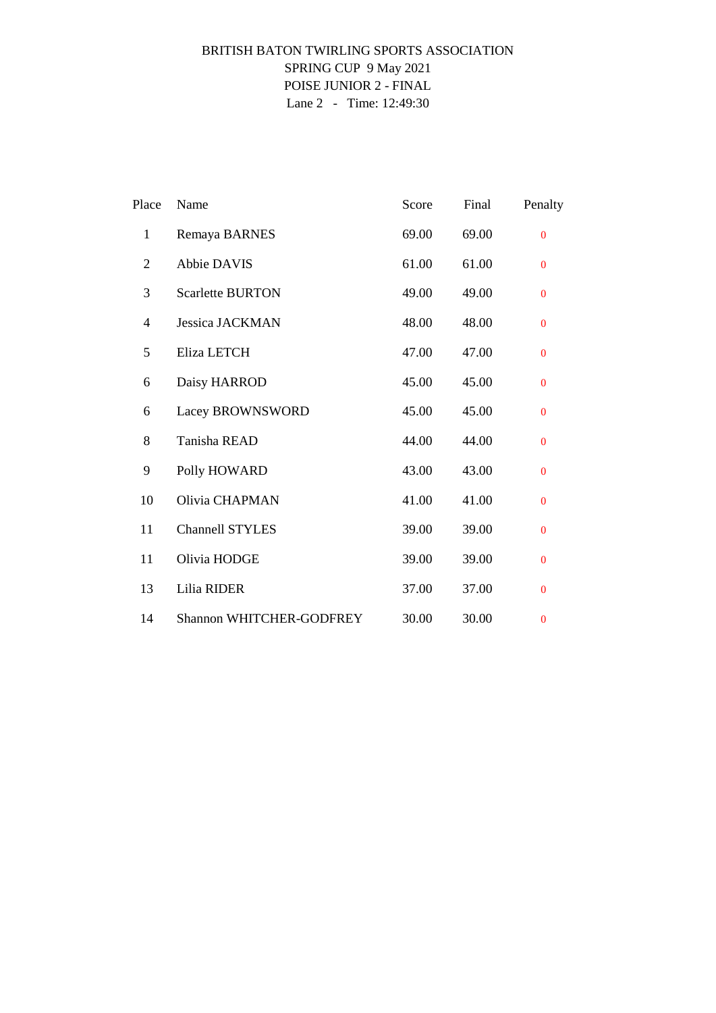# BRITISH BATON TWIRLING SPORTS ASSOCIATION SPRING CUP 9 May 2021 POISE JUNIOR 2 - FINAL Lane 2 - Time: 12:49:30

| Place          | Name                            | Score | Final | Penalty      |
|----------------|---------------------------------|-------|-------|--------------|
| $\mathbf{1}$   | Remaya BARNES                   | 69.00 | 69.00 | $\mathbf{0}$ |
| $\overline{2}$ | <b>Abbie DAVIS</b>              | 61.00 | 61.00 | $\mathbf{0}$ |
| 3              | <b>Scarlette BURTON</b>         | 49.00 | 49.00 | $\mathbf{0}$ |
| $\overline{4}$ | <b>Jessica JACKMAN</b>          | 48.00 | 48.00 | $\mathbf{0}$ |
| 5              | Eliza LETCH                     | 47.00 | 47.00 | $\mathbf{0}$ |
| 6              | Daisy HARROD                    | 45.00 | 45.00 | $\mathbf{0}$ |
| 6              | Lacey BROWNSWORD                | 45.00 | 45.00 | $\mathbf{0}$ |
| 8              | Tanisha READ                    | 44.00 | 44.00 | $\mathbf{0}$ |
| 9              | Polly HOWARD                    | 43.00 | 43.00 | $\mathbf{0}$ |
| 10             | Olivia CHAPMAN                  | 41.00 | 41.00 | $\Omega$     |
| 11             | Channell STYLES                 | 39.00 | 39.00 | $\mathbf{0}$ |
| 11             | Olivia HODGE                    | 39.00 | 39.00 | $\Omega$     |
| 13             | Lilia RIDER                     | 37.00 | 37.00 | $\mathbf{0}$ |
| 14             | <b>Shannon WHITCHER-GODFREY</b> | 30.00 | 30.00 | $\bf{0}$     |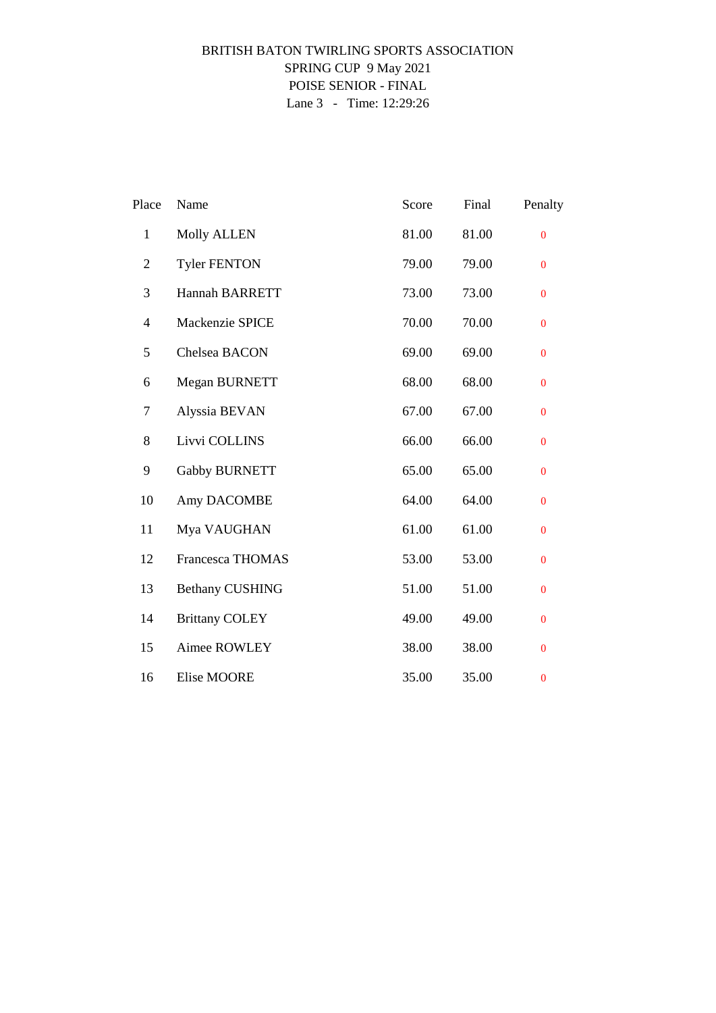# BRITISH BATON TWIRLING SPORTS ASSOCIATION SPRING CUP 9 May 2021 POISE SENIOR - FINAL Lane 3 - Time: 12:29:26

| Place                    | Name                    | Score | Final | Penalty        |
|--------------------------|-------------------------|-------|-------|----------------|
| $\mathbf{1}$             | <b>Molly ALLEN</b>      | 81.00 | 81.00 | $\overline{0}$ |
| $\overline{2}$           | <b>Tyler FENTON</b>     | 79.00 | 79.00 | $\bf{0}$       |
| 3                        | Hannah BARRETT          | 73.00 | 73.00 | $\mathbf{0}$   |
| $\overline{\mathcal{L}}$ | Mackenzie SPICE         | 70.00 | 70.00 | $\overline{0}$ |
| 5                        | Chelsea BACON           | 69.00 | 69.00 | $\bf{0}$       |
| 6                        | Megan BURNETT           | 68.00 | 68.00 | $\bf{0}$       |
| 7                        | Alyssia BEVAN           | 67.00 | 67.00 | $\overline{0}$ |
| 8                        | Livvi COLLINS           | 66.00 | 66.00 | $\bf{0}$       |
| 9                        | <b>Gabby BURNETT</b>    | 65.00 | 65.00 | $\mathbf{0}$   |
| 10                       | Amy DACOMBE             | 64.00 | 64.00 | $\overline{0}$ |
| 11                       | Mya VAUGHAN             | 61.00 | 61.00 | $\mathbf{0}$   |
| 12                       | <b>Francesca THOMAS</b> | 53.00 | 53.00 | $\bf{0}$       |
| 13                       | <b>Bethany CUSHING</b>  | 51.00 | 51.00 | $\overline{0}$ |
| 14                       | <b>Brittany COLEY</b>   | 49.00 | 49.00 | $\bf{0}$       |
| 15                       | Aimee ROWLEY            | 38.00 | 38.00 | $\mathbf{0}$   |
| 16                       | <b>Elise MOORE</b>      | 35.00 | 35.00 | $\bf{0}$       |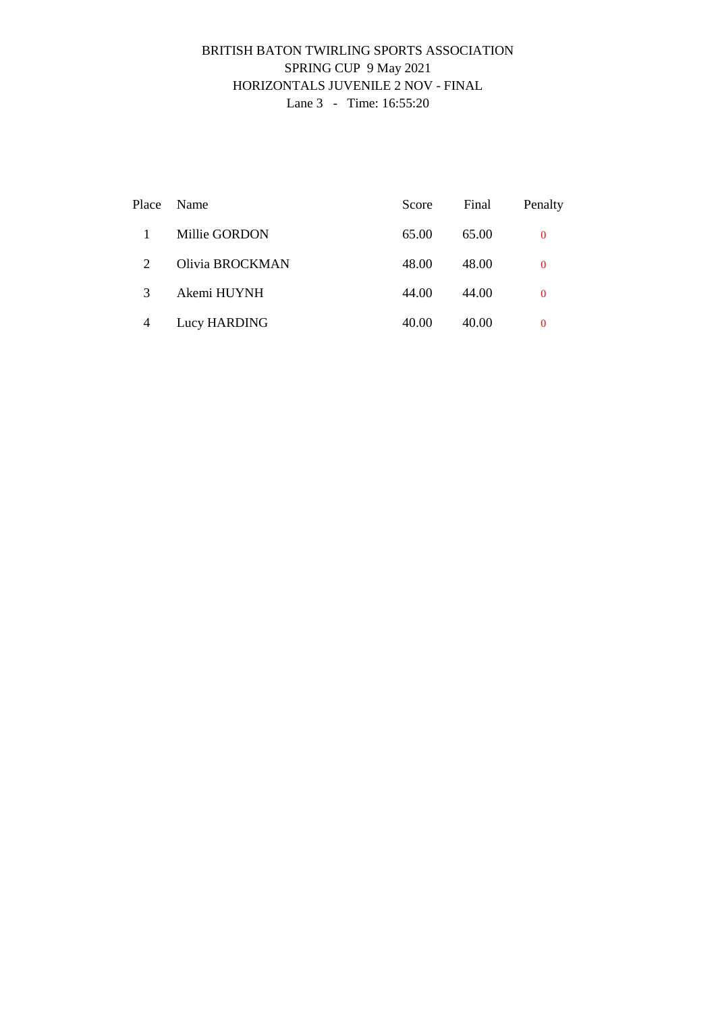### BRITISH BATON TWIRLING SPORTS ASSOCIATION SPRING CUP 9 May 2021 HORIZONTALS JUVENILE 2 NOV - FINAL Lane 3 - Time: 16:55:20

|                | Place Name      | Score | Final | Penalty  |
|----------------|-----------------|-------|-------|----------|
|                | Millie GORDON   | 65.00 | 65.00 | 0        |
| 2              | Olivia BROCKMAN | 48.00 | 48.00 | $\Omega$ |
| 3              | Akemi HUYNH     | 44.00 | 44.00 | $\Omega$ |
| $\overline{4}$ | Lucy HARDING    | 40.00 | 40.00 | 0        |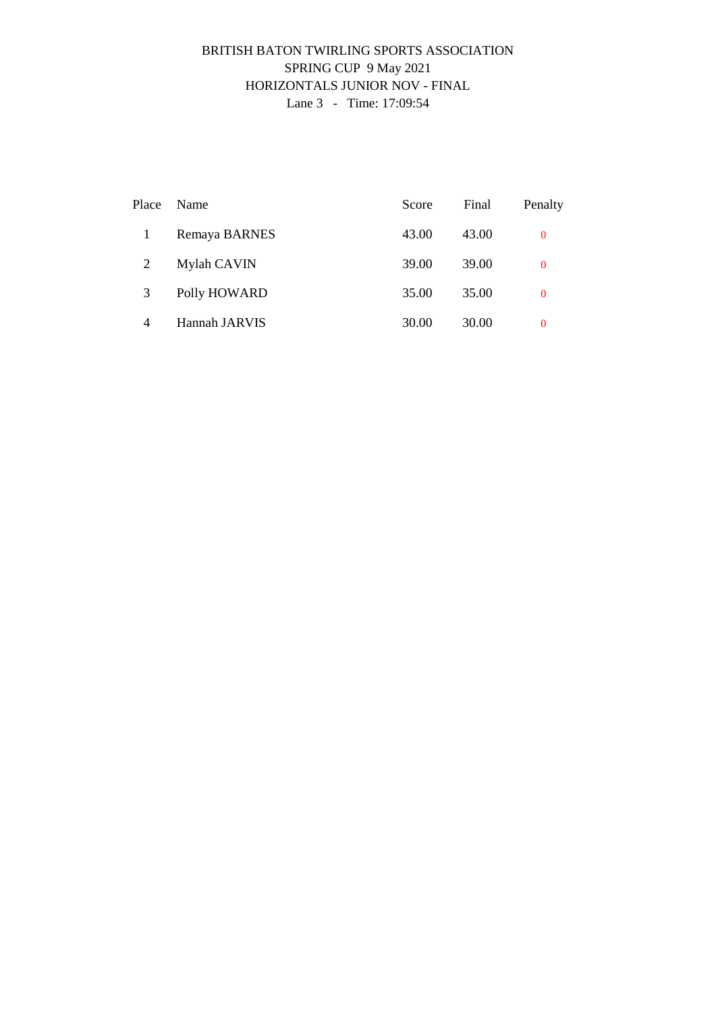### BRITISH BATON TWIRLING SPORTS ASSOCIATION SPRING CUP 9 May 2021 HORIZONTALS JUNIOR NOV - FINAL Lane 3 - Time: 17:09:54

| Place          | Name          | Score | Final | Penalty  |
|----------------|---------------|-------|-------|----------|
|                | Remaya BARNES | 43.00 | 43.00 | $\bf{0}$ |
| $\overline{2}$ | Mylah CAVIN   | 39.00 | 39.00 | $\bf{0}$ |
| 3              | Polly HOWARD  | 35.00 | 35.00 | $\bf{0}$ |
| 4              | Hannah JARVIS | 30.00 | 30.00 | $\theta$ |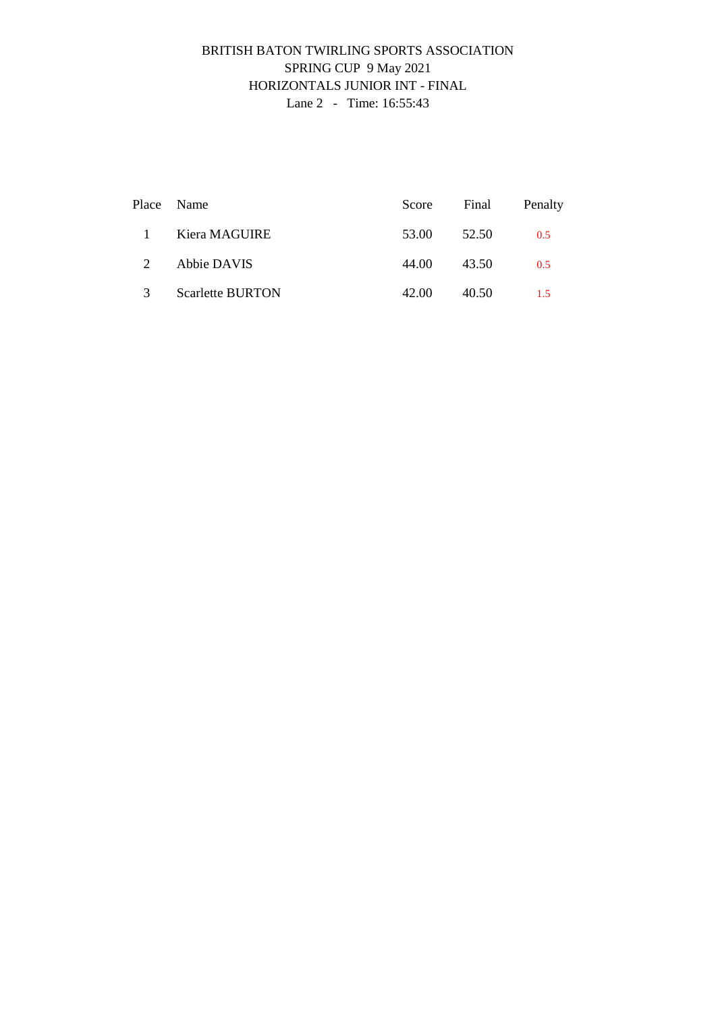# BRITISH BATON TWIRLING SPORTS ASSOCIATION SPRING CUP 9 May 2021 HORIZONTALS JUNIOR INT - FINAL Lane 2 - Time: 16:55:43

|               | Place Name              |       | Score Final | Penalty |
|---------------|-------------------------|-------|-------------|---------|
| $\mathbf{1}$  | Kiera MAGUIRE           | 53.00 | 52.50       | 0.5     |
| $2^{\circ}$   | Abbie DAVIS             | 44.00 | 43.50       | 0.5     |
| $\mathcal{R}$ | <b>Scarlette BURTON</b> | 42.00 | 40.50       | $-1.5$  |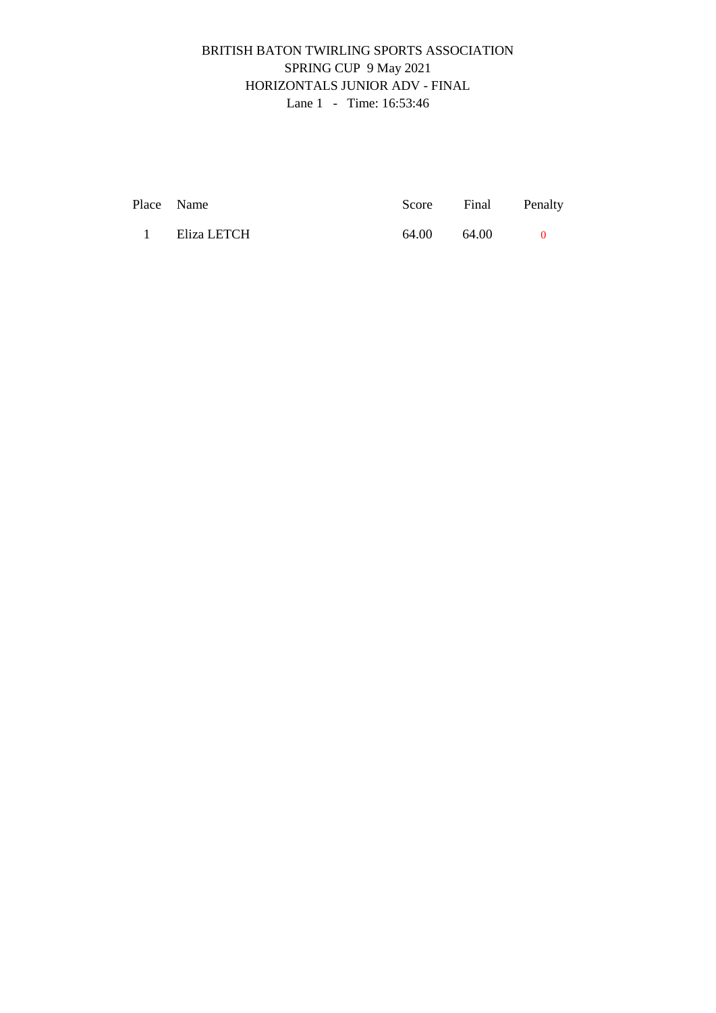# BRITISH BATON TWIRLING SPORTS ASSOCIATION SPRING CUP 9 May 2021 HORIZONTALS JUNIOR ADV - FINAL Lane 1 - Time: 16:53:46

| Place Name    |             | Score Final Penalty |  |
|---------------|-------------|---------------------|--|
| 1 Eliza LETCH | 64.00 64.00 |                     |  |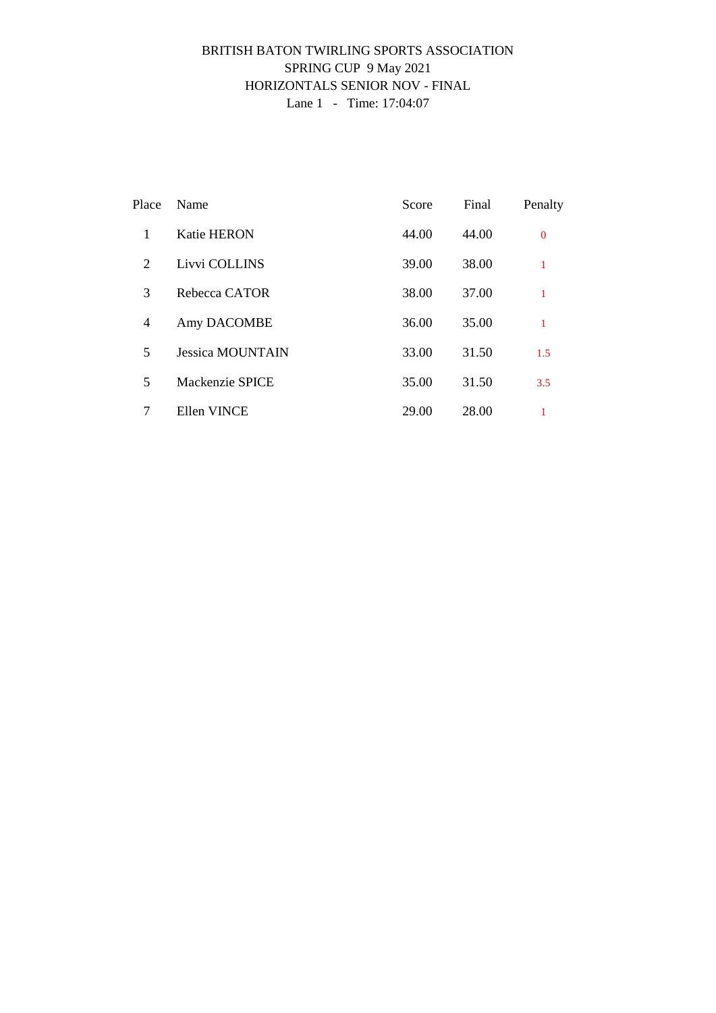### BRITISH BATON TWIRLING SPORTS ASSOCIATION SPRING CUP 9 May 2021 HORIZONTALS SENIOR NOV - FINAL Lane 1 - Time: 17:04:07

| Place | Name                    | Score | Final | Penalty      |
|-------|-------------------------|-------|-------|--------------|
| 1     | <b>Katie HERON</b>      | 44.00 | 44.00 | $\mathbf{0}$ |
| 2     | Livvi COLLINS           | 39.00 | 38.00 | 1            |
| 3     | Rebecca CATOR           | 38.00 | 37.00 | 1            |
| 4     | Amy DACOMBE             | 36.00 | 35.00 | 1            |
| 5     | <b>Jessica MOUNTAIN</b> | 33.00 | 31.50 | 1.5          |
| 5     | Mackenzie SPICE         | 35.00 | 31.50 | 3.5          |
| 7     | Ellen VINCE             | 29.00 | 28.00 |              |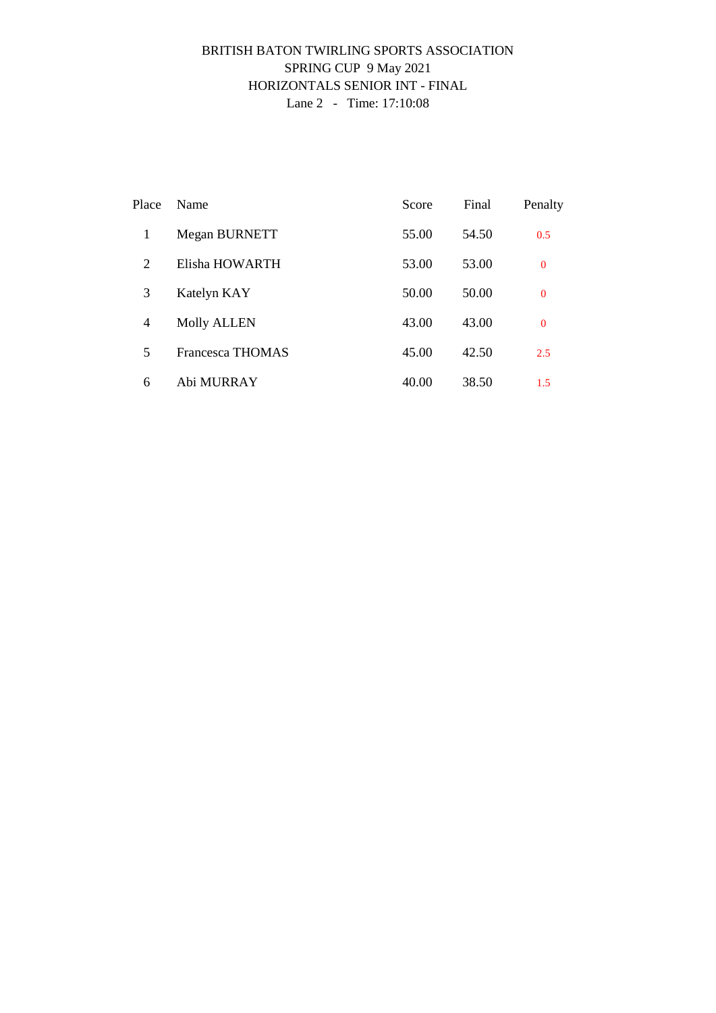### BRITISH BATON TWIRLING SPORTS ASSOCIATION SPRING CUP 9 May 2021 HORIZONTALS SENIOR INT - FINAL Lane 2 - Time: 17:10:08

| Place | Name                    | Score | Final | Penalty        |
|-------|-------------------------|-------|-------|----------------|
| 1     | Megan BURNETT           | 55.00 | 54.50 | 0.5            |
| 2     | Elisha HOWARTH          | 53.00 | 53.00 | $\overline{0}$ |
| 3     | Katelyn KAY             | 50.00 | 50.00 | $\overline{0}$ |
| 4     | <b>Molly ALLEN</b>      | 43.00 | 43.00 | $\overline{0}$ |
| 5     | <b>Francesca THOMAS</b> | 45.00 | 42.50 | 2.5            |
| 6     | Abi MURRAY              | 40.00 | 38.50 | 1.5            |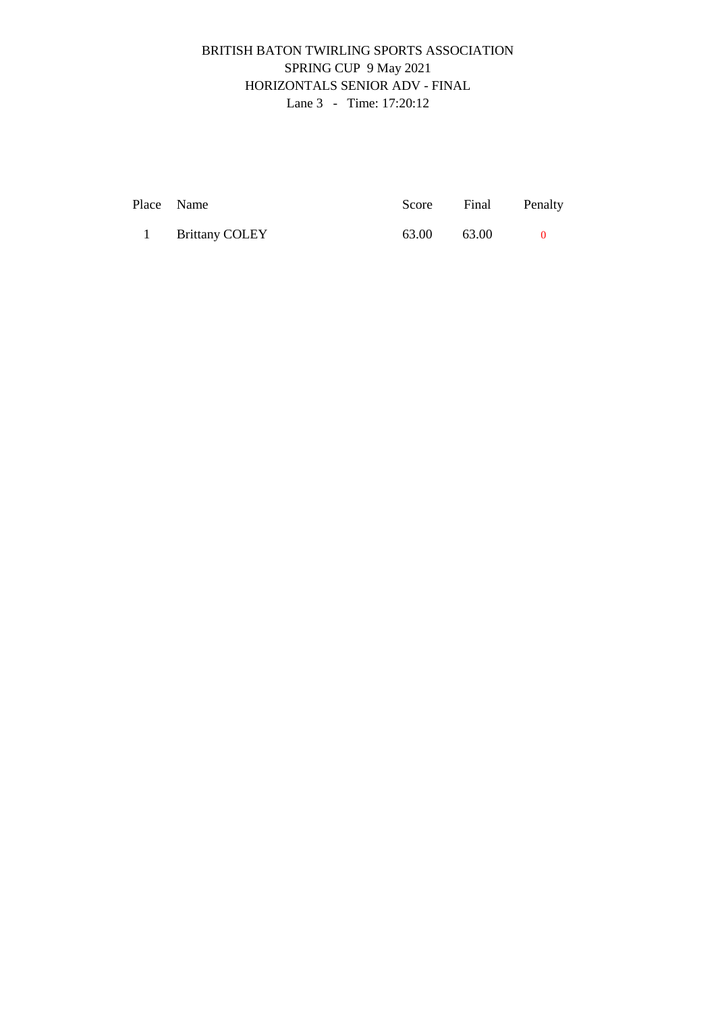# BRITISH BATON TWIRLING SPORTS ASSOCIATION SPRING CUP 9 May 2021 HORIZONTALS SENIOR ADV - FINAL Lane 3 - Time: 17:20:12

| Place Name       | Score | Final Penalty |  |
|------------------|-------|---------------|--|
| 1 Brittany COLEY | 63.00 | 63.00         |  |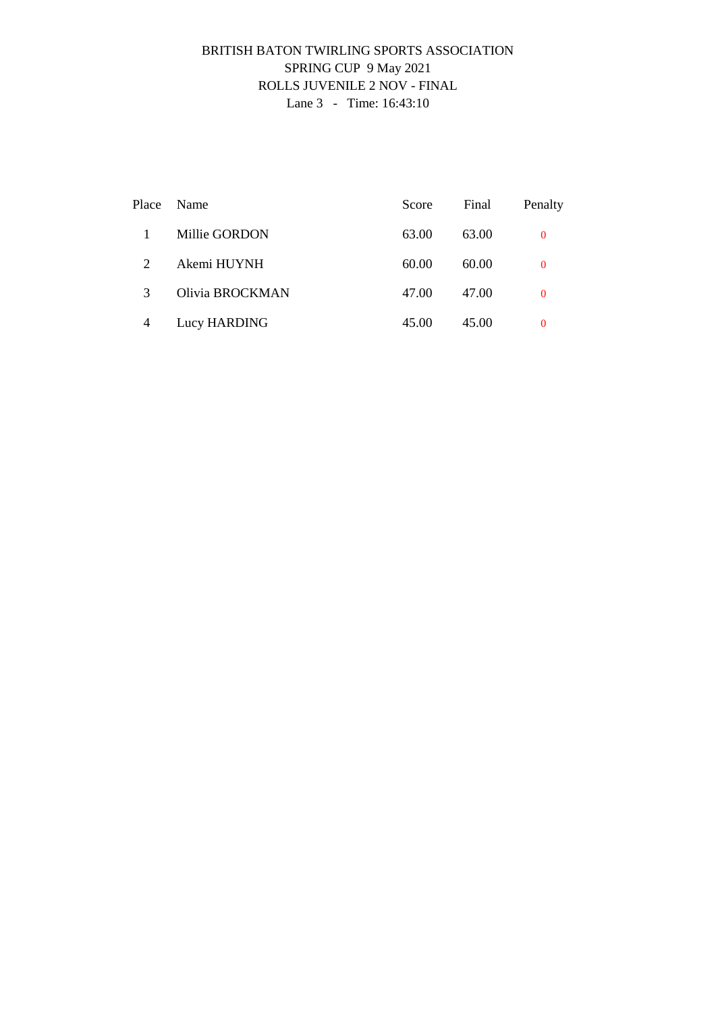### BRITISH BATON TWIRLING SPORTS ASSOCIATION SPRING CUP 9 May 2021 ROLLS JUVENILE 2 NOV - FINAL Lane 3 - Time: 16:43:10

|   | Place Name      | Score | Final | Penalty  |
|---|-----------------|-------|-------|----------|
|   | Millie GORDON   | 63.00 | 63.00 | 0        |
| 2 | Akemi HUYNH     | 60.00 | 60.00 | $\Omega$ |
| 3 | Olivia BROCKMAN | 47.00 | 47.00 | $\Omega$ |
| 4 | Lucy HARDING    | 45.00 | 45.00 | 0        |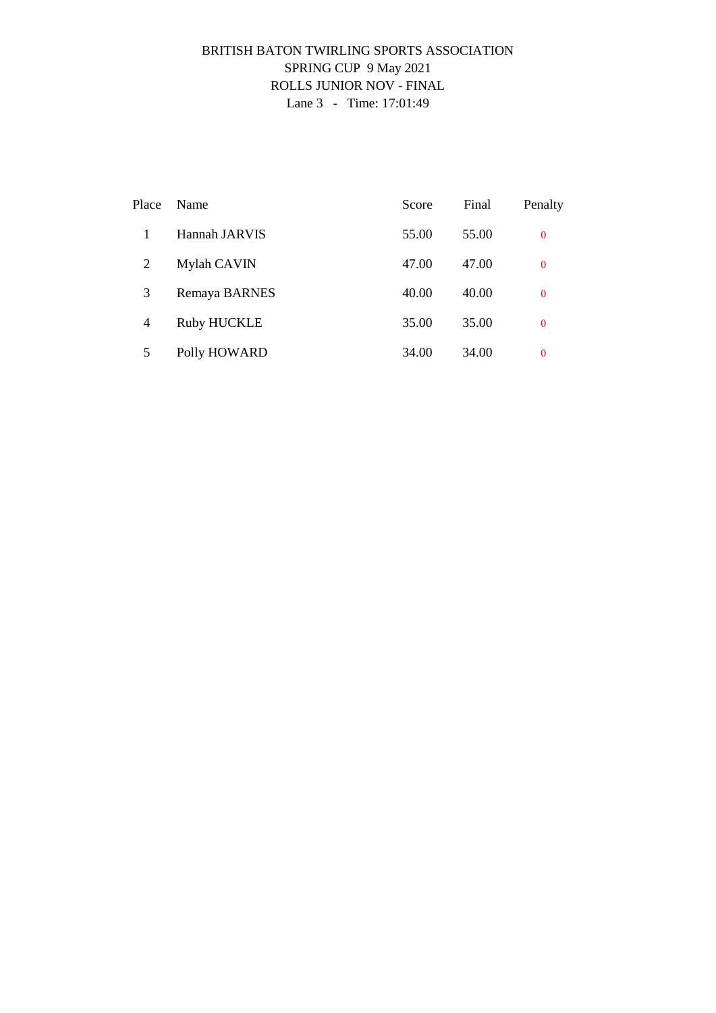### BRITISH BATON TWIRLING SPORTS ASSOCIATION SPRING CUP 9 May 2021 ROLLS JUNIOR NOV - FINAL Lane 3 - Time: 17:01:49

| Place          | Name               | Score | Final | Penalty        |
|----------------|--------------------|-------|-------|----------------|
|                | Hannah JARVIS      | 55.00 | 55.00 | $\bf{0}$       |
| 2              | Mylah CAVIN        | 47.00 | 47.00 | $\overline{0}$ |
| 3              | Remaya BARNES      | 40.00 | 40.00 | $\overline{0}$ |
| $\overline{4}$ | <b>Ruby HUCKLE</b> | 35.00 | 35.00 | $\overline{0}$ |
| 5              | Polly HOWARD       | 34.00 | 34.00 | $\bf{0}$       |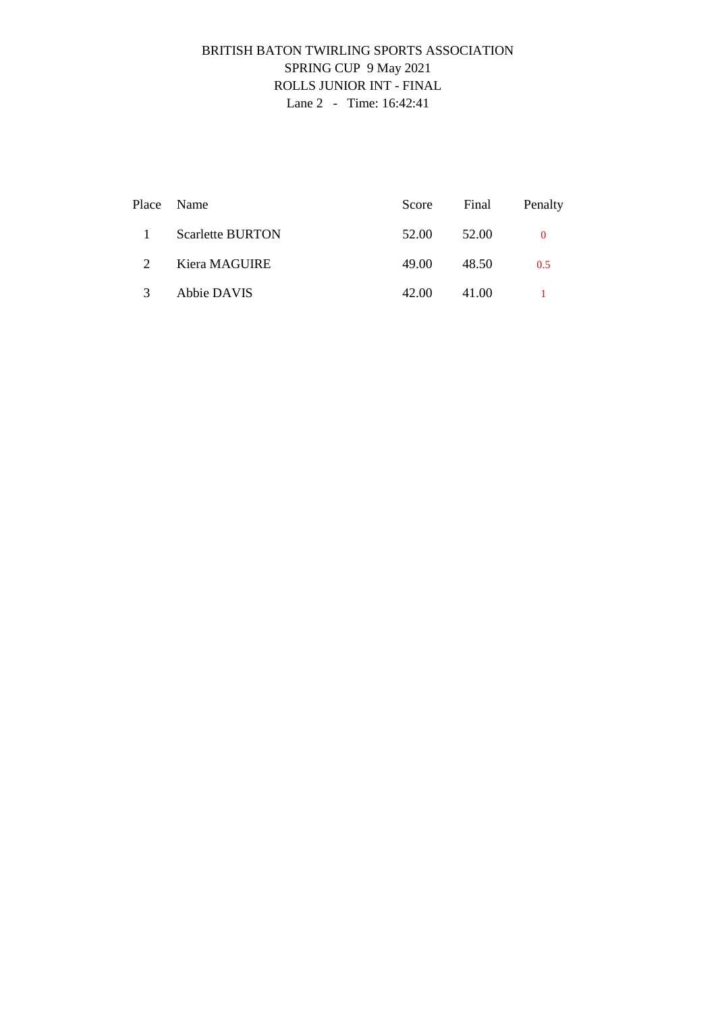# BRITISH BATON TWIRLING SPORTS ASSOCIATION SPRING CUP 9 May 2021 ROLLS JUNIOR INT - FINAL Lane 2 - Time: 16:42:41

|                       | Place Name              | Score Final |       | Penalty |
|-----------------------|-------------------------|-------------|-------|---------|
| $\mathbf{1}$          | <b>Scarlette BURTON</b> | 52.00       | 52.00 |         |
| $\mathcal{D}_{\cdot}$ | Kiera MAGUIRE           | 49.00       | 48.50 | 0.5     |
| $\mathcal{R}$         | Abbie DAVIS             | 42.00       | 41.00 |         |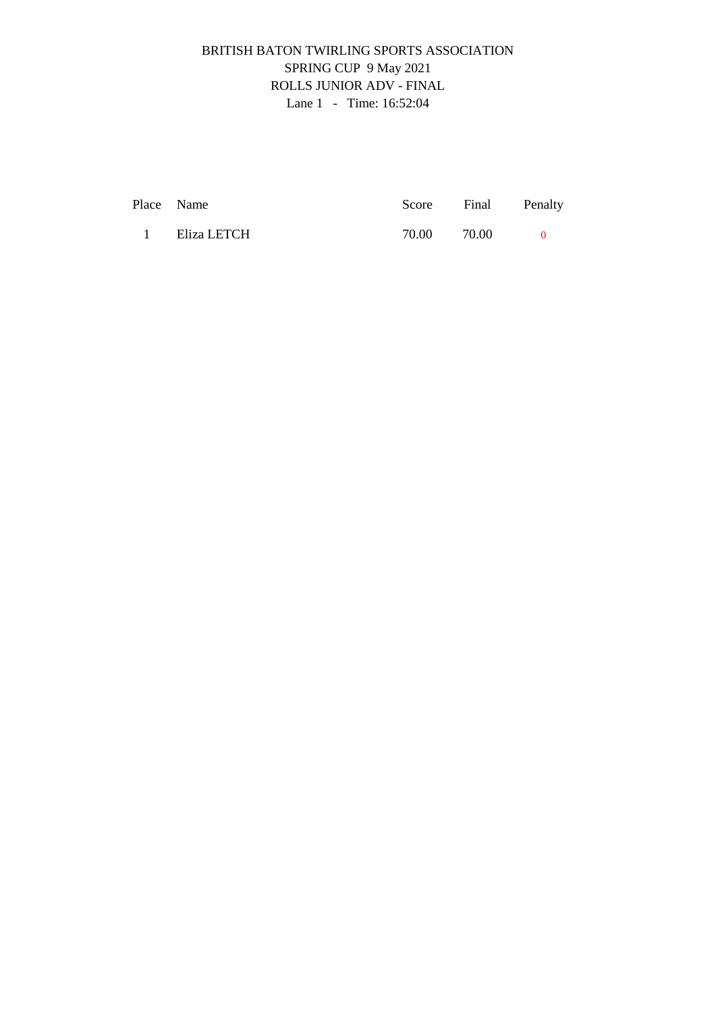# BRITISH BATON TWIRLING SPORTS ASSOCIATION SPRING CUP 9 May 2021 ROLLS JUNIOR ADV - FINAL Lane 1 - Time: 16:52:04

|          | Place Name  |       | Score Final Penalty |  |
|----------|-------------|-------|---------------------|--|
| $\sim$ 1 | Eliza LETCH | 70.00 | 70.00               |  |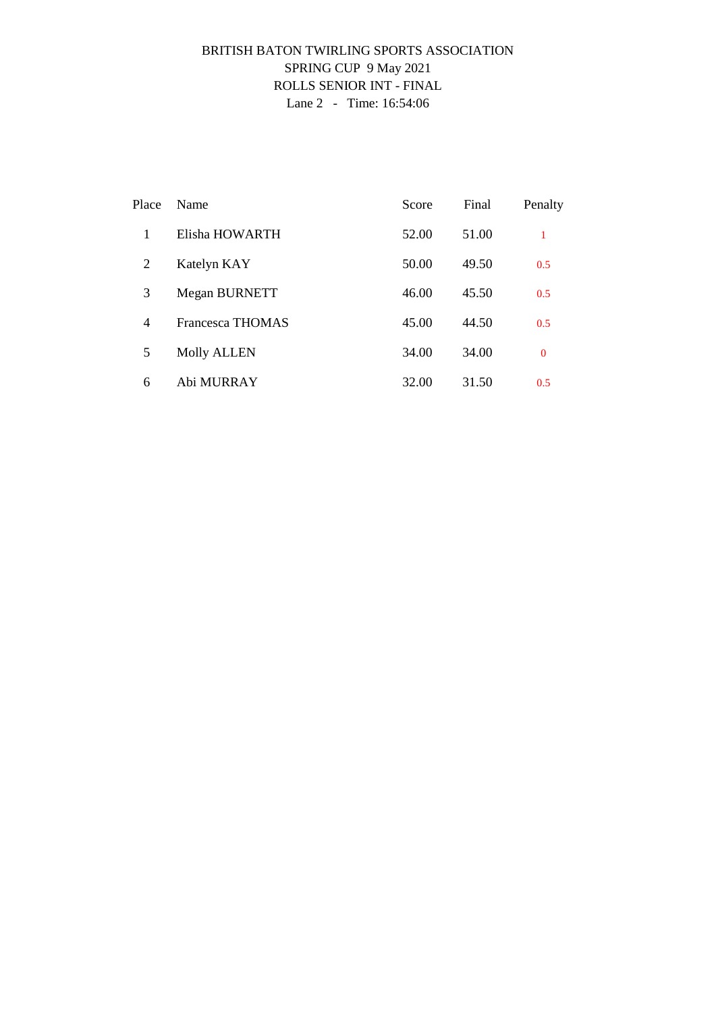### BRITISH BATON TWIRLING SPORTS ASSOCIATION SPRING CUP 9 May 2021 ROLLS SENIOR INT - FINAL Lane 2 - Time: 16:54:06

| Place | Name                    | Score | Final | Penalty      |
|-------|-------------------------|-------|-------|--------------|
| 1     | Elisha HOWARTH          | 52.00 | 51.00 | 1            |
| 2     | Katelyn KAY             | 50.00 | 49.50 | 0.5          |
| 3     | Megan BURNETT           | 46.00 | 45.50 | 0.5          |
| 4     | <b>Francesca THOMAS</b> | 45.00 | 44.50 | 0.5          |
| 5     | <b>Molly ALLEN</b>      | 34.00 | 34.00 | $\mathbf{0}$ |
| 6     | Abi MURRAY              | 32.00 | 31.50 | 0.5          |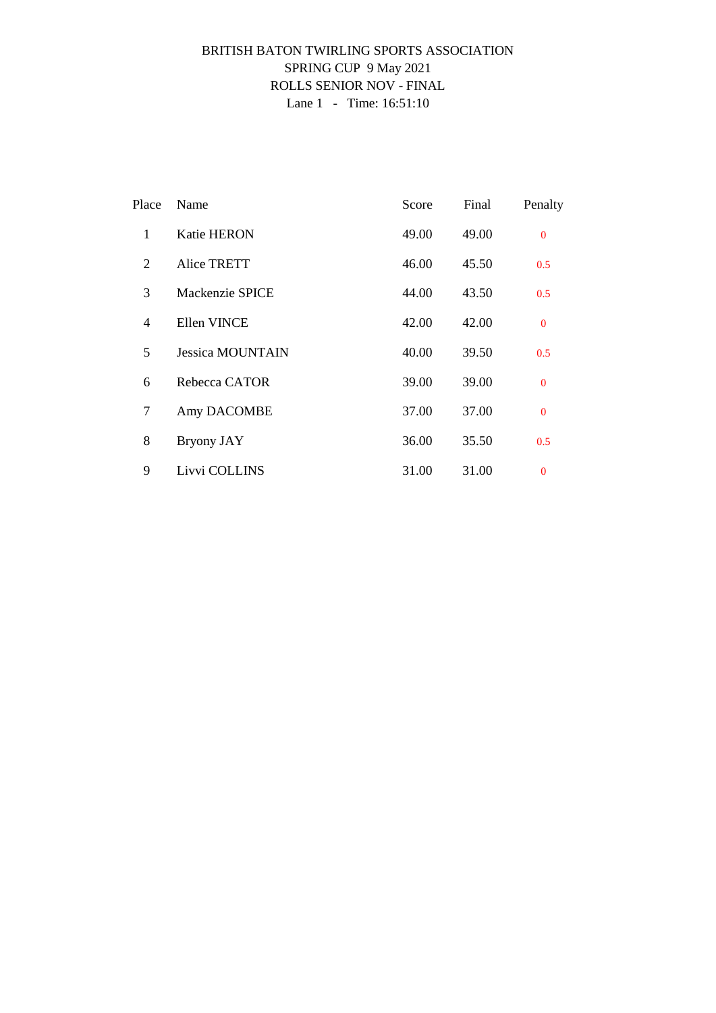### BRITISH BATON TWIRLING SPORTS ASSOCIATION SPRING CUP 9 May 2021 ROLLS SENIOR NOV - FINAL Lane 1 - Time: 16:51:10

| Place          | Name                    | Score | Final | Penalty      |
|----------------|-------------------------|-------|-------|--------------|
| 1              | <b>Katie HERON</b>      | 49.00 | 49.00 | $\Omega$     |
| 2              | <b>Alice TRETT</b>      | 46.00 | 45.50 | 0.5          |
| 3              | Mackenzie SPICE         | 44.00 | 43.50 | 0.5          |
| $\overline{4}$ | Ellen VINCE             | 42.00 | 42.00 | $\mathbf{0}$ |
| 5              | <b>Jessica MOUNTAIN</b> | 40.00 | 39.50 | 0.5          |
| 6              | Rebecca CATOR           | 39.00 | 39.00 | $\mathbf{0}$ |
| $\tau$         | Amy DACOMBE             | 37.00 | 37.00 | $\mathbf{0}$ |
| 8              | <b>Bryony JAY</b>       | 36.00 | 35.50 | 0.5          |
| 9              | Livvi COLLINS           | 31.00 | 31.00 | $\mathbf{0}$ |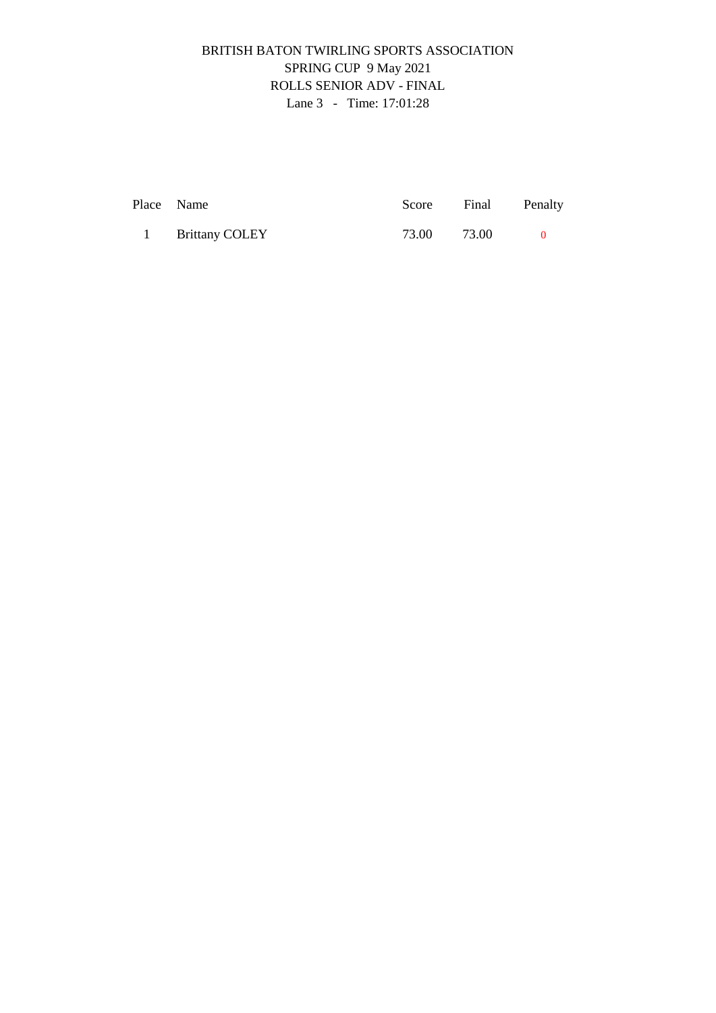# BRITISH BATON TWIRLING SPORTS ASSOCIATION SPRING CUP 9 May 2021 ROLLS SENIOR ADV - FINAL Lane 3 - Time: 17:01:28

| Place Name            | Score Final | Penalty |
|-----------------------|-------------|---------|
| <b>Brittany COLEY</b> | 73.00 73.00 |         |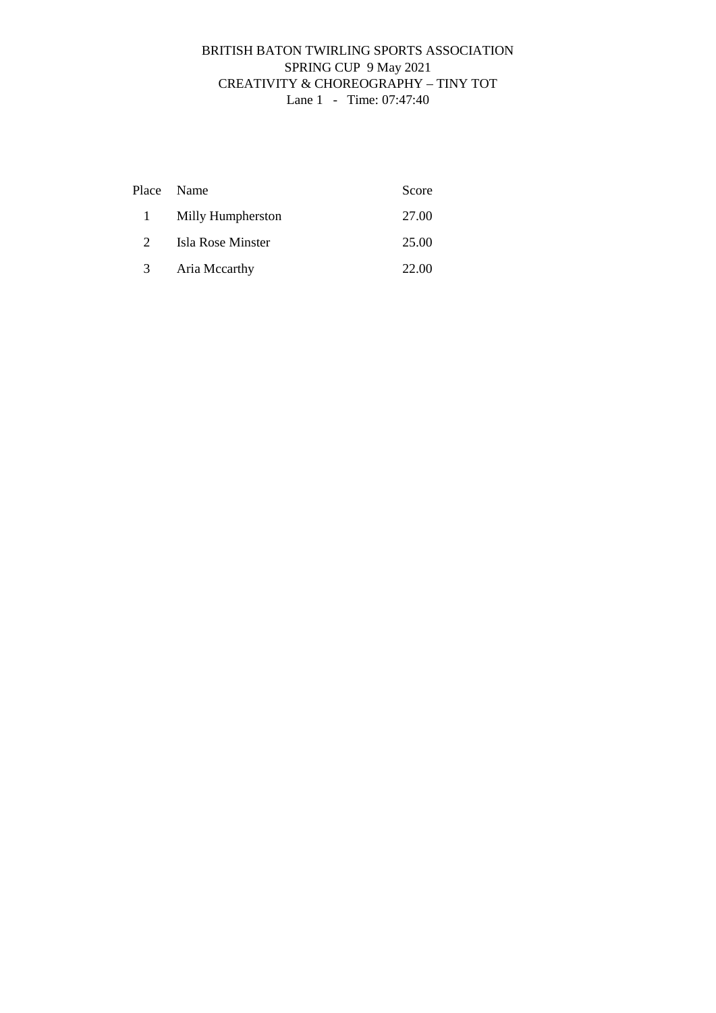## BRITISH BATON TWIRLING SPORTS ASSOCIATION SPRING CUP 9 May 2021 CREATIVITY & CHOREOGRAPHY – TINY TOT Lane 1 - Time: 07:47:40

|              | Place Name        | Score |
|--------------|-------------------|-------|
| $\mathbf{1}$ | Milly Humpherston | 27.00 |
| $2^{\circ}$  | Isla Rose Minster | 25.00 |
| 3            | Aria Mccarthy     | 22.00 |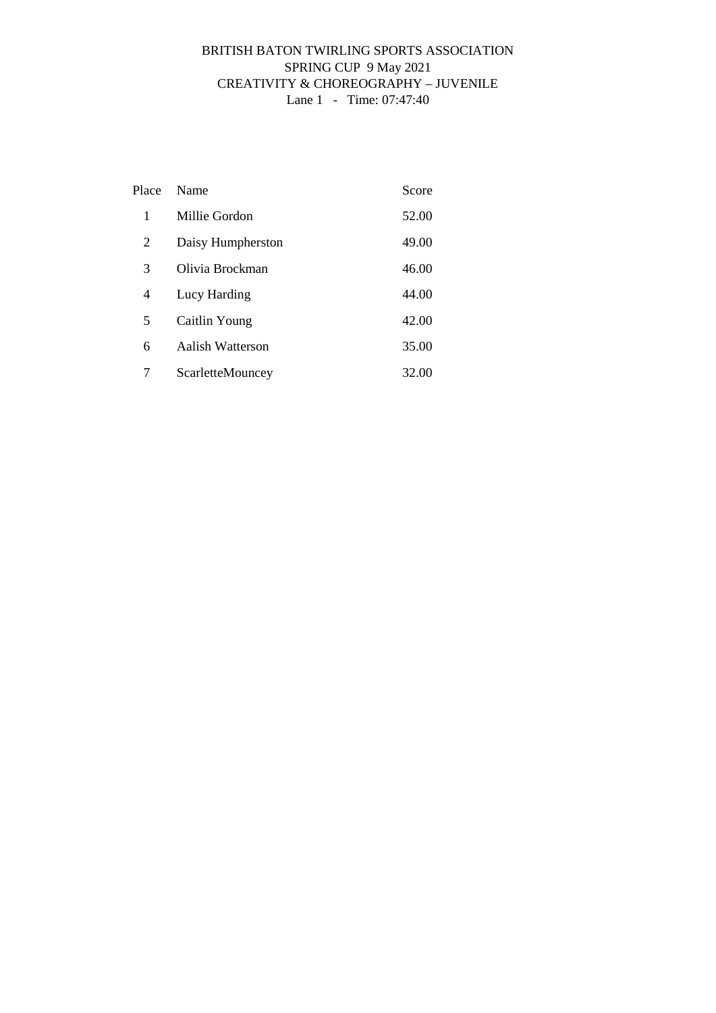## BRITISH BATON TWIRLING SPORTS ASSOCIATION SPRING CUP 9 May 2021 CREATIVITY & CHOREOGRAPHY – JUVENILE Lane 1 - Time: 07:47:40

| Place | Name              | Score |
|-------|-------------------|-------|
| 1     | Millie Gordon     | 52.00 |
| 2     | Daisy Humpherston | 49.00 |
| 3     | Olivia Brockman   | 46.00 |
| 4     | Lucy Harding      | 44.00 |
| 5     | Caitlin Young     | 42.00 |
| 6     | Aalish Watterson  | 35.00 |
| 7     | ScarletteMouncey  | 32.00 |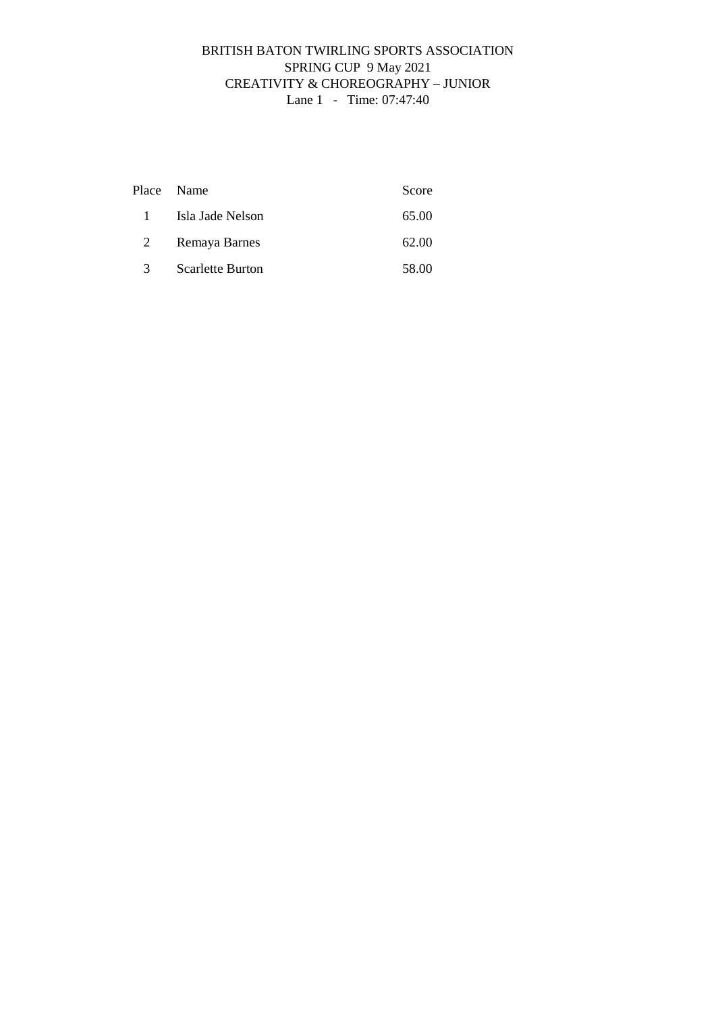## BRITISH BATON TWIRLING SPORTS ASSOCIATION SPRING CUP 9 May 2021 CREATIVITY & CHOREOGRAPHY – JUNIOR Lane 1 - Time: 07:47:40

|              | Place Name              | Score |
|--------------|-------------------------|-------|
| $\mathbf{1}$ | Isla Jade Nelson        | 65.00 |
| 2            | Remaya Barnes           | 62.00 |
| 3            | <b>Scarlette Burton</b> | 58.00 |